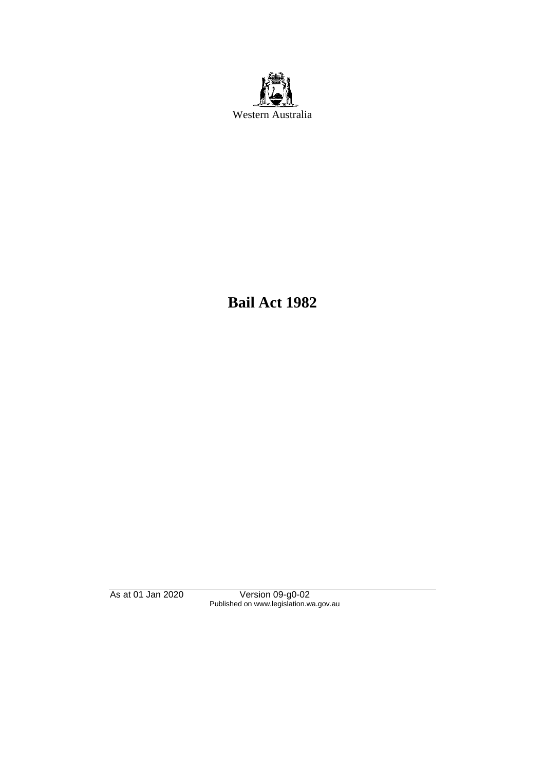

**Bail Act 1982**

As at 01 Jan 2020 Version 09-g0-02 Published on www.legislation.wa.gov.au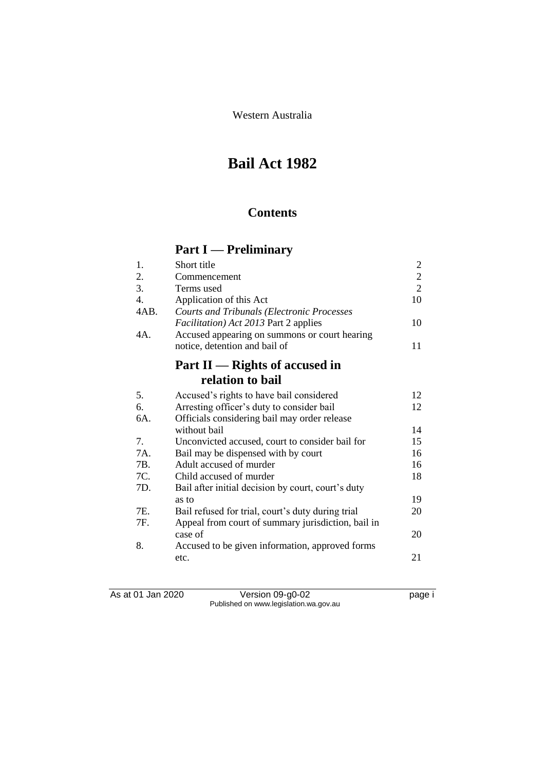Western Australia

# **Bail Act 1982**

## **Contents**

# **Part I — Preliminary**

| 1.               | Short title                                        | $\overline{c}$ |
|------------------|----------------------------------------------------|----------------|
| 2.               | Commencement                                       | $\overline{c}$ |
| 3.               | Terms used                                         | $\overline{2}$ |
| $\overline{4}$ . | Application of this Act                            | 10             |
| 4AB.             | <b>Courts and Tribunals (Electronic Processes</b>  |                |
|                  | <i>Facilitation</i> ) Act 2013 Part 2 applies      | 10             |
| 4A.              | Accused appearing on summons or court hearing      |                |
|                  | notice, detention and bail of                      | 11             |
|                  | Part $II$ — Rights of accused in                   |                |
|                  | relation to bail                                   |                |
| 5.               | Accused's rights to have bail considered           | 12             |
| 6.               | Arresting officer's duty to consider bail          | 12             |
| 6A.              | Officials considering bail may order release       |                |
|                  | without bail                                       | 14             |
| 7.               | Unconvicted accused, court to consider bail for    | 15             |
| 7A.              | Bail may be dispensed with by court                | 16             |
| 7B.              | Adult accused of murder                            | 16             |
| 7C.              | Child accused of murder                            | 18             |
| 7D.              | Bail after initial decision by court, court's duty |                |
|                  | as to                                              | 19             |
| 7E.              | Bail refused for trial, court's duty during trial  | 20             |
| 7F.              | Appeal from court of summary jurisdiction, bail in |                |
|                  | case of                                            | 20             |
| 8.               | Accused to be given information, approved forms    |                |
|                  | etc.                                               | 21             |

As at 01 Jan 2020 Version 09-g0-02 page i Published on www.legislation.wa.gov.au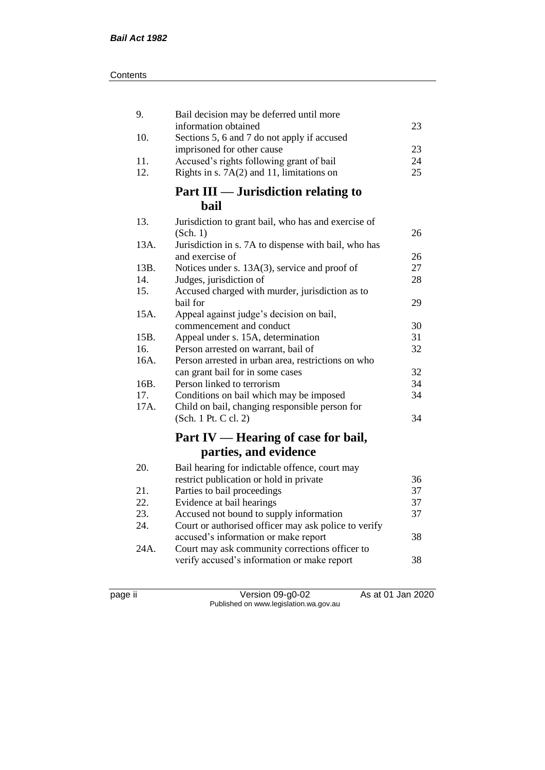| 9.   | Bail decision may be deferred until more                                  |    |
|------|---------------------------------------------------------------------------|----|
|      | information obtained                                                      | 23 |
| 10.  | Sections 5, 6 and 7 do not apply if accused<br>imprisoned for other cause | 23 |
| 11.  | Accused's rights following grant of bail                                  | 24 |
| 12.  | Rights in s. $7A(2)$ and 11, limitations on                               | 25 |
|      |                                                                           |    |
|      | Part III — Jurisdiction relating to                                       |    |
|      | <b>bail</b>                                                               |    |
| 13.  | Jurisdiction to grant bail, who has and exercise of                       |    |
|      | (Sch. 1)                                                                  | 26 |
| 13A. | Jurisdiction in s. 7A to dispense with bail, who has                      |    |
|      | and exercise of                                                           | 26 |
| 13B. | Notices under s. 13A(3), service and proof of                             | 27 |
| 14.  | Judges, jurisdiction of                                                   | 28 |
| 15.  | Accused charged with murder, jurisdiction as to                           |    |
|      | bail for                                                                  | 29 |
| 15A. | Appeal against judge's decision on bail,                                  |    |
|      | commencement and conduct                                                  | 30 |
| 15B. | Appeal under s. 15A, determination                                        | 31 |
| 16.  | Person arrested on warrant, bail of                                       | 32 |
| 16A. | Person arrested in urban area, restrictions on who                        |    |
|      | can grant bail for in some cases                                          | 32 |
| 16B. | Person linked to terrorism                                                | 34 |
| 17.  | Conditions on bail which may be imposed                                   | 34 |
| 17A. | Child on bail, changing responsible person for                            |    |
|      | (Sch. 1 Pt. C cl. 2)                                                      | 34 |
|      | Part IV — Hearing of case for bail,                                       |    |
|      | parties, and evidence                                                     |    |
| 20.  | Bail hearing for indictable offence, court may                            |    |
|      | restrict publication or hold in private                                   | 36 |
| 21.  | Parties to bail proceedings                                               | 37 |
| 22.  | Evidence at bail hearings                                                 | 37 |
| 23.  | Accused not bound to supply information                                   | 37 |
| 24.  | Court or authorised officer may ask police to verify                      |    |
|      | accused's information or make report                                      | 38 |
| 24A. | Court may ask community corrections officer to                            |    |
|      | verify accused's information or make report                               | 38 |
|      |                                                                           |    |

page ii Version 09-g0-02 As at 01 Jan 2020 Published on www.legislation.wa.gov.au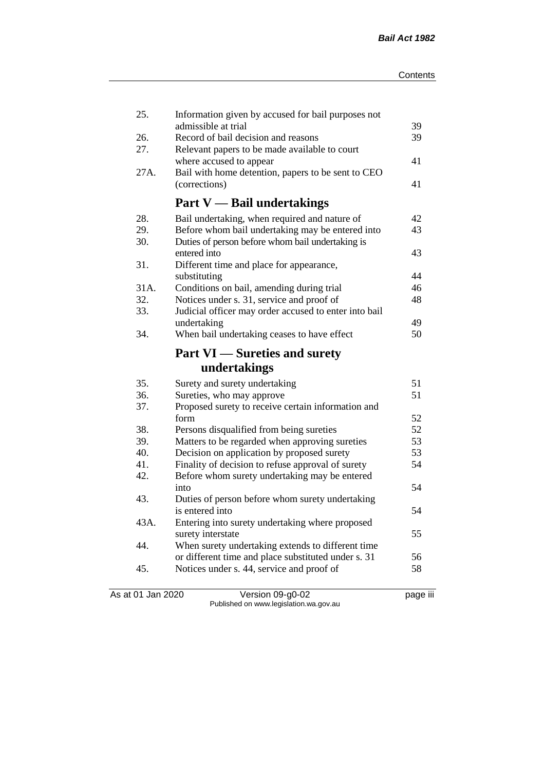| 25.  | Information given by accused for bail purposes not         |          |
|------|------------------------------------------------------------|----------|
| 26.  | admissible at trial<br>Record of bail decision and reasons | 39<br>39 |
| 27.  | Relevant papers to be made available to court              |          |
|      | where accused to appear                                    | 41       |
| 27A. | Bail with home detention, papers to be sent to CEO         |          |
|      | (corrections)                                              | 41       |
|      | <b>Part V</b> — Bail undertakings                          |          |
| 28.  | Bail undertaking, when required and nature of              | 42       |
| 29.  | Before whom bail undertaking may be entered into           | 43       |
| 30.  | Duties of person before whom bail undertaking is           |          |
|      | entered into                                               | 43       |
| 31.  | Different time and place for appearance,                   |          |
|      | substituting                                               | 44       |
| 31A. | Conditions on bail, amending during trial                  | 46       |
| 32.  | Notices under s. 31, service and proof of                  | 48       |
| 33.  | Judicial officer may order accused to enter into bail      |          |
|      | undertaking                                                | 49       |
| 34.  | When bail undertaking ceases to have effect                | 50       |
|      | <b>Part VI</b> — Sureties and surety                       |          |
|      | undertakings                                               |          |
| 35.  | Surety and surety undertaking                              | 51       |
| 36.  | Sureties, who may approve                                  | 51       |
| 37.  | Proposed surety to receive certain information and         |          |
|      | form                                                       | 52       |
| 38.  | Persons disqualified from being sureties                   | 52       |
| 39.  | Matters to be regarded when approving sureties             | 53       |
| 40.  | Decision on application by proposed surety                 | 53       |
| 41.  | Finality of decision to refuse approval of surety          | 54       |
| 42.  | Before whom surety undertaking may be entered              |          |
|      | into                                                       | 54       |
|      |                                                            |          |
| 43.  | Duties of person before whom surety undertaking            |          |
|      | is entered into                                            | 54       |
| 43A. | Entering into surety undertaking where proposed            |          |
|      | surety interstate                                          | 55       |
| 44.  | When surety undertaking extends to different time          |          |
|      | or different time and place substituted under s. 31        | 56       |
| 45.  | Notices under s. 44, service and proof of                  | 58       |

As at 01 Jan 2020 Version 09-g0-02 page iii Published on www.legislation.wa.gov.au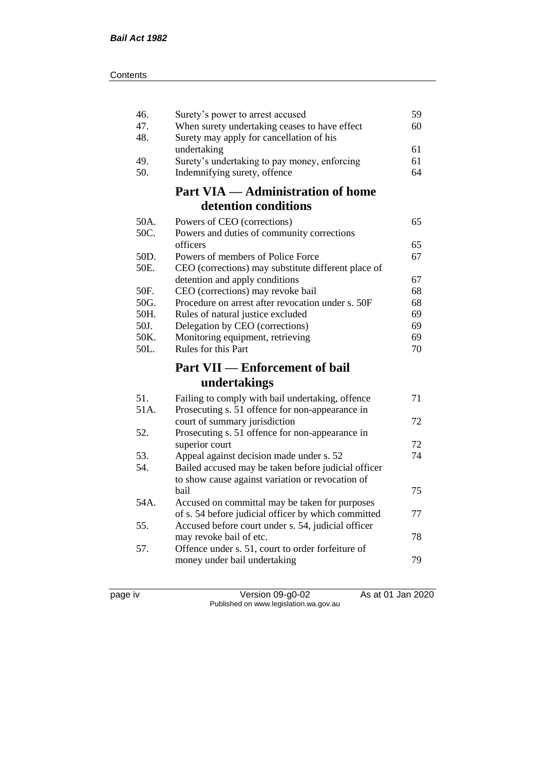| 46.  | Surety's power to arrest accused                                                                          | 59 |
|------|-----------------------------------------------------------------------------------------------------------|----|
| 47.  | When surety undertaking ceases to have effect                                                             | 60 |
| 48.  | Surety may apply for cancellation of his                                                                  |    |
|      | undertaking                                                                                               | 61 |
| 49.  | Surety's undertaking to pay money, enforcing                                                              | 61 |
| 50.  | Indemnifying surety, offence                                                                              | 64 |
|      | <b>Part VIA — Administration of home</b>                                                                  |    |
|      | detention conditions                                                                                      |    |
| 50A. | Powers of CEO (corrections)                                                                               | 65 |
| 50C. | Powers and duties of community corrections                                                                |    |
|      | officers                                                                                                  | 65 |
| 50D. | Powers of members of Police Force                                                                         | 67 |
| 50E. | CEO (corrections) may substitute different place of                                                       |    |
|      | detention and apply conditions                                                                            | 67 |
| 50F. | CEO (corrections) may revoke bail                                                                         | 68 |
| 50G. | Procedure on arrest after revocation under s. 50F                                                         | 68 |
| 50H. | Rules of natural justice excluded                                                                         | 69 |
| 50J. | Delegation by CEO (corrections)                                                                           | 69 |
| 50K. | Monitoring equipment, retrieving                                                                          | 69 |
|      |                                                                                                           |    |
| 50L. | Rules for this Part                                                                                       | 70 |
|      |                                                                                                           |    |
|      | <b>Part VII — Enforcement of bail</b><br>undertakings                                                     |    |
|      |                                                                                                           |    |
| 51.  | Failing to comply with bail undertaking, offence                                                          | 71 |
| 51A. | Prosecuting s. 51 offence for non-appearance in                                                           | 72 |
| 52.  | court of summary jurisdiction                                                                             |    |
|      | Prosecuting s. 51 offence for non-appearance in                                                           | 72 |
| 53.  | superior court                                                                                            | 74 |
| 54.  | Appeal against decision made under s. 52                                                                  |    |
|      | Bailed accused may be taken before judicial officer                                                       |    |
|      | to show cause against variation or revocation of<br>bail                                                  | 75 |
| 54A. | Accused on committal may be taken for purposes                                                            |    |
|      |                                                                                                           | 77 |
| 55.  | of s. 54 before judicial officer by which committed<br>Accused before court under s. 54, judicial officer |    |
|      | may revoke bail of etc.                                                                                   | 78 |
| 57.  | Offence under s. 51, court to order forfeiture of                                                         |    |
|      | money under bail undertaking                                                                              | 79 |

page iv Version 09-g0-02 As at 01 Jan 2020 Published on www.legislation.wa.gov.au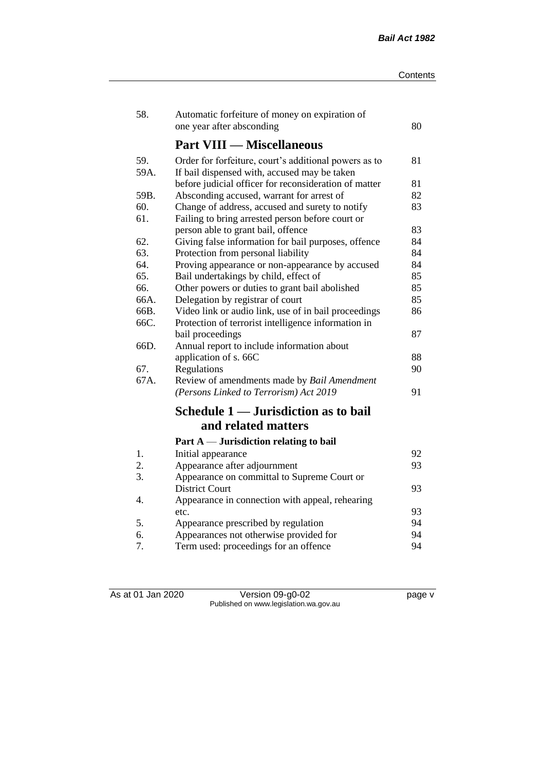| 58.          | Automatic forfeiture of money on expiration of<br>one year after absconding                                 | 80 |
|--------------|-------------------------------------------------------------------------------------------------------------|----|
|              | <b>Part VIII — Miscellaneous</b>                                                                            |    |
| 59.<br>59A.  | Order for forfeiture, court's additional powers as to<br>If bail dispensed with, accused may be taken       | 81 |
|              | before judicial officer for reconsideration of matter                                                       | 81 |
| 59B.         | Absconding accused, warrant for arrest of                                                                   | 82 |
| 60.<br>61.   | Change of address, accused and surety to notify<br>Failing to bring arrested person before court or         | 83 |
|              | person able to grant bail, offence                                                                          | 83 |
| 62.          | Giving false information for bail purposes, offence                                                         | 84 |
| 63.          | Protection from personal liability                                                                          | 84 |
| 64.          | Proving appearance or non-appearance by accused                                                             | 84 |
| 65.          | Bail undertakings by child, effect of                                                                       | 85 |
| 66.          | Other powers or duties to grant bail abolished                                                              | 85 |
| 66A.         | Delegation by registrar of court                                                                            | 85 |
| 66B.<br>66C. | Video link or audio link, use of in bail proceedings<br>Protection of terrorist intelligence information in | 86 |
|              | bail proceedings                                                                                            | 87 |
| 66D.         | Annual report to include information about                                                                  |    |
|              | application of s. 66C                                                                                       | 88 |
| 67.          | Regulations                                                                                                 | 90 |
| 67A.         | Review of amendments made by Bail Amendment<br>(Persons Linked to Terrorism) Act 2019                       | 91 |
|              | Schedule 1 — Jurisdiction as to bail                                                                        |    |
|              | and related matters                                                                                         |    |
|              | Part $A$ — Jurisdiction relating to bail                                                                    |    |
| 1.           | Initial appearance                                                                                          | 92 |
| 2.           | Appearance after adjournment                                                                                | 93 |
| 3.           | Appearance on committal to Supreme Court or                                                                 |    |
|              | <b>District Court</b>                                                                                       | 93 |
| 4.           | Appearance in connection with appeal, rehearing                                                             |    |
|              | etc.                                                                                                        | 93 |
| 5.           | Appearance prescribed by regulation                                                                         | 94 |
| 6.           | Appearances not otherwise provided for                                                                      | 94 |
| 7.           | Term used: proceedings for an offence                                                                       | 94 |

As at 01 Jan 2020 Version 09-g0-02 page v Published on www.legislation.wa.gov.au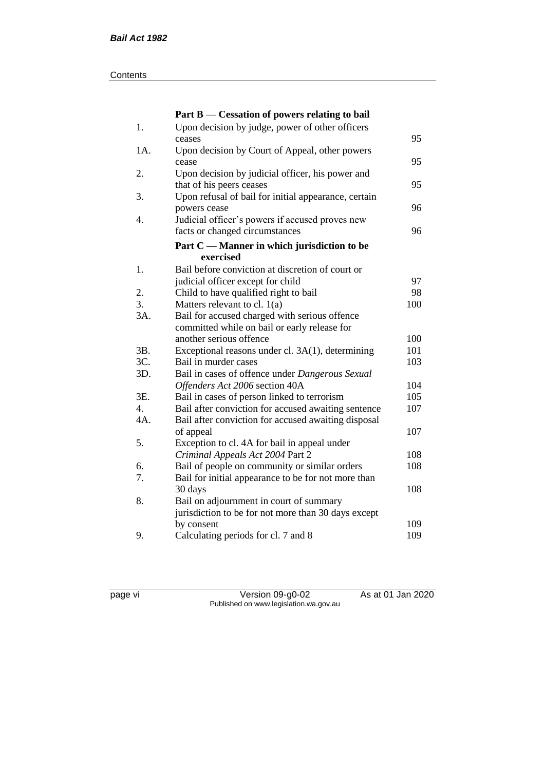#### **Contents**

|                  | Part $B$ — Cessation of powers relating to bail      |     |
|------------------|------------------------------------------------------|-----|
| 1.               | Upon decision by judge, power of other officers      |     |
|                  | ceases                                               | 95  |
| 1A.              | Upon decision by Court of Appeal, other powers       |     |
|                  | cease                                                | 95  |
| 2.               | Upon decision by judicial officer, his power and     |     |
|                  | that of his peers ceases                             | 95  |
| 3.               | Upon refusal of bail for initial appearance, certain |     |
|                  | powers cease                                         | 96  |
| 4.               | Judicial officer's powers if accused proves new      |     |
|                  | facts or changed circumstances                       | 96  |
|                  | Part C — Manner in which jurisdiction to be          |     |
|                  | exercised                                            |     |
| 1.               | Bail before conviction at discretion of court or     |     |
|                  | judicial officer except for child                    | 97  |
| 2.               | Child to have qualified right to bail                | 98  |
| 3.               | Matters relevant to cl. $1(a)$                       | 100 |
| 3A.              | Bail for accused charged with serious offence        |     |
|                  | committed while on bail or early release for         |     |
|                  | another serious offence                              | 100 |
| 3B.              | Exceptional reasons under cl. 3A(1), determining     | 101 |
| 3C.              | Bail in murder cases                                 | 103 |
| 3D.              | Bail in cases of offence under Dangerous Sexual      |     |
|                  | Offenders Act 2006 section 40A                       | 104 |
| 3E.              | Bail in cases of person linked to terrorism          | 105 |
| $\overline{4}$ . | Bail after conviction for accused awaiting sentence  | 107 |
| 4A.              | Bail after conviction for accused awaiting disposal  |     |
|                  | of appeal                                            | 107 |
| 5.               | Exception to cl. 4A for bail in appeal under         |     |
|                  | Criminal Appeals Act 2004 Part 2                     | 108 |
| 6.               | Bail of people on community or similar orders        | 108 |
| 7.               | Bail for initial appearance to be for not more than  |     |
|                  | 30 days                                              | 108 |
| 8.               | Bail on adjournment in court of summary              |     |
|                  | jurisdiction to be for not more than 30 days except  |     |
|                  | by consent                                           | 109 |
| 9.               | Calculating periods for cl. 7 and 8                  | 109 |

page vi Version 09-g0-02 As at 01 Jan 2020 Published on www.legislation.wa.gov.au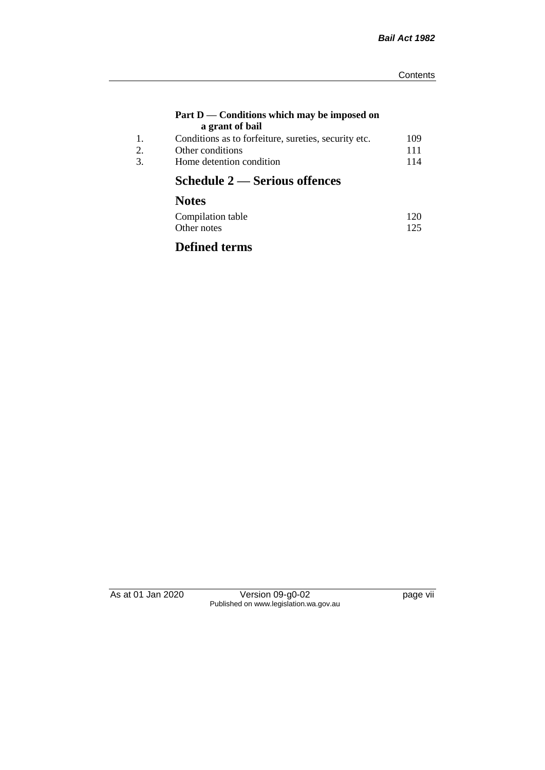#### **Part D — Conditions which may be imposed on a grant of bail**

| Conditions as to forfeiture, sureties, security etc. | 109 |
|------------------------------------------------------|-----|
| Other conditions                                     | 111 |
| Home detention condition                             | 114 |
|                                                      |     |

# **Schedule 2 — Serious offences**

# **Notes**

| Compilation table | 120 |
|-------------------|-----|
| Other notes       | 125 |

## **Defined terms**

As at 01 Jan 2020 Version 09-g0-02 page vii Published on www.legislation.wa.gov.au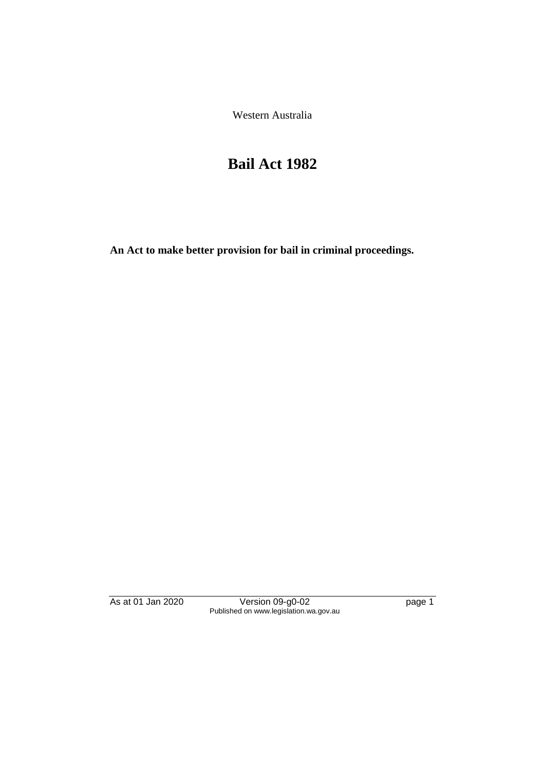Western Australia

# **Bail Act 1982**

**An Act to make better provision for bail in criminal proceedings.** 

As at 01 Jan 2020 **Version 09-g0-02 Page 1** page 1 Published on www.legislation.wa.gov.au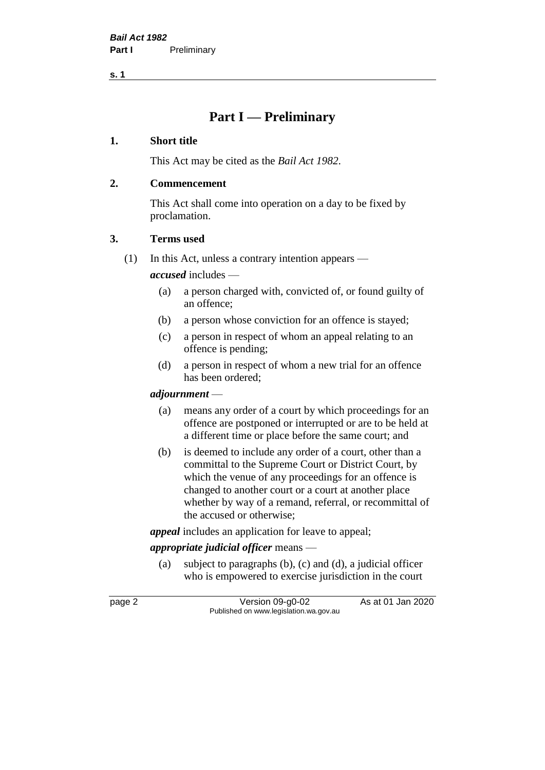## **Part I — Preliminary**

### **1. Short title**

This Act may be cited as the *Bail Act 1982*.

### **2. Commencement**

This Act shall come into operation on a day to be fixed by proclamation.

### **3. Terms used**

(1) In this Act, unless a contrary intention appears —

*accused* includes —

- (a) a person charged with, convicted of, or found guilty of an offence;
- (b) a person whose conviction for an offence is stayed;
- (c) a person in respect of whom an appeal relating to an offence is pending;
- (d) a person in respect of whom a new trial for an offence has been ordered;

## *adjournment* —

- (a) means any order of a court by which proceedings for an offence are postponed or interrupted or are to be held at a different time or place before the same court; and
- (b) is deemed to include any order of a court, other than a committal to the Supreme Court or District Court, by which the venue of any proceedings for an offence is changed to another court or a court at another place whether by way of a remand, referral, or recommittal of the accused or otherwise;

*appeal* includes an application for leave to appeal;

## *appropriate judicial officer* means —

(a) subject to paragraphs (b), (c) and (d), a judicial officer who is empowered to exercise jurisdiction in the court

page 2 Version 09-g0-02 As at 01 Jan 2020 Published on www.legislation.wa.gov.au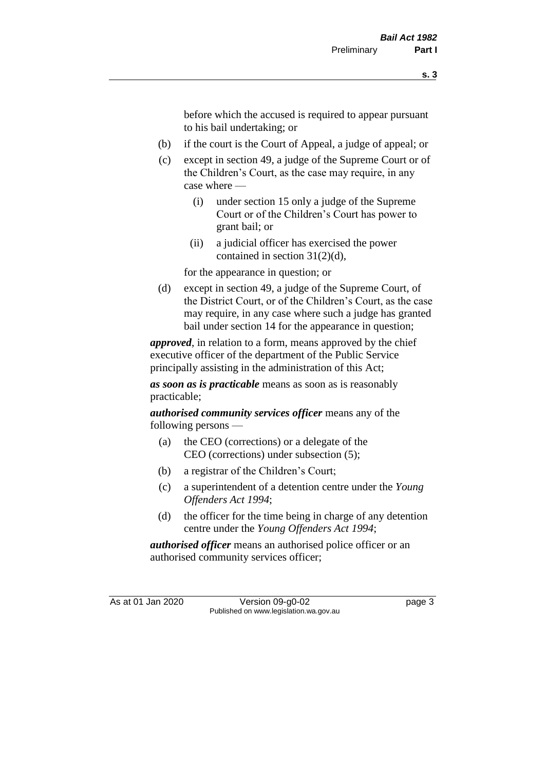before which the accused is required to appear pursuant to his bail undertaking; or

- (b) if the court is the Court of Appeal, a judge of appeal; or
- (c) except in section 49, a judge of the Supreme Court or of the Children's Court, as the case may require, in any case where —
	- (i) under section 15 only a judge of the Supreme Court or of the Children's Court has power to grant bail; or
	- (ii) a judicial officer has exercised the power contained in section 31(2)(d),

for the appearance in question; or

(d) except in section 49, a judge of the Supreme Court, of the District Court, or of the Children's Court, as the case may require, in any case where such a judge has granted bail under section 14 for the appearance in question;

*approved*, in relation to a form, means approved by the chief executive officer of the department of the Public Service principally assisting in the administration of this Act;

*as soon as is practicable* means as soon as is reasonably practicable;

*authorised community services officer* means any of the following persons —

- (a) the CEO (corrections) or a delegate of the CEO (corrections) under subsection (5);
- (b) a registrar of the Children's Court;
- (c) a superintendent of a detention centre under the *Young Offenders Act 1994*;
- (d) the officer for the time being in charge of any detention centre under the *Young Offenders Act 1994*;

*authorised officer* means an authorised police officer or an authorised community services officer;

As at 01 Jan 2020 Version 09-g0-02 page 3 Published on www.legislation.wa.gov.au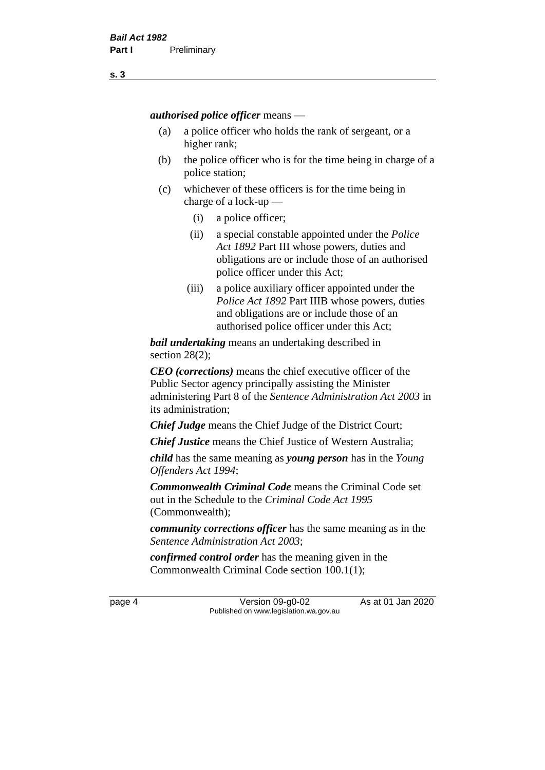*authorised police officer* means —

- (a) a police officer who holds the rank of sergeant, or a higher rank;
- (b) the police officer who is for the time being in charge of a police station;
- (c) whichever of these officers is for the time being in charge of a lock-up —
	- (i) a police officer;
	- (ii) a special constable appointed under the *Police Act 1892* Part III whose powers, duties and obligations are or include those of an authorised police officer under this Act;
	- (iii) a police auxiliary officer appointed under the *Police Act 1892* Part IIIB whose powers, duties and obligations are or include those of an authorised police officer under this Act;

*bail undertaking* means an undertaking described in section 28(2);

*CEO (corrections)* means the chief executive officer of the Public Sector agency principally assisting the Minister administering Part 8 of the *Sentence Administration Act 2003* in its administration;

*Chief Judge* means the Chief Judge of the District Court;

*Chief Justice* means the Chief Justice of Western Australia;

*child* has the same meaning as *young person* has in the *Young Offenders Act 1994*;

*Commonwealth Criminal Code* means the Criminal Code set out in the Schedule to the *Criminal Code Act 1995* (Commonwealth);

*community corrections officer* has the same meaning as in the *Sentence Administration Act 2003*;

*confirmed control order* has the meaning given in the Commonwealth Criminal Code section 100.1(1);

page 4 Version 09-g0-02 As at 01 Jan 2020 Published on www.legislation.wa.gov.au

**s. 3**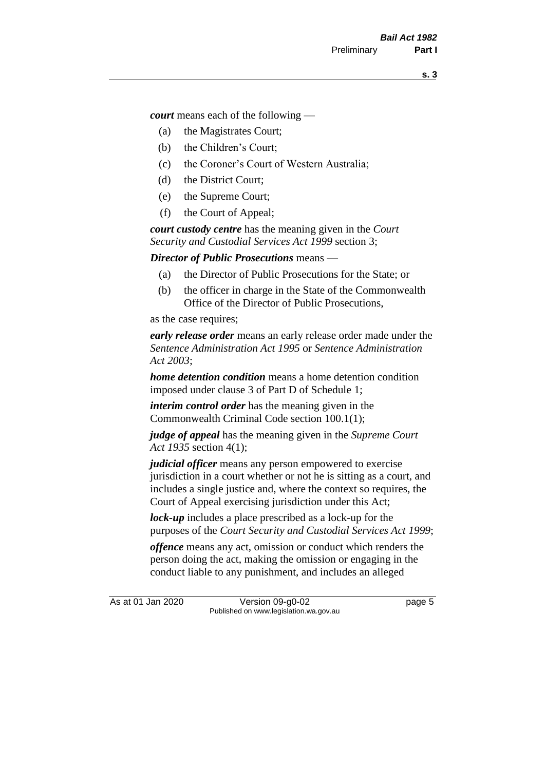*court* means each of the following —

- (a) the Magistrates Court;
- (b) the Children's Court;
- (c) the Coroner's Court of Western Australia;
- (d) the District Court;
- (e) the Supreme Court;
- (f) the Court of Appeal;

*court custody centre* has the meaning given in the *Court Security and Custodial Services Act 1999* section 3;

*Director of Public Prosecutions* means —

- (a) the Director of Public Prosecutions for the State; or
- (b) the officer in charge in the State of the Commonwealth Office of the Director of Public Prosecutions,

as the case requires;

*early release order* means an early release order made under the *Sentence Administration Act 1995* or *Sentence Administration Act 2003*;

*home detention condition* means a home detention condition imposed under clause 3 of Part D of Schedule 1;

*interim control order* has the meaning given in the Commonwealth Criminal Code section 100.1(1);

*judge of appeal* has the meaning given in the *Supreme Court Act 1935* section 4(1);

*judicial officer* means any person empowered to exercise jurisdiction in a court whether or not he is sitting as a court, and includes a single justice and, where the context so requires, the Court of Appeal exercising jurisdiction under this Act;

*lock-up* includes a place prescribed as a lock-up for the purposes of the *Court Security and Custodial Services Act 1999*;

*offence* means any act, omission or conduct which renders the person doing the act, making the omission or engaging in the conduct liable to any punishment, and includes an alleged

As at 01 Jan 2020 Version 09-g0-02 page 5 Published on www.legislation.wa.gov.au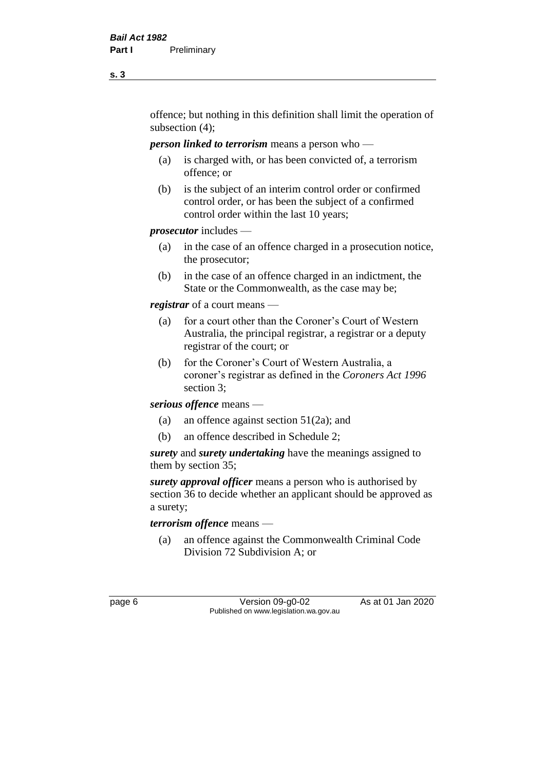offence; but nothing in this definition shall limit the operation of subsection (4);

#### *person linked to terrorism* means a person who —

- (a) is charged with, or has been convicted of, a terrorism offence; or
- (b) is the subject of an interim control order or confirmed control order, or has been the subject of a confirmed control order within the last 10 years;

### *prosecutor* includes —

- (a) in the case of an offence charged in a prosecution notice, the prosecutor;
- (b) in the case of an offence charged in an indictment, the State or the Commonwealth, as the case may be;

*registrar* of a court means —

- (a) for a court other than the Coroner's Court of Western Australia, the principal registrar, a registrar or a deputy registrar of the court; or
- (b) for the Coroner's Court of Western Australia, a coroner's registrar as defined in the *Coroners Act 1996* section 3;

*serious offence* means —

- (a) an offence against section 51(2a); and
- (b) an offence described in Schedule 2;

*surety* and *surety undertaking* have the meanings assigned to them by section 35;

*surety approval officer* means a person who is authorised by section 36 to decide whether an applicant should be approved as a surety;

*terrorism offence* means —

(a) an offence against the Commonwealth Criminal Code Division 72 Subdivision A; or

page 6 Version 09-g0-02 As at 01 Jan 2020 Published on www.legislation.wa.gov.au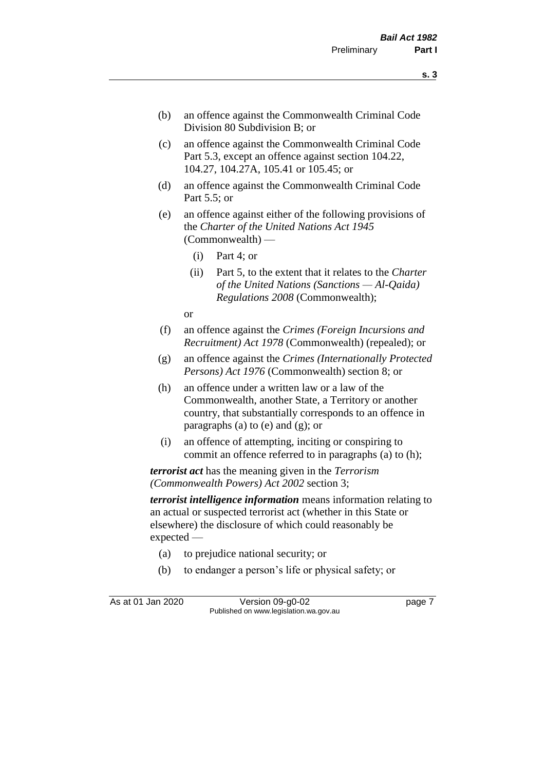- (b) an offence against the Commonwealth Criminal Code Division 80 Subdivision B; or
- (c) an offence against the Commonwealth Criminal Code Part 5.3, except an offence against section 104.22, 104.27, 104.27A, 105.41 or 105.45; or
- (d) an offence against the Commonwealth Criminal Code Part 5.5; or
- (e) an offence against either of the following provisions of the *Charter of the United Nations Act 1945*  (Commonwealth) —
	- (i) Part 4; or
	- (ii) Part 5, to the extent that it relates to the *Charter of the United Nations (Sanctions — Al-Qaida) Regulations 2008* (Commonwealth);

or

- (f) an offence against the *Crimes (Foreign Incursions and Recruitment) Act 1978* (Commonwealth) (repealed); or
- (g) an offence against the *Crimes (Internationally Protected Persons) Act 1976* (Commonwealth) section 8; or
- (h) an offence under a written law or a law of the Commonwealth, another State, a Territory or another country, that substantially corresponds to an offence in paragraphs (a) to (e) and (g); or
- (i) an offence of attempting, inciting or conspiring to commit an offence referred to in paragraphs (a) to (h);

*terrorist act* has the meaning given in the *Terrorism (Commonwealth Powers) Act 2002* section 3;

*terrorist intelligence information* means information relating to an actual or suspected terrorist act (whether in this State or elsewhere) the disclosure of which could reasonably be expected —

- (a) to prejudice national security; or
- (b) to endanger a person's life or physical safety; or

As at 01 Jan 2020 Version 09-g0-02 page 7 Published on www.legislation.wa.gov.au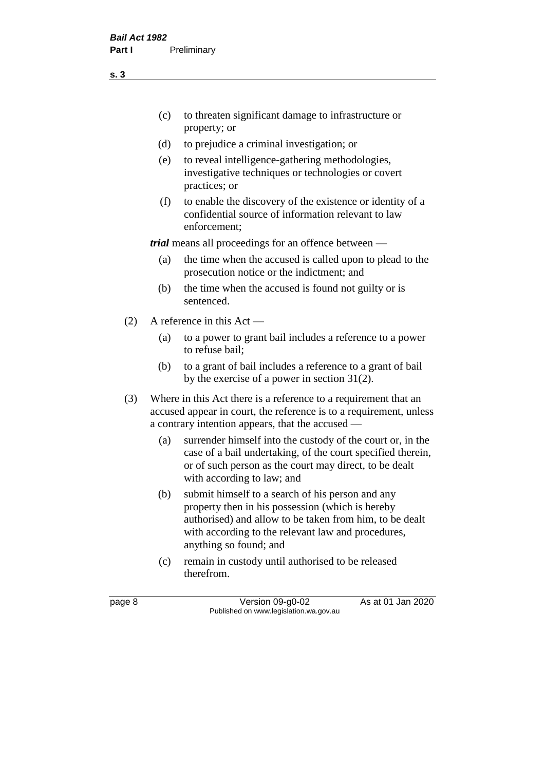(c) to threaten significant damage to infrastructure or property; or

- (d) to prejudice a criminal investigation; or
- (e) to reveal intelligence-gathering methodologies, investigative techniques or technologies or covert practices; or
- (f) to enable the discovery of the existence or identity of a confidential source of information relevant to law enforcement;

*trial* means all proceedings for an offence between —

- (a) the time when the accused is called upon to plead to the prosecution notice or the indictment; and
- (b) the time when the accused is found not guilty or is sentenced.
- (2) A reference in this Act
	- (a) to a power to grant bail includes a reference to a power to refuse bail;
	- (b) to a grant of bail includes a reference to a grant of bail by the exercise of a power in section 31(2).
- (3) Where in this Act there is a reference to a requirement that an accused appear in court, the reference is to a requirement, unless a contrary intention appears, that the accused —
	- (a) surrender himself into the custody of the court or, in the case of a bail undertaking, of the court specified therein, or of such person as the court may direct, to be dealt with according to law; and
	- (b) submit himself to a search of his person and any property then in his possession (which is hereby authorised) and allow to be taken from him, to be dealt with according to the relevant law and procedures, anything so found; and
	- (c) remain in custody until authorised to be released therefrom.

page 8 Version 09-g0-02 As at 01 Jan 2020 Published on www.legislation.wa.gov.au

**s. 3**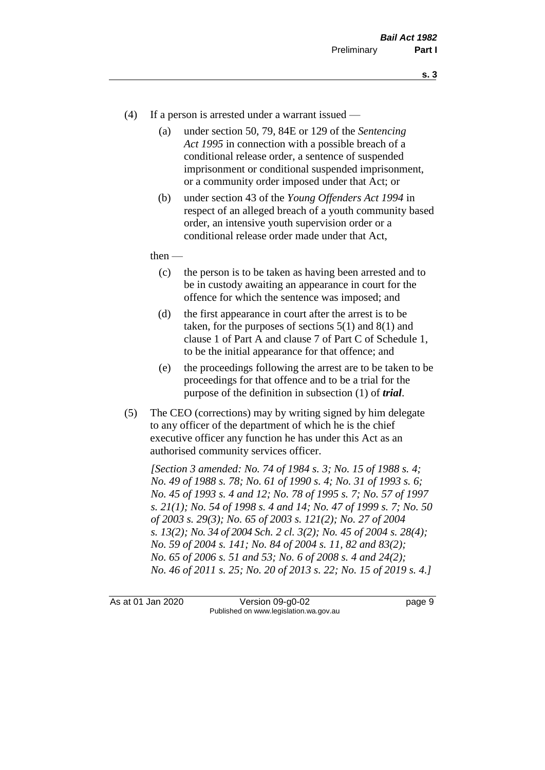- (4) If a person is arrested under a warrant issued
	- (a) under section 50, 79, 84E or 129 of the *Sentencing Act 1995* in connection with a possible breach of a conditional release order, a sentence of suspended imprisonment or conditional suspended imprisonment, or a community order imposed under that Act; or
	- (b) under section 43 of the *Young Offenders Act 1994* in respect of an alleged breach of a youth community based order, an intensive youth supervision order or a conditional release order made under that Act,
	- then
		- (c) the person is to be taken as having been arrested and to be in custody awaiting an appearance in court for the offence for which the sentence was imposed; and
		- (d) the first appearance in court after the arrest is to be taken, for the purposes of sections  $5(1)$  and  $8(1)$  and clause 1 of Part A and clause 7 of Part C of Schedule 1, to be the initial appearance for that offence; and
		- (e) the proceedings following the arrest are to be taken to be proceedings for that offence and to be a trial for the purpose of the definition in subsection (1) of *trial*.
- (5) The CEO (corrections) may by writing signed by him delegate to any officer of the department of which he is the chief executive officer any function he has under this Act as an authorised community services officer.

*[Section 3 amended: No. 74 of 1984 s. 3; No. 15 of 1988 s. 4; No. 49 of 1988 s. 78; No. 61 of 1990 s. 4; No. 31 of 1993 s. 6; No. 45 of 1993 s. 4 and 12; No. 78 of 1995 s. 7; No. 57 of 1997 s. 21(1); No. 54 of 1998 s. 4 and 14; No. 47 of 1999 s. 7; No. 50 of 2003 s. 29(3); No. 65 of 2003 s. 121(2); No. 27 of 2004 s. 13(2); No. 34 of 2004 Sch. 2 cl. 3(2); No. 45 of 2004 s. 28(4); No. 59 of 2004 s. 141; No. 84 of 2004 s. 11, 82 and 83(2); No. 65 of 2006 s. 51 and 53; No. 6 of 2008 s. 4 and 24(2); No. 46 of 2011 s. 25; No. 20 of 2013 s. 22; No. 15 of 2019 s. 4.]* 

As at 01 Jan 2020 Version 09-g0-02 page 9 Published on www.legislation.wa.gov.au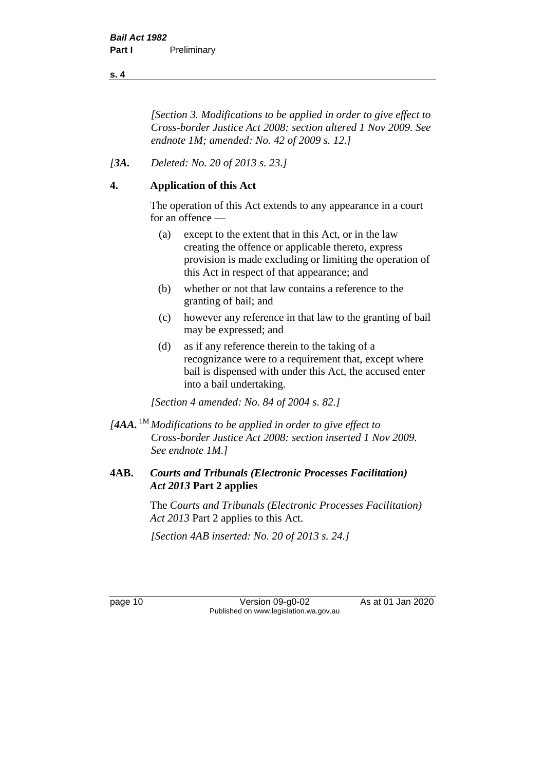*[Section 3. Modifications to be applied in order to give effect to Cross-border Justice Act 2008: section altered 1 Nov 2009. See endnote 1M; amended: No. 42 of 2009 s. 12.]*

## *[3A. Deleted: No. 20 of 2013 s. 23.]*

## **4. Application of this Act**

The operation of this Act extends to any appearance in a court for an offence —

- (a) except to the extent that in this Act, or in the law creating the offence or applicable thereto, express provision is made excluding or limiting the operation of this Act in respect of that appearance; and
- (b) whether or not that law contains a reference to the granting of bail; and
- (c) however any reference in that law to the granting of bail may be expressed; and
- (d) as if any reference therein to the taking of a recognizance were to a requirement that, except where bail is dispensed with under this Act, the accused enter into a bail undertaking.

*[Section 4 amended: No. 84 of 2004 s. 82.]*

*[4AA.* 1M *Modifications to be applied in order to give effect to Cross-border Justice Act 2008: section inserted 1 Nov 2009. See endnote 1M.]*

## **4AB.** *Courts and Tribunals (Electronic Processes Facilitation) Act 2013* **Part 2 applies**

The *Courts and Tribunals (Electronic Processes Facilitation) Act 2013* Part 2 applies to this Act.

*[Section 4AB inserted: No. 20 of 2013 s. 24.]*

page 10 Version 09-g0-02 As at 01 Jan 2020 Published on www.legislation.wa.gov.au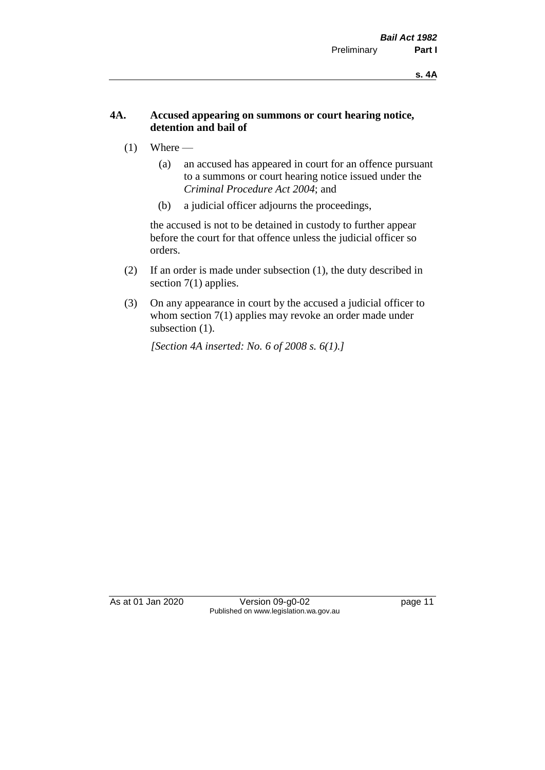#### **4A. Accused appearing on summons or court hearing notice, detention and bail of**

- $(1)$  Where
	- (a) an accused has appeared in court for an offence pursuant to a summons or court hearing notice issued under the *Criminal Procedure Act 2004*; and
	- (b) a judicial officer adjourns the proceedings,

the accused is not to be detained in custody to further appear before the court for that offence unless the judicial officer so orders.

- (2) If an order is made under subsection (1), the duty described in section 7(1) applies.
- (3) On any appearance in court by the accused a judicial officer to whom section 7(1) applies may revoke an order made under subsection (1).

*[Section 4A inserted: No. 6 of 2008 s. 6(1).]*

As at 01 Jan 2020 Version 09-g0-02 page 11 Published on www.legislation.wa.gov.au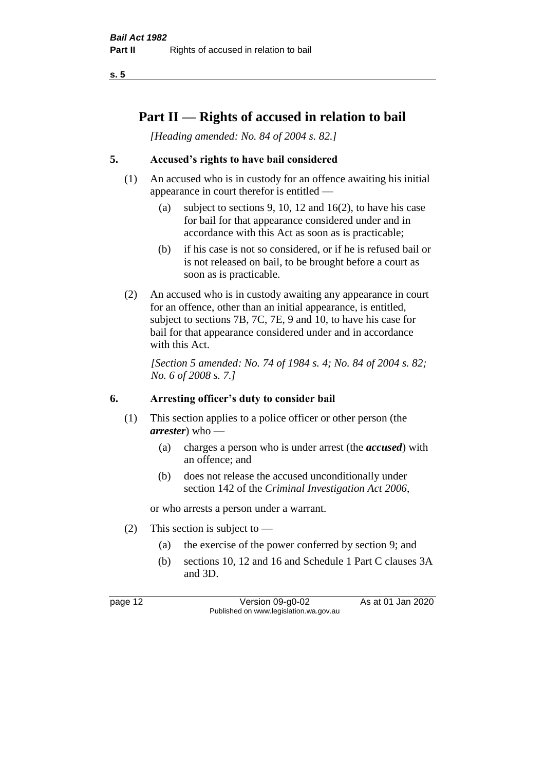## **Part II — Rights of accused in relation to bail**

*[Heading amended: No. 84 of 2004 s. 82.]* 

## **5. Accused's rights to have bail considered**

- (1) An accused who is in custody for an offence awaiting his initial appearance in court therefor is entitled —
	- (a) subject to sections 9, 10, 12 and 16(2), to have his case for bail for that appearance considered under and in accordance with this Act as soon as is practicable;
	- (b) if his case is not so considered, or if he is refused bail or is not released on bail, to be brought before a court as soon as is practicable.
- (2) An accused who is in custody awaiting any appearance in court for an offence, other than an initial appearance, is entitled, subject to sections 7B, 7C, 7E, 9 and 10, to have his case for bail for that appearance considered under and in accordance with this Act.

*[Section 5 amended: No. 74 of 1984 s. 4; No. 84 of 2004 s. 82; No. 6 of 2008 s. 7.]* 

#### **6. Arresting officer's duty to consider bail**

- (1) This section applies to a police officer or other person (the *arrester*) who —
	- (a) charges a person who is under arrest (the *accused*) with an offence; and
	- (b) does not release the accused unconditionally under section 142 of the *Criminal Investigation Act 2006*,

or who arrests a person under a warrant.

- (2) This section is subject to  $-$ 
	- (a) the exercise of the power conferred by section 9; and
	- (b) sections 10, 12 and 16 and Schedule 1 Part C clauses 3A and 3D.

page 12 Version 09-g0-02 As at 01 Jan 2020 Published on www.legislation.wa.gov.au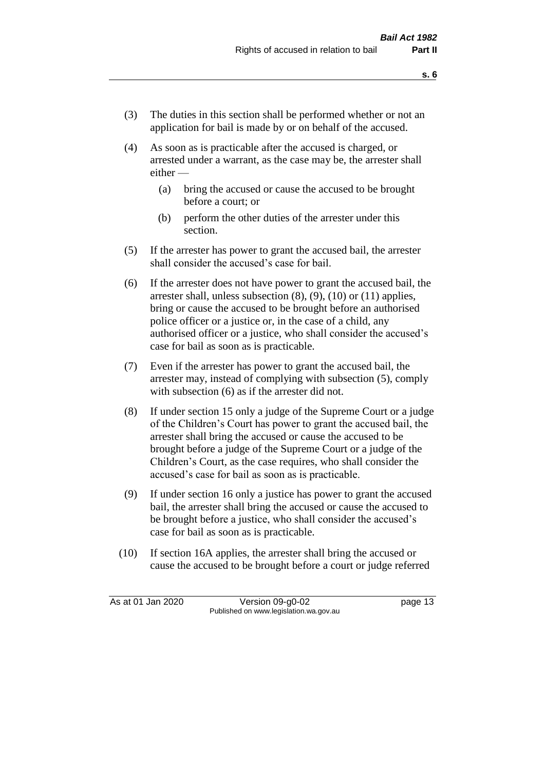- (3) The duties in this section shall be performed whether or not an application for bail is made by or on behalf of the accused.
- (4) As soon as is practicable after the accused is charged, or arrested under a warrant, as the case may be, the arrester shall either —
	- (a) bring the accused or cause the accused to be brought before a court; or
	- (b) perform the other duties of the arrester under this section.
- (5) If the arrester has power to grant the accused bail, the arrester shall consider the accused's case for bail.
- (6) If the arrester does not have power to grant the accused bail, the arrester shall, unless subsection (8), (9), (10) or (11) applies, bring or cause the accused to be brought before an authorised police officer or a justice or, in the case of a child, any authorised officer or a justice, who shall consider the accused's case for bail as soon as is practicable.
- (7) Even if the arrester has power to grant the accused bail, the arrester may, instead of complying with subsection (5), comply with subsection  $(6)$  as if the arrester did not.
- (8) If under section 15 only a judge of the Supreme Court or a judge of the Children's Court has power to grant the accused bail, the arrester shall bring the accused or cause the accused to be brought before a judge of the Supreme Court or a judge of the Children's Court, as the case requires, who shall consider the accused's case for bail as soon as is practicable.
- (9) If under section 16 only a justice has power to grant the accused bail, the arrester shall bring the accused or cause the accused to be brought before a justice, who shall consider the accused's case for bail as soon as is practicable.
- (10) If section 16A applies, the arrester shall bring the accused or cause the accused to be brought before a court or judge referred

As at 01 Jan 2020 Version 09-g0-02 page 13 Published on www.legislation.wa.gov.au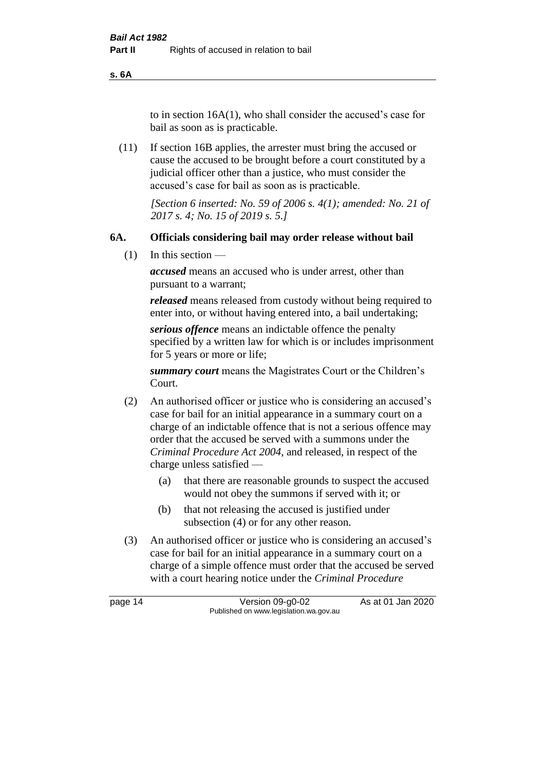**s. 6A**

to in section 16A(1), who shall consider the accused's case for bail as soon as is practicable.

(11) If section 16B applies, the arrester must bring the accused or cause the accused to be brought before a court constituted by a judicial officer other than a justice, who must consider the accused's case for bail as soon as is practicable.

> *[Section 6 inserted: No. 59 of 2006 s. 4(1); amended: No. 21 of 2017 s. 4; No. 15 of 2019 s. 5.]*

### **6A. Officials considering bail may order release without bail**

(1) In this section —

*accused* means an accused who is under arrest, other than pursuant to a warrant;

*released* means released from custody without being required to enter into, or without having entered into, a bail undertaking;

*serious offence* means an indictable offence the penalty specified by a written law for which is or includes imprisonment for 5 years or more or life;

*summary court* means the Magistrates Court or the Children's Court.

- (2) An authorised officer or justice who is considering an accused's case for bail for an initial appearance in a summary court on a charge of an indictable offence that is not a serious offence may order that the accused be served with a summons under the *Criminal Procedure Act 2004*, and released, in respect of the charge unless satisfied —
	- (a) that there are reasonable grounds to suspect the accused would not obey the summons if served with it; or
	- (b) that not releasing the accused is justified under subsection (4) or for any other reason.
- (3) An authorised officer or justice who is considering an accused's case for bail for an initial appearance in a summary court on a charge of a simple offence must order that the accused be served with a court hearing notice under the *Criminal Procedure*

page 14 Version 09-g0-02 As at 01 Jan 2020 Published on www.legislation.wa.gov.au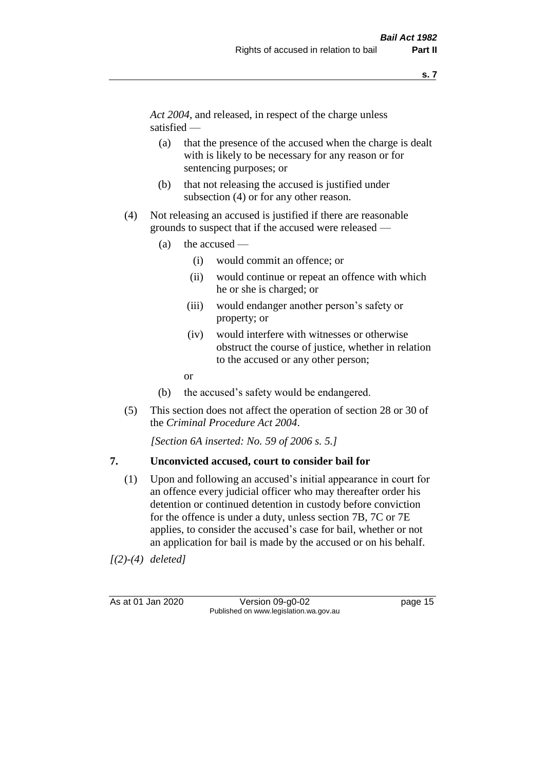*Act 2004*, and released, in respect of the charge unless satisfied —

- (a) that the presence of the accused when the charge is dealt with is likely to be necessary for any reason or for sentencing purposes; or
- (b) that not releasing the accused is justified under subsection (4) or for any other reason.
- (4) Not releasing an accused is justified if there are reasonable grounds to suspect that if the accused were released —
	- (a) the accused
		- (i) would commit an offence; or
		- (ii) would continue or repeat an offence with which he or she is charged; or
		- (iii) would endanger another person's safety or property; or
		- (iv) would interfere with witnesses or otherwise obstruct the course of justice, whether in relation to the accused or any other person;
		- or
	- (b) the accused's safety would be endangered.
- (5) This section does not affect the operation of section 28 or 30 of the *Criminal Procedure Act 2004*.

*[Section 6A inserted: No. 59 of 2006 s. 5.]* 

#### **7. Unconvicted accused, court to consider bail for**

(1) Upon and following an accused's initial appearance in court for an offence every judicial officer who may thereafter order his detention or continued detention in custody before conviction for the offence is under a duty, unless section 7B, 7C or 7E applies, to consider the accused's case for bail, whether or not an application for bail is made by the accused or on his behalf.

*[(2)-(4) deleted]*

As at 01 Jan 2020 Version 09-g0-02 page 15 Published on www.legislation.wa.gov.au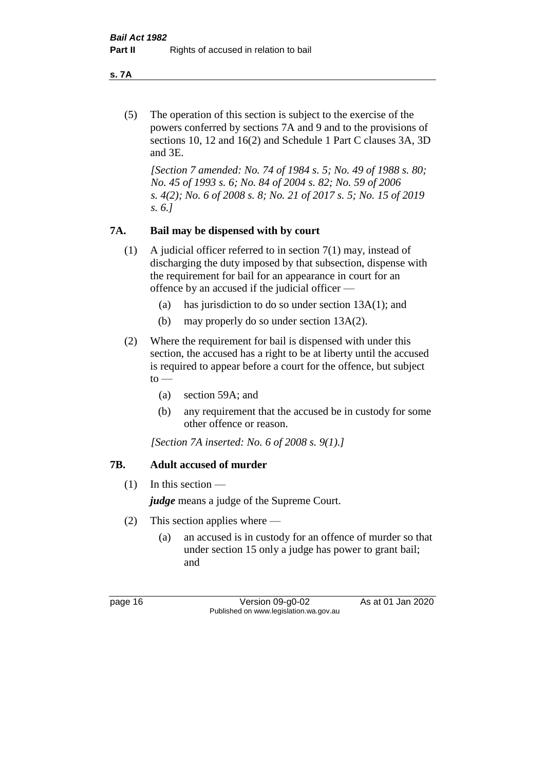**s. 7A**

(5) The operation of this section is subject to the exercise of the powers conferred by sections 7A and 9 and to the provisions of sections 10, 12 and 16(2) and Schedule 1 Part C clauses 3A, 3D and 3E.

*[Section 7 amended: No. 74 of 1984 s. 5; No. 49 of 1988 s. 80; No. 45 of 1993 s. 6; No. 84 of 2004 s. 82; No. 59 of 2006 s. 4(2); No. 6 of 2008 s. 8; No. 21 of 2017 s. 5; No. 15 of 2019 s. 6.]* 

## **7A. Bail may be dispensed with by court**

- (1) A judicial officer referred to in section 7(1) may, instead of discharging the duty imposed by that subsection, dispense with the requirement for bail for an appearance in court for an offence by an accused if the judicial officer —
	- (a) has jurisdiction to do so under section 13A(1); and
	- (b) may properly do so under section 13A(2).
- (2) Where the requirement for bail is dispensed with under this section, the accused has a right to be at liberty until the accused is required to appear before a court for the offence, but subject  $to -$ 
	- (a) section 59A; and
	- (b) any requirement that the accused be in custody for some other offence or reason.

*[Section 7A inserted: No. 6 of 2008 s. 9(1).]*

## **7B. Adult accused of murder**

 $(1)$  In this section —

*judge* means a judge of the Supreme Court.

- (2) This section applies where
	- (a) an accused is in custody for an offence of murder so that under section 15 only a judge has power to grant bail; and

page 16 Version 09-g0-02 As at 01 Jan 2020 Published on www.legislation.wa.gov.au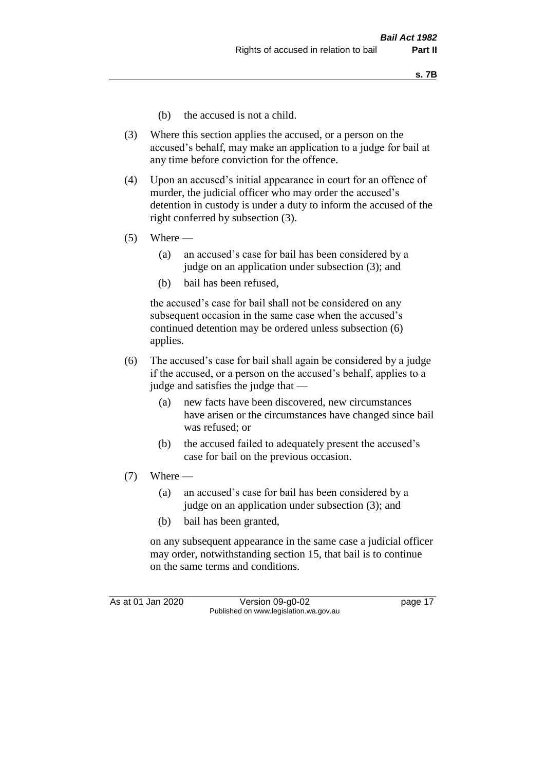- (b) the accused is not a child.
- (3) Where this section applies the accused, or a person on the accused's behalf, may make an application to a judge for bail at any time before conviction for the offence.
- (4) Upon an accused's initial appearance in court for an offence of murder, the judicial officer who may order the accused's detention in custody is under a duty to inform the accused of the right conferred by subsection (3).
- $(5)$  Where
	- (a) an accused's case for bail has been considered by a judge on an application under subsection (3); and
	- (b) bail has been refused,

the accused's case for bail shall not be considered on any subsequent occasion in the same case when the accused's continued detention may be ordered unless subsection (6) applies.

- (6) The accused's case for bail shall again be considered by a judge if the accused, or a person on the accused's behalf, applies to a judge and satisfies the judge that —
	- (a) new facts have been discovered, new circumstances have arisen or the circumstances have changed since bail was refused; or
	- (b) the accused failed to adequately present the accused's case for bail on the previous occasion.
- $(7)$  Where
	- (a) an accused's case for bail has been considered by a judge on an application under subsection (3); and
	- (b) bail has been granted,

on any subsequent appearance in the same case a judicial officer may order, notwithstanding section 15, that bail is to continue on the same terms and conditions.

As at 01 Jan 2020 Version 09-g0-02 page 17 Published on www.legislation.wa.gov.au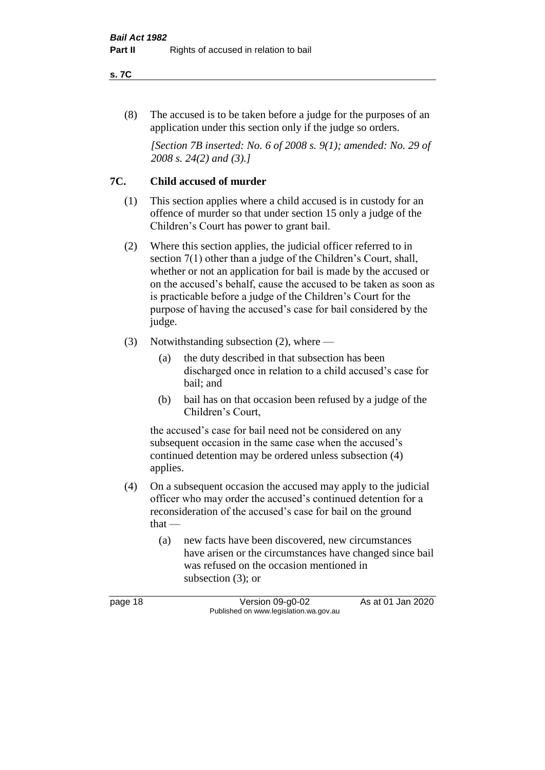#### **s. 7C**

(8) The accused is to be taken before a judge for the purposes of an application under this section only if the judge so orders.

*[Section 7B inserted: No. 6 of 2008 s. 9(1); amended: No. 29 of 2008 s. 24(2) and (3).]*

## **7C. Child accused of murder**

- (1) This section applies where a child accused is in custody for an offence of murder so that under section 15 only a judge of the Children's Court has power to grant bail.
- (2) Where this section applies, the judicial officer referred to in section 7(1) other than a judge of the Children's Court, shall, whether or not an application for bail is made by the accused or on the accused's behalf, cause the accused to be taken as soon as is practicable before a judge of the Children's Court for the purpose of having the accused's case for bail considered by the judge.
- (3) Notwithstanding subsection (2), where
	- (a) the duty described in that subsection has been discharged once in relation to a child accused's case for bail; and
	- (b) bail has on that occasion been refused by a judge of the Children's Court,

the accused's case for bail need not be considered on any subsequent occasion in the same case when the accused's continued detention may be ordered unless subsection (4) applies.

- (4) On a subsequent occasion the accused may apply to the judicial officer who may order the accused's continued detention for a reconsideration of the accused's case for bail on the ground that —
	- (a) new facts have been discovered, new circumstances have arisen or the circumstances have changed since bail was refused on the occasion mentioned in subsection (3); or

page 18 Version 09-g0-02 As at 01 Jan 2020 Published on www.legislation.wa.gov.au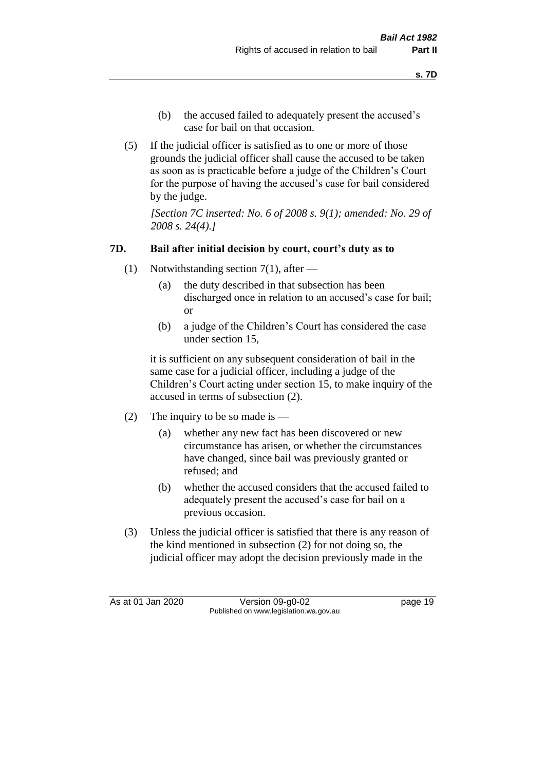- (b) the accused failed to adequately present the accused's case for bail on that occasion.
- (5) If the judicial officer is satisfied as to one or more of those grounds the judicial officer shall cause the accused to be taken as soon as is practicable before a judge of the Children's Court for the purpose of having the accused's case for bail considered by the judge.

*[Section 7C inserted: No. 6 of 2008 s. 9(1); amended: No. 29 of 2008 s. 24(4).]*

## **7D. Bail after initial decision by court, court's duty as to**

- (1) Notwithstanding section 7(1), after
	- (a) the duty described in that subsection has been discharged once in relation to an accused's case for bail; or
	- (b) a judge of the Children's Court has considered the case under section 15,

it is sufficient on any subsequent consideration of bail in the same case for a judicial officer, including a judge of the Children's Court acting under section 15, to make inquiry of the accused in terms of subsection (2).

- (2) The inquiry to be so made is
	- (a) whether any new fact has been discovered or new circumstance has arisen, or whether the circumstances have changed, since bail was previously granted or refused; and
	- (b) whether the accused considers that the accused failed to adequately present the accused's case for bail on a previous occasion.
- (3) Unless the judicial officer is satisfied that there is any reason of the kind mentioned in subsection (2) for not doing so, the judicial officer may adopt the decision previously made in the

As at 01 Jan 2020 Version 09-g0-02 page 19 Published on www.legislation.wa.gov.au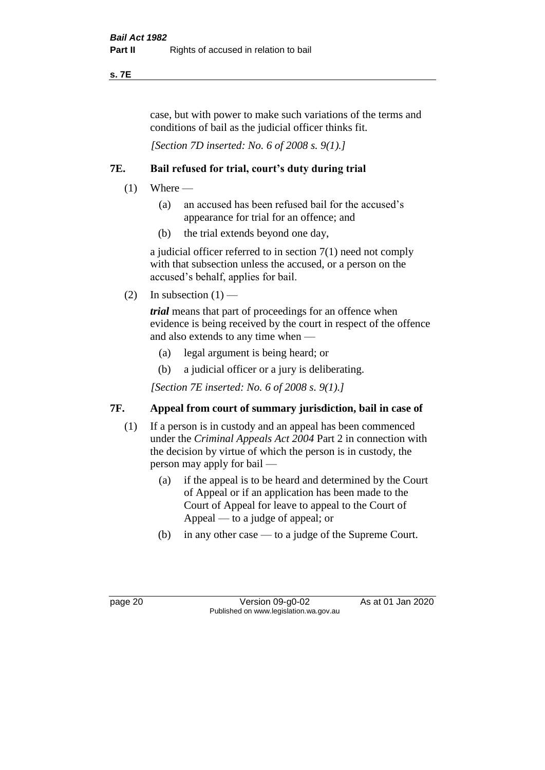**s. 7E**

case, but with power to make such variations of the terms and conditions of bail as the judicial officer thinks fit.

*[Section 7D inserted: No. 6 of 2008 s. 9(1).]*

## **7E. Bail refused for trial, court's duty during trial**

- $(1)$  Where
	- (a) an accused has been refused bail for the accused's appearance for trial for an offence; and
	- (b) the trial extends beyond one day,

a judicial officer referred to in section 7(1) need not comply with that subsection unless the accused, or a person on the accused's behalf, applies for bail.

(2) In subsection  $(1)$  —

*trial* means that part of proceedings for an offence when evidence is being received by the court in respect of the offence and also extends to any time when —

- (a) legal argument is being heard; or
- (b) a judicial officer or a jury is deliberating.

*[Section 7E inserted: No. 6 of 2008 s. 9(1).]*

## **7F. Appeal from court of summary jurisdiction, bail in case of**

- (1) If a person is in custody and an appeal has been commenced under the *Criminal Appeals Act 2004* Part 2 in connection with the decision by virtue of which the person is in custody, the person may apply for bail —
	- (a) if the appeal is to be heard and determined by the Court of Appeal or if an application has been made to the Court of Appeal for leave to appeal to the Court of Appeal — to a judge of appeal; or
	- (b) in any other case to a judge of the Supreme Court.

page 20 Version 09-g0-02 As at 01 Jan 2020 Published on www.legislation.wa.gov.au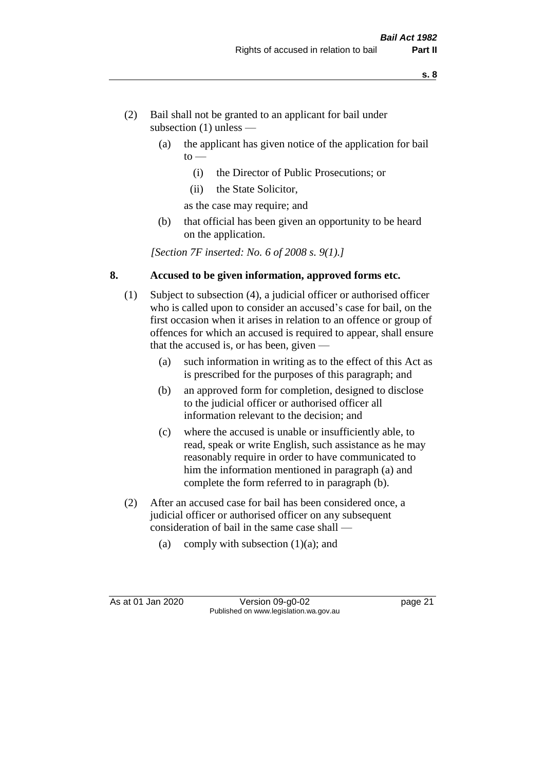- (2) Bail shall not be granted to an applicant for bail under subsection (1) unless —
	- (a) the applicant has given notice of the application for bail  $to -$ 
		- (i) the Director of Public Prosecutions; or
		- (ii) the State Solicitor,
		- as the case may require; and
	- (b) that official has been given an opportunity to be heard on the application.

*[Section 7F inserted: No. 6 of 2008 s. 9(1).]*

### **8. Accused to be given information, approved forms etc.**

- (1) Subject to subsection (4), a judicial officer or authorised officer who is called upon to consider an accused's case for bail, on the first occasion when it arises in relation to an offence or group of offences for which an accused is required to appear, shall ensure that the accused is, or has been, given —
	- (a) such information in writing as to the effect of this Act as is prescribed for the purposes of this paragraph; and
	- (b) an approved form for completion, designed to disclose to the judicial officer or authorised officer all information relevant to the decision; and
	- (c) where the accused is unable or insufficiently able, to read, speak or write English, such assistance as he may reasonably require in order to have communicated to him the information mentioned in paragraph (a) and complete the form referred to in paragraph (b).
- (2) After an accused case for bail has been considered once, a judicial officer or authorised officer on any subsequent consideration of bail in the same case shall —
	- (a) comply with subsection  $(1)(a)$ ; and

As at 01 Jan 2020 Version 09-g0-02 page 21 Published on www.legislation.wa.gov.au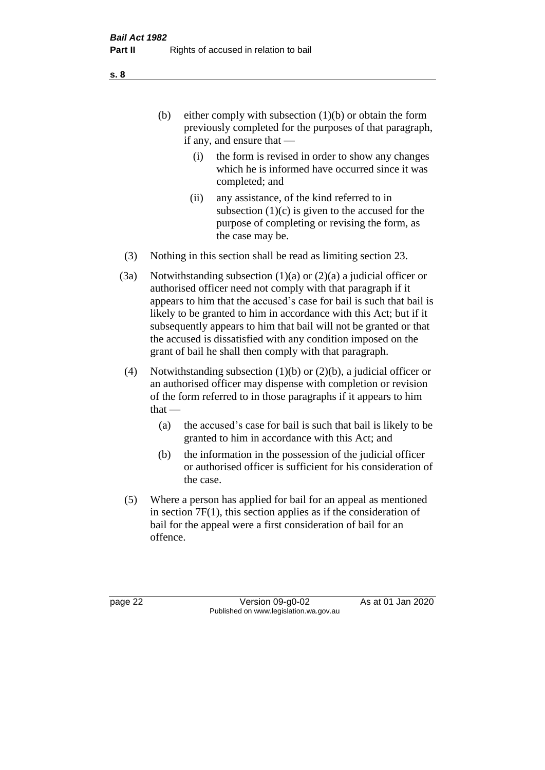(b) either comply with subsection  $(1)(b)$  or obtain the form previously completed for the purposes of that paragraph, if any, and ensure that —

- (i) the form is revised in order to show any changes which he is informed have occurred since it was completed; and
- (ii) any assistance, of the kind referred to in subsection  $(1)(c)$  is given to the accused for the purpose of completing or revising the form, as the case may be.
- (3) Nothing in this section shall be read as limiting section 23.
- (3a) Notwithstanding subsection  $(1)(a)$  or  $(2)(a)$  a judicial officer or authorised officer need not comply with that paragraph if it appears to him that the accused's case for bail is such that bail is likely to be granted to him in accordance with this Act; but if it subsequently appears to him that bail will not be granted or that the accused is dissatisfied with any condition imposed on the grant of bail he shall then comply with that paragraph.
- (4) Notwithstanding subsection (1)(b) or (2)(b), a judicial officer or an authorised officer may dispense with completion or revision of the form referred to in those paragraphs if it appears to him  $that -$ 
	- (a) the accused's case for bail is such that bail is likely to be granted to him in accordance with this Act; and
	- (b) the information in the possession of the judicial officer or authorised officer is sufficient for his consideration of the case.
- (5) Where a person has applied for bail for an appeal as mentioned in section 7F(1), this section applies as if the consideration of bail for the appeal were a first consideration of bail for an offence.

page 22 Version 09-g0-02 As at 01 Jan 2020 Published on www.legislation.wa.gov.au

**s. 8**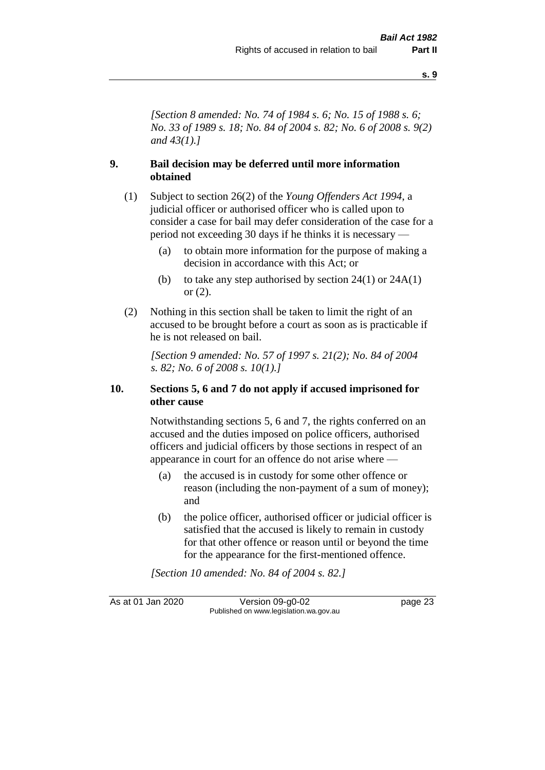*[Section 8 amended: No. 74 of 1984 s. 6; No. 15 of 1988 s. 6; No. 33 of 1989 s. 18; No. 84 of 2004 s. 82; No. 6 of 2008 s. 9(2) and 43(1).]* 

## **9. Bail decision may be deferred until more information obtained**

- (1) Subject to section 26(2) of the *Young Offenders Act 1994*, a judicial officer or authorised officer who is called upon to consider a case for bail may defer consideration of the case for a period not exceeding 30 days if he thinks it is necessary —
	- (a) to obtain more information for the purpose of making a decision in accordance with this Act; or
	- (b) to take any step authorised by section  $24(1)$  or  $24A(1)$ or (2).
- (2) Nothing in this section shall be taken to limit the right of an accused to be brought before a court as soon as is practicable if he is not released on bail.

*[Section 9 amended: No. 57 of 1997 s. 21(2); No. 84 of 2004 s. 82; No. 6 of 2008 s. 10(1).]*

#### **10. Sections 5, 6 and 7 do not apply if accused imprisoned for other cause**

Notwithstanding sections 5, 6 and 7, the rights conferred on an accused and the duties imposed on police officers, authorised officers and judicial officers by those sections in respect of an appearance in court for an offence do not arise where —

- (a) the accused is in custody for some other offence or reason (including the non-payment of a sum of money); and
- (b) the police officer, authorised officer or judicial officer is satisfied that the accused is likely to remain in custody for that other offence or reason until or beyond the time for the appearance for the first-mentioned offence.

*[Section 10 amended: No. 84 of 2004 s. 82.]*

As at 01 Jan 2020 Version 09-g0-02 page 23 Published on www.legislation.wa.gov.au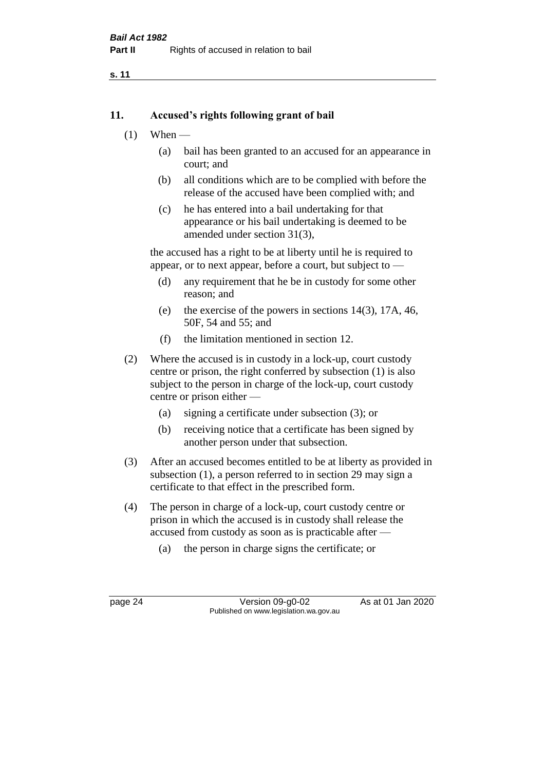#### **11. Accused's rights following grant of bail**

- $(1)$  When
	- (a) bail has been granted to an accused for an appearance in court; and
	- (b) all conditions which are to be complied with before the release of the accused have been complied with; and
	- (c) he has entered into a bail undertaking for that appearance or his bail undertaking is deemed to be amended under section 31(3),

the accused has a right to be at liberty until he is required to appear, or to next appear, before a court, but subject to —

- (d) any requirement that he be in custody for some other reason; and
- (e) the exercise of the powers in sections 14(3), 17A, 46, 50F, 54 and 55; and
- (f) the limitation mentioned in section 12.
- (2) Where the accused is in custody in a lock-up, court custody centre or prison, the right conferred by subsection (1) is also subject to the person in charge of the lock-up, court custody centre or prison either —
	- (a) signing a certificate under subsection (3); or
	- (b) receiving notice that a certificate has been signed by another person under that subsection.
- (3) After an accused becomes entitled to be at liberty as provided in subsection (1), a person referred to in section 29 may sign a certificate to that effect in the prescribed form.
- (4) The person in charge of a lock-up, court custody centre or prison in which the accused is in custody shall release the accused from custody as soon as is practicable after —
	- (a) the person in charge signs the certificate; or

page 24 Version 09-g0-02 As at 01 Jan 2020 Published on www.legislation.wa.gov.au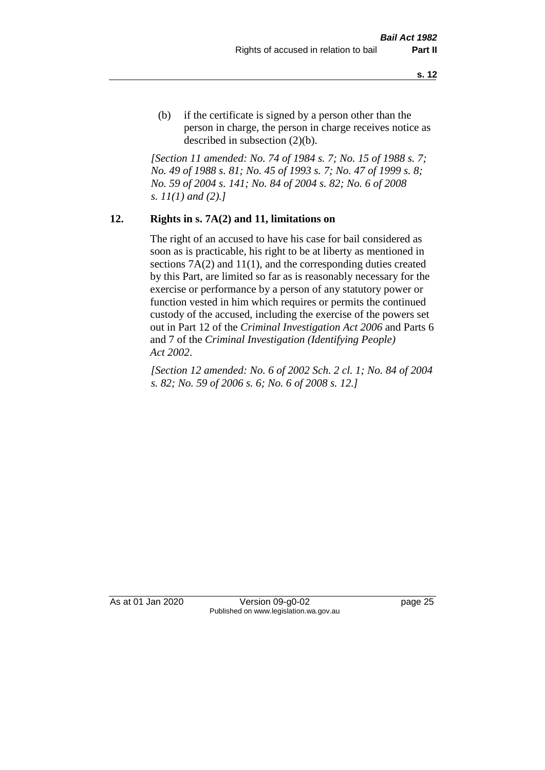(b) if the certificate is signed by a person other than the person in charge, the person in charge receives notice as described in subsection (2)(b).

*[Section 11 amended: No. 74 of 1984 s. 7; No. 15 of 1988 s. 7; No. 49 of 1988 s. 81; No. 45 of 1993 s. 7; No. 47 of 1999 s. 8; No. 59 of 2004 s. 141; No. 84 of 2004 s. 82; No. 6 of 2008 s. 11(1) and (2).]* 

#### **12. Rights in s. 7A(2) and 11, limitations on**

The right of an accused to have his case for bail considered as soon as is practicable, his right to be at liberty as mentioned in sections 7A(2) and 11(1), and the corresponding duties created by this Part, are limited so far as is reasonably necessary for the exercise or performance by a person of any statutory power or function vested in him which requires or permits the continued custody of the accused, including the exercise of the powers set out in Part 12 of the *Criminal Investigation Act 2006* and Parts 6 and 7 of the *Criminal Investigation (Identifying People) Act 2002*.

*[Section 12 amended: No. 6 of 2002 Sch. 2 cl. 1; No. 84 of 2004 s. 82; No. 59 of 2006 s. 6; No. 6 of 2008 s. 12.]*

As at 01 Jan 2020 Version 09-g0-02 page 25 Published on www.legislation.wa.gov.au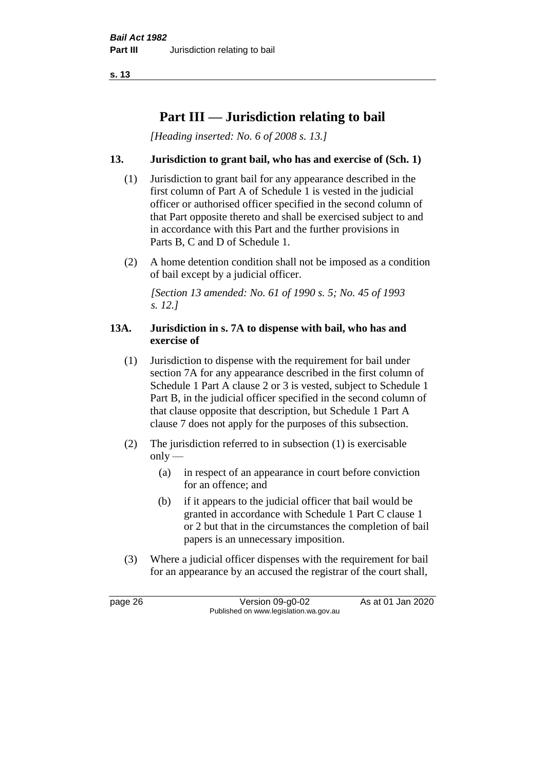## **Part III — Jurisdiction relating to bail**

*[Heading inserted: No. 6 of 2008 s. 13.]*

## **13. Jurisdiction to grant bail, who has and exercise of (Sch. 1)**

- (1) Jurisdiction to grant bail for any appearance described in the first column of Part A of Schedule 1 is vested in the judicial officer or authorised officer specified in the second column of that Part opposite thereto and shall be exercised subject to and in accordance with this Part and the further provisions in Parts B, C and D of Schedule 1.
- (2) A home detention condition shall not be imposed as a condition of bail except by a judicial officer.

*[Section 13 amended: No. 61 of 1990 s. 5; No. 45 of 1993 s. 12.]* 

#### **13A. Jurisdiction in s. 7A to dispense with bail, who has and exercise of**

- (1) Jurisdiction to dispense with the requirement for bail under section 7A for any appearance described in the first column of Schedule 1 Part A clause 2 or 3 is vested, subject to Schedule 1 Part B, in the judicial officer specified in the second column of that clause opposite that description, but Schedule 1 Part A clause 7 does not apply for the purposes of this subsection.
- (2) The jurisdiction referred to in subsection (1) is exercisable  $only$ —
	- (a) in respect of an appearance in court before conviction for an offence; and
	- (b) if it appears to the judicial officer that bail would be granted in accordance with Schedule 1 Part C clause 1 or 2 but that in the circumstances the completion of bail papers is an unnecessary imposition.
- (3) Where a judicial officer dispenses with the requirement for bail for an appearance by an accused the registrar of the court shall,

page 26 Version 09-g0-02 As at 01 Jan 2020 Published on www.legislation.wa.gov.au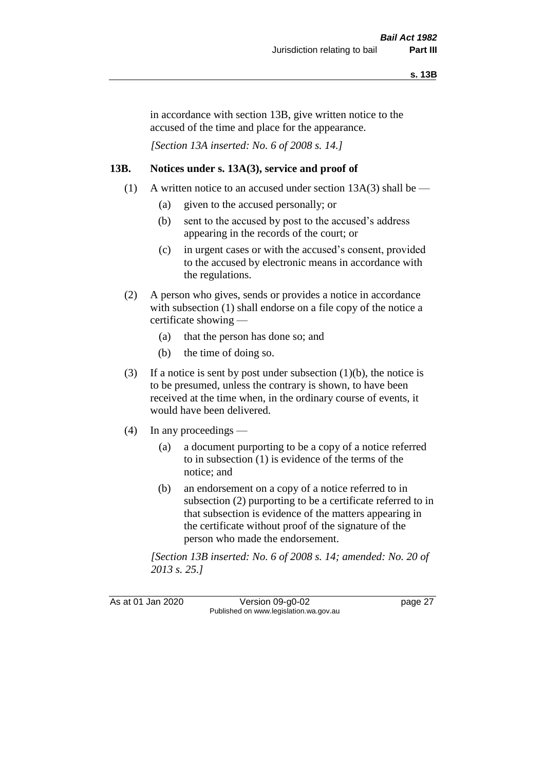in accordance with section 13B, give written notice to the accused of the time and place for the appearance.

*[Section 13A inserted: No. 6 of 2008 s. 14.]*

# **13B. Notices under s. 13A(3), service and proof of**

- (1) A written notice to an accused under section  $13A(3)$  shall be
	- (a) given to the accused personally; or
	- (b) sent to the accused by post to the accused's address appearing in the records of the court; or
	- (c) in urgent cases or with the accused's consent, provided to the accused by electronic means in accordance with the regulations.
- (2) A person who gives, sends or provides a notice in accordance with subsection (1) shall endorse on a file copy of the notice a certificate showing —
	- (a) that the person has done so; and
	- (b) the time of doing so.
- (3) If a notice is sent by post under subsection  $(1)(b)$ , the notice is to be presumed, unless the contrary is shown, to have been received at the time when, in the ordinary course of events, it would have been delivered.
- (4) In any proceedings
	- (a) a document purporting to be a copy of a notice referred to in subsection (1) is evidence of the terms of the notice; and
	- (b) an endorsement on a copy of a notice referred to in subsection (2) purporting to be a certificate referred to in that subsection is evidence of the matters appearing in the certificate without proof of the signature of the person who made the endorsement.

*[Section 13B inserted: No. 6 of 2008 s. 14; amended: No. 20 of 2013 s. 25.]*

As at 01 Jan 2020 Version 09-g0-02 page 27 Published on www.legislation.wa.gov.au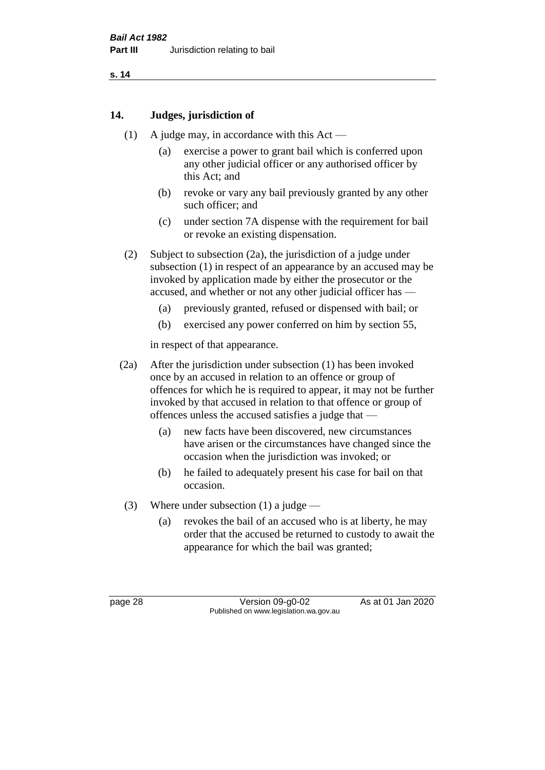# **14. Judges, jurisdiction of**

- (1) A judge may, in accordance with this Act
	- (a) exercise a power to grant bail which is conferred upon any other judicial officer or any authorised officer by this Act; and
	- (b) revoke or vary any bail previously granted by any other such officer; and
	- (c) under section 7A dispense with the requirement for bail or revoke an existing dispensation.
- (2) Subject to subsection (2a), the jurisdiction of a judge under subsection (1) in respect of an appearance by an accused may be invoked by application made by either the prosecutor or the accused, and whether or not any other judicial officer has —
	- (a) previously granted, refused or dispensed with bail; or
	- (b) exercised any power conferred on him by section 55,

in respect of that appearance.

- (2a) After the jurisdiction under subsection (1) has been invoked once by an accused in relation to an offence or group of offences for which he is required to appear, it may not be further invoked by that accused in relation to that offence or group of offences unless the accused satisfies a judge that —
	- (a) new facts have been discovered, new circumstances have arisen or the circumstances have changed since the occasion when the jurisdiction was invoked; or
	- (b) he failed to adequately present his case for bail on that occasion.
- (3) Where under subsection (1) a judge
	- (a) revokes the bail of an accused who is at liberty, he may order that the accused be returned to custody to await the appearance for which the bail was granted;

page 28 Version 09-g0-02 As at 01 Jan 2020 Published on www.legislation.wa.gov.au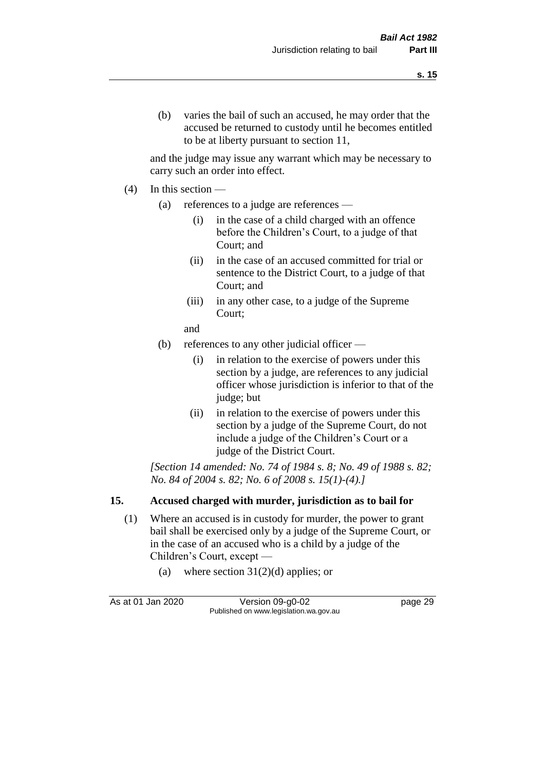and the judge may issue any warrant which may be necessary to carry such an order into effect.

- (4) In this section
	- (a) references to a judge are references
		- (i) in the case of a child charged with an offence before the Children's Court, to a judge of that Court; and
		- (ii) in the case of an accused committed for trial or sentence to the District Court, to a judge of that Court; and
		- (iii) in any other case, to a judge of the Supreme Court;
		- and
	- (b) references to any other judicial officer
		- (i) in relation to the exercise of powers under this section by a judge, are references to any judicial officer whose jurisdiction is inferior to that of the judge; but
		- (ii) in relation to the exercise of powers under this section by a judge of the Supreme Court, do not include a judge of the Children's Court or a judge of the District Court.

*[Section 14 amended: No. 74 of 1984 s. 8; No. 49 of 1988 s. 82; No. 84 of 2004 s. 82; No. 6 of 2008 s. 15(1)-(4).]* 

# **15. Accused charged with murder, jurisdiction as to bail for**

- (1) Where an accused is in custody for murder, the power to grant bail shall be exercised only by a judge of the Supreme Court, or in the case of an accused who is a child by a judge of the Children's Court, except —
	- (a) where section  $31(2)(d)$  applies; or

As at 01 Jan 2020 Version 09-g0-02 page 29 Published on www.legislation.wa.gov.au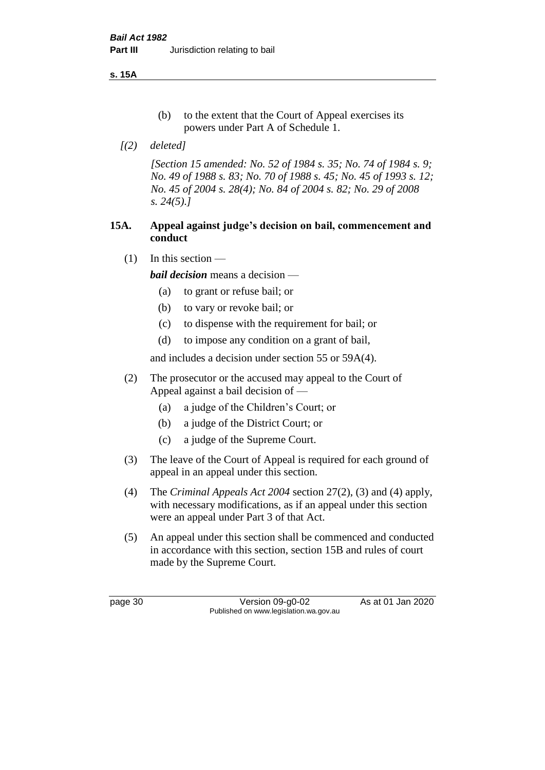**s. 15A**

- (b) to the extent that the Court of Appeal exercises its powers under Part A of Schedule 1.
- *[(2) deleted]*

*[Section 15 amended: No. 52 of 1984 s. 35; No. 74 of 1984 s. 9; No. 49 of 1988 s. 83; No. 70 of 1988 s. 45; No. 45 of 1993 s. 12; No. 45 of 2004 s. 28(4); No. 84 of 2004 s. 82; No. 29 of 2008 s. 24(5).]* 

# **15A. Appeal against judge's decision on bail, commencement and conduct**

 $(1)$  In this section —

*bail decision* means a decision —

- (a) to grant or refuse bail; or
- (b) to vary or revoke bail; or
- (c) to dispense with the requirement for bail; or
- (d) to impose any condition on a grant of bail,

and includes a decision under section 55 or 59A(4).

- (2) The prosecutor or the accused may appeal to the Court of Appeal against a bail decision of —
	- (a) a judge of the Children's Court; or
	- (b) a judge of the District Court; or
	- (c) a judge of the Supreme Court.
- (3) The leave of the Court of Appeal is required for each ground of appeal in an appeal under this section.
- (4) The *Criminal Appeals Act 2004* section 27(2), (3) and (4) apply, with necessary modifications, as if an appeal under this section were an appeal under Part 3 of that Act.
- (5) An appeal under this section shall be commenced and conducted in accordance with this section, section 15B and rules of court made by the Supreme Court.

page 30 Version 09-g0-02 As at 01 Jan 2020 Published on www.legislation.wa.gov.au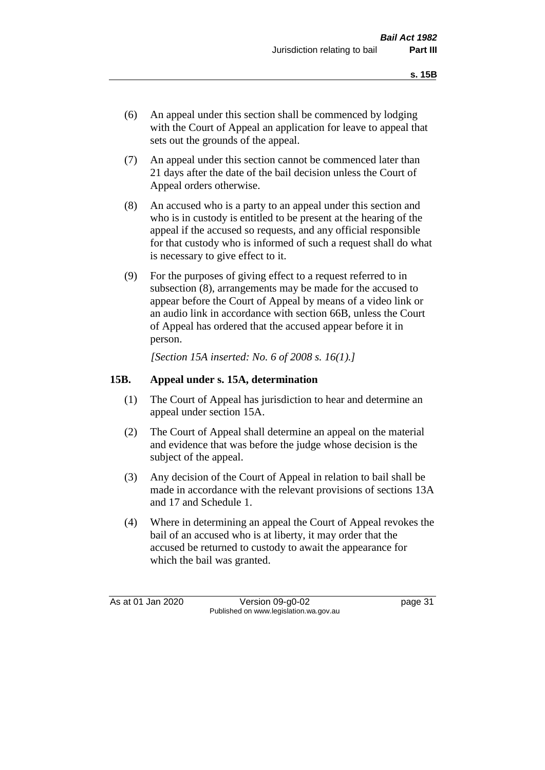- (6) An appeal under this section shall be commenced by lodging with the Court of Appeal an application for leave to appeal that sets out the grounds of the appeal.
- (7) An appeal under this section cannot be commenced later than 21 days after the date of the bail decision unless the Court of Appeal orders otherwise.
- (8) An accused who is a party to an appeal under this section and who is in custody is entitled to be present at the hearing of the appeal if the accused so requests, and any official responsible for that custody who is informed of such a request shall do what is necessary to give effect to it.
- (9) For the purposes of giving effect to a request referred to in subsection (8), arrangements may be made for the accused to appear before the Court of Appeal by means of a video link or an audio link in accordance with section 66B, unless the Court of Appeal has ordered that the accused appear before it in person.

*[Section 15A inserted: No. 6 of 2008 s. 16(1).]*

# **15B. Appeal under s. 15A, determination**

- (1) The Court of Appeal has jurisdiction to hear and determine an appeal under section 15A.
- (2) The Court of Appeal shall determine an appeal on the material and evidence that was before the judge whose decision is the subject of the appeal.
- (3) Any decision of the Court of Appeal in relation to bail shall be made in accordance with the relevant provisions of sections 13A and 17 and Schedule 1.
- (4) Where in determining an appeal the Court of Appeal revokes the bail of an accused who is at liberty, it may order that the accused be returned to custody to await the appearance for which the bail was granted.

As at 01 Jan 2020 Version 09-g0-02 page 31 Published on www.legislation.wa.gov.au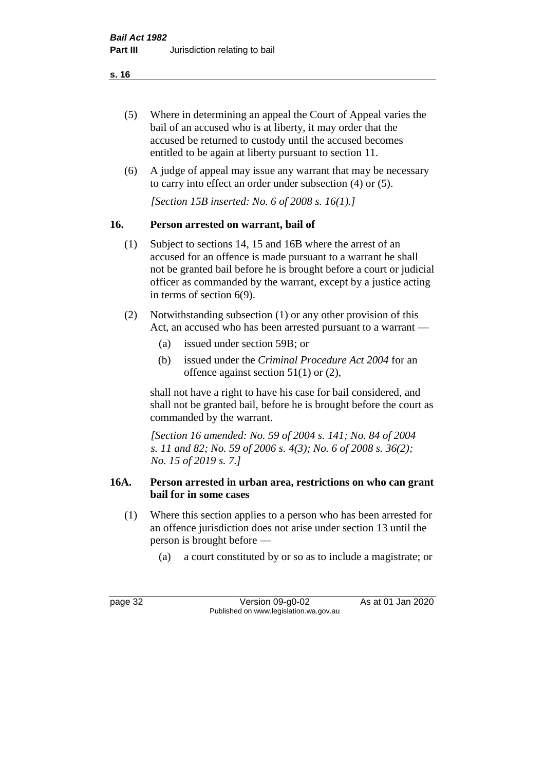- (5) Where in determining an appeal the Court of Appeal varies the bail of an accused who is at liberty, it may order that the accused be returned to custody until the accused becomes entitled to be again at liberty pursuant to section 11.
- (6) A judge of appeal may issue any warrant that may be necessary to carry into effect an order under subsection (4) or (5).

*[Section 15B inserted: No. 6 of 2008 s. 16(1).]*

# **16. Person arrested on warrant, bail of**

- (1) Subject to sections 14, 15 and 16B where the arrest of an accused for an offence is made pursuant to a warrant he shall not be granted bail before he is brought before a court or judicial officer as commanded by the warrant, except by a justice acting in terms of section 6(9).
- (2) Notwithstanding subsection (1) or any other provision of this Act, an accused who has been arrested pursuant to a warrant —
	- (a) issued under section 59B; or
	- (b) issued under the *Criminal Procedure Act 2004* for an offence against section 51(1) or (2),

shall not have a right to have his case for bail considered, and shall not be granted bail, before he is brought before the court as commanded by the warrant.

*[Section 16 amended: No. 59 of 2004 s. 141; No. 84 of 2004 s. 11 and 82; No. 59 of 2006 s. 4(3); No. 6 of 2008 s. 36(2); No. 15 of 2019 s. 7.]*

# **16A. Person arrested in urban area, restrictions on who can grant bail for in some cases**

- (1) Where this section applies to a person who has been arrested for an offence jurisdiction does not arise under section 13 until the person is brought before —
	- (a) a court constituted by or so as to include a magistrate; or

page 32 Version 09-g0-02 As at 01 Jan 2020 Published on www.legislation.wa.gov.au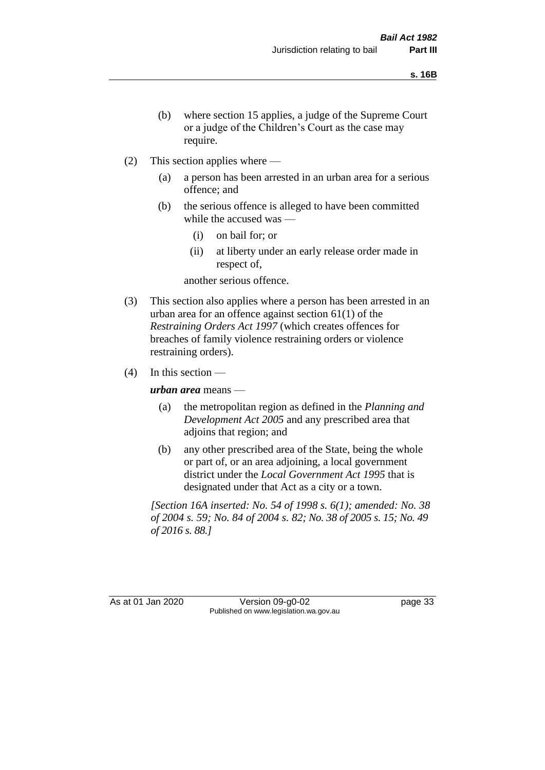- (b) where section 15 applies, a judge of the Supreme Court or a judge of the Children's Court as the case may require.
- (2) This section applies where
	- (a) a person has been arrested in an urban area for a serious offence; and
	- (b) the serious offence is alleged to have been committed while the accused was —
		- (i) on bail for; or
		- (ii) at liberty under an early release order made in respect of,

another serious offence.

- (3) This section also applies where a person has been arrested in an urban area for an offence against section 61(1) of the *Restraining Orders Act 1997* (which creates offences for breaches of family violence restraining orders or violence restraining orders).
- $(4)$  In this section —

*urban area* means —

- (a) the metropolitan region as defined in the *Planning and Development Act 2005* and any prescribed area that adjoins that region; and
- (b) any other prescribed area of the State, being the whole or part of, or an area adjoining, a local government district under the *Local Government Act 1995* that is designated under that Act as a city or a town.

*[Section 16A inserted: No. 54 of 1998 s. 6(1); amended: No. 38 of 2004 s. 59; No. 84 of 2004 s. 82; No. 38 of 2005 s. 15; No. 49 of 2016 s. 88.]*

As at 01 Jan 2020 Version 09-g0-02 page 33 Published on www.legislation.wa.gov.au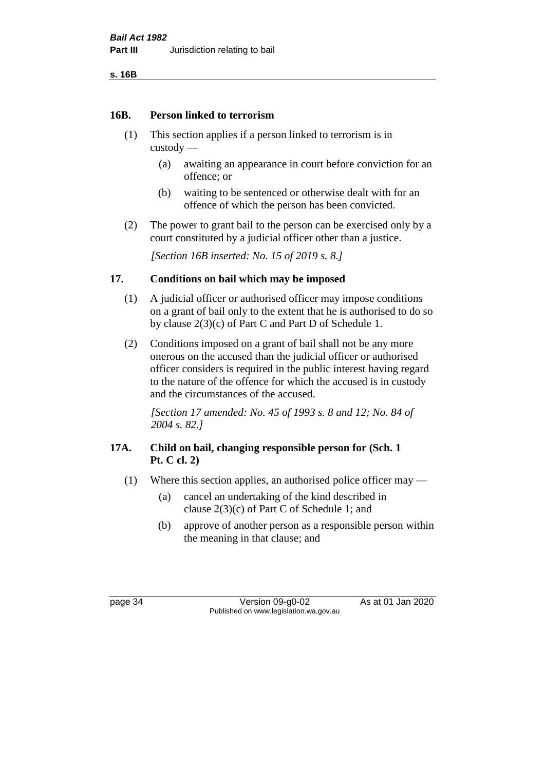**s. 16B**

#### **16B. Person linked to terrorism**

- (1) This section applies if a person linked to terrorism is in custody —
	- (a) awaiting an appearance in court before conviction for an offence; or
	- (b) waiting to be sentenced or otherwise dealt with for an offence of which the person has been convicted.
- (2) The power to grant bail to the person can be exercised only by a court constituted by a judicial officer other than a justice.

*[Section 16B inserted: No. 15 of 2019 s. 8.]*

# **17. Conditions on bail which may be imposed**

- (1) A judicial officer or authorised officer may impose conditions on a grant of bail only to the extent that he is authorised to do so by clause 2(3)(c) of Part C and Part D of Schedule 1.
- (2) Conditions imposed on a grant of bail shall not be any more onerous on the accused than the judicial officer or authorised officer considers is required in the public interest having regard to the nature of the offence for which the accused is in custody and the circumstances of the accused.

*[Section 17 amended: No. 45 of 1993 s. 8 and 12; No. 84 of 2004 s. 82.]* 

# **17A. Child on bail, changing responsible person for (Sch. 1 Pt. C cl. 2)**

- (1) Where this section applies, an authorised police officer may
	- (a) cancel an undertaking of the kind described in clause 2(3)(c) of Part C of Schedule 1; and
	- (b) approve of another person as a responsible person within the meaning in that clause; and

page 34 Version 09-g0-02 As at 01 Jan 2020 Published on www.legislation.wa.gov.au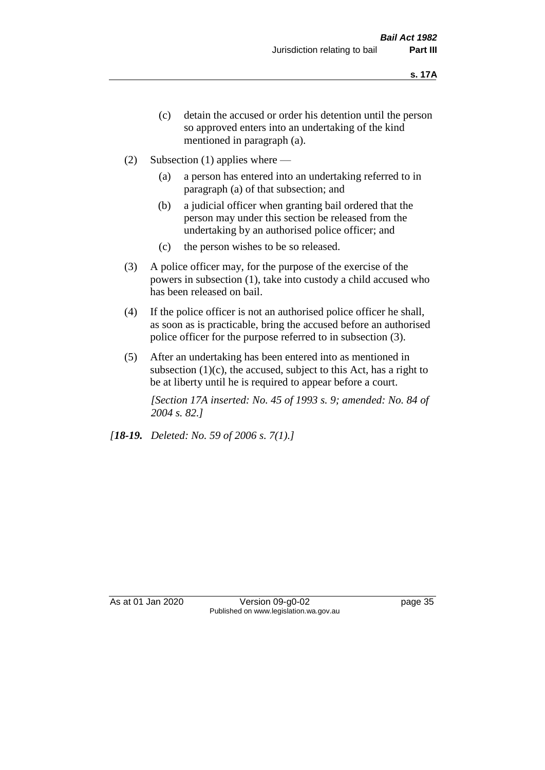- (c) detain the accused or order his detention until the person so approved enters into an undertaking of the kind mentioned in paragraph (a).
- (2) Subsection (1) applies where
	- (a) a person has entered into an undertaking referred to in paragraph (a) of that subsection; and
	- (b) a judicial officer when granting bail ordered that the person may under this section be released from the undertaking by an authorised police officer; and
	- (c) the person wishes to be so released.
- (3) A police officer may, for the purpose of the exercise of the powers in subsection (1), take into custody a child accused who has been released on bail.
- (4) If the police officer is not an authorised police officer he shall, as soon as is practicable, bring the accused before an authorised police officer for the purpose referred to in subsection (3).
- (5) After an undertaking has been entered into as mentioned in subsection  $(1)(c)$ , the accused, subject to this Act, has a right to be at liberty until he is required to appear before a court.

*[Section 17A inserted: No. 45 of 1993 s. 9; amended: No. 84 of 2004 s. 82.]* 

*[18-19. Deleted: No. 59 of 2006 s. 7(1).]*

As at 01 Jan 2020 Version 09-g0-02 page 35 Published on www.legislation.wa.gov.au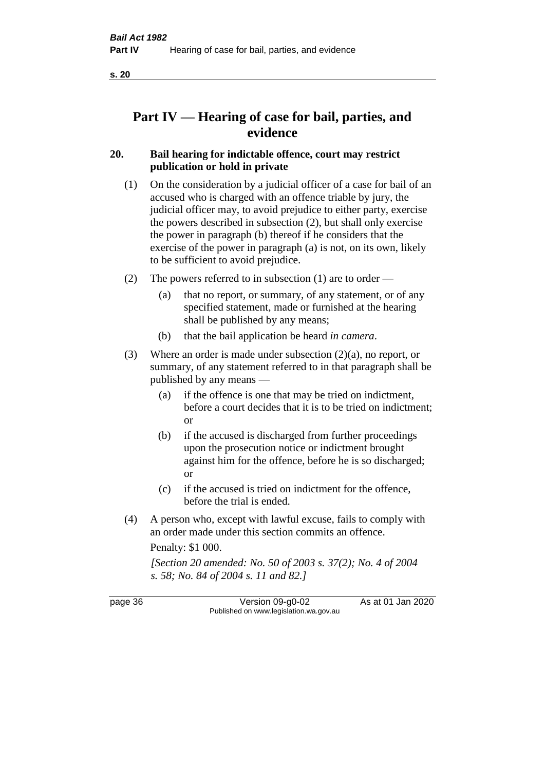# **Part IV — Hearing of case for bail, parties, and evidence**

# **20. Bail hearing for indictable offence, court may restrict publication or hold in private**

- (1) On the consideration by a judicial officer of a case for bail of an accused who is charged with an offence triable by jury, the judicial officer may, to avoid prejudice to either party, exercise the powers described in subsection (2), but shall only exercise the power in paragraph (b) thereof if he considers that the exercise of the power in paragraph (a) is not, on its own, likely to be sufficient to avoid prejudice.
- (2) The powers referred to in subsection (1) are to order
	- (a) that no report, or summary, of any statement, or of any specified statement, made or furnished at the hearing shall be published by any means;
	- (b) that the bail application be heard *in camera*.
- (3) Where an order is made under subsection (2)(a), no report, or summary, of any statement referred to in that paragraph shall be published by any means —
	- (a) if the offence is one that may be tried on indictment, before a court decides that it is to be tried on indictment; or
	- (b) if the accused is discharged from further proceedings upon the prosecution notice or indictment brought against him for the offence, before he is so discharged; or
	- (c) if the accused is tried on indictment for the offence, before the trial is ended.
- (4) A person who, except with lawful excuse, fails to comply with an order made under this section commits an offence.

Penalty: \$1 000.

*[Section 20 amended: No. 50 of 2003 s. 37(2); No. 4 of 2004 s. 58; No. 84 of 2004 s. 11 and 82.]*

page 36 Version 09-g0-02 As at 01 Jan 2020 Published on www.legislation.wa.gov.au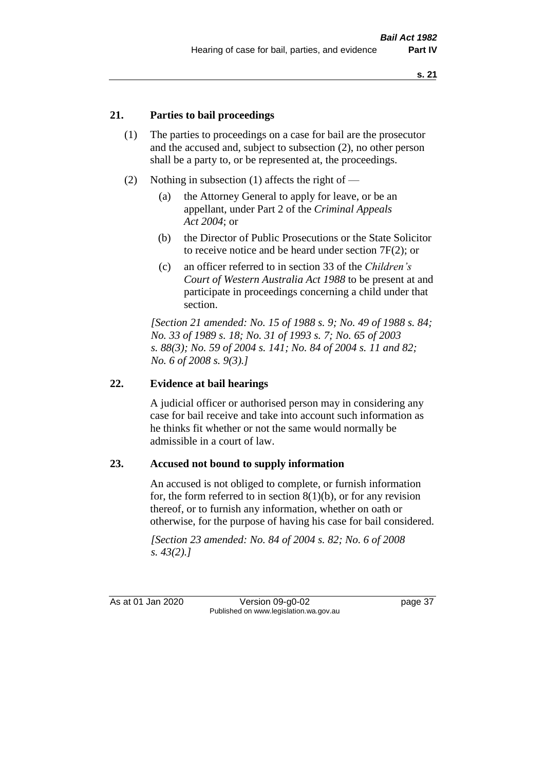# **21. Parties to bail proceedings**

- (1) The parties to proceedings on a case for bail are the prosecutor and the accused and, subject to subsection (2), no other person shall be a party to, or be represented at, the proceedings.
- (2) Nothing in subsection (1) affects the right of
	- (a) the Attorney General to apply for leave, or be an appellant, under Part 2 of the *Criminal Appeals Act 2004*; or
	- (b) the Director of Public Prosecutions or the State Solicitor to receive notice and be heard under section 7F(2); or
	- (c) an officer referred to in section 33 of the *Children's Court of Western Australia Act 1988* to be present at and participate in proceedings concerning a child under that section.

*[Section 21 amended: No. 15 of 1988 s. 9; No. 49 of 1988 s. 84; No. 33 of 1989 s. 18; No. 31 of 1993 s. 7; No. 65 of 2003 s. 88(3); No. 59 of 2004 s. 141; No. 84 of 2004 s. 11 and 82; No. 6 of 2008 s. 9(3).]* 

# **22. Evidence at bail hearings**

A judicial officer or authorised person may in considering any case for bail receive and take into account such information as he thinks fit whether or not the same would normally be admissible in a court of law.

#### **23. Accused not bound to supply information**

An accused is not obliged to complete, or furnish information for, the form referred to in section  $8(1)(b)$ , or for any revision thereof, or to furnish any information, whether on oath or otherwise, for the purpose of having his case for bail considered.

*[Section 23 amended: No. 84 of 2004 s. 82; No. 6 of 2008 s. 43(2).]* 

As at 01 Jan 2020 Version 09-g0-02 page 37 Published on www.legislation.wa.gov.au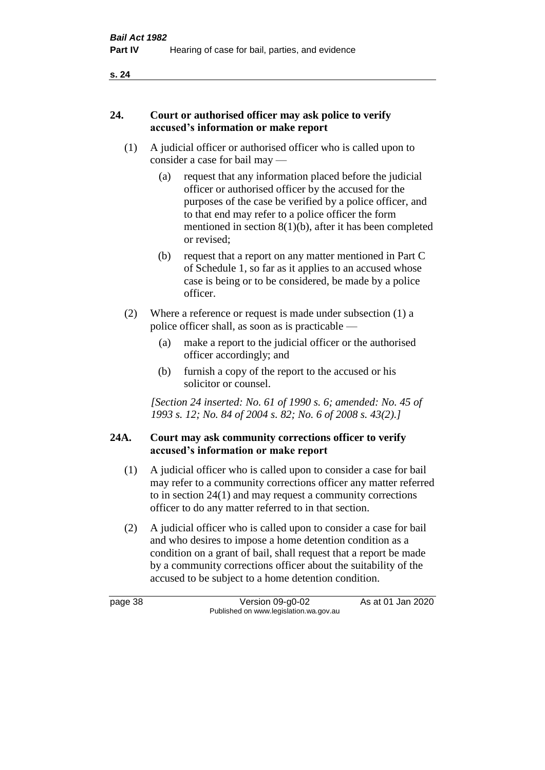# **24. Court or authorised officer may ask police to verify accused's information or make report**

- (1) A judicial officer or authorised officer who is called upon to consider a case for bail may —
	- (a) request that any information placed before the judicial officer or authorised officer by the accused for the purposes of the case be verified by a police officer, and to that end may refer to a police officer the form mentioned in section 8(1)(b), after it has been completed or revised;
	- (b) request that a report on any matter mentioned in Part C of Schedule 1, so far as it applies to an accused whose case is being or to be considered, be made by a police officer.
- (2) Where a reference or request is made under subsection (1) a police officer shall, as soon as is practicable —
	- (a) make a report to the judicial officer or the authorised officer accordingly; and
	- (b) furnish a copy of the report to the accused or his solicitor or counsel.

*[Section 24 inserted: No. 61 of 1990 s. 6; amended: No. 45 of 1993 s. 12; No. 84 of 2004 s. 82; No. 6 of 2008 s. 43(2).]* 

# **24A. Court may ask community corrections officer to verify accused's information or make report**

- (1) A judicial officer who is called upon to consider a case for bail may refer to a community corrections officer any matter referred to in section 24(1) and may request a community corrections officer to do any matter referred to in that section.
- (2) A judicial officer who is called upon to consider a case for bail and who desires to impose a home detention condition as a condition on a grant of bail, shall request that a report be made by a community corrections officer about the suitability of the accused to be subject to a home detention condition.

page 38 Version 09-g0-02 As at 01 Jan 2020 Published on www.legislation.wa.gov.au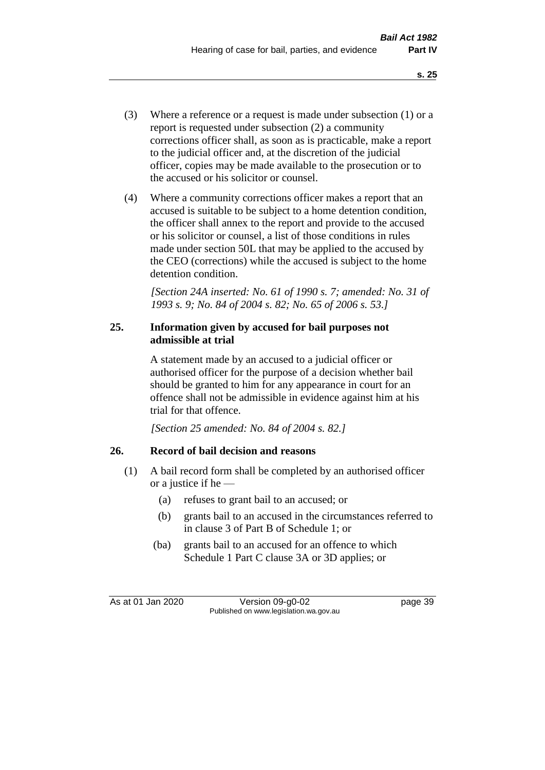- (3) Where a reference or a request is made under subsection (1) or a report is requested under subsection (2) a community corrections officer shall, as soon as is practicable, make a report to the judicial officer and, at the discretion of the judicial officer, copies may be made available to the prosecution or to the accused or his solicitor or counsel.
- (4) Where a community corrections officer makes a report that an accused is suitable to be subject to a home detention condition, the officer shall annex to the report and provide to the accused or his solicitor or counsel, a list of those conditions in rules made under section 50L that may be applied to the accused by the CEO (corrections) while the accused is subject to the home detention condition.

*[Section 24A inserted: No. 61 of 1990 s. 7; amended: No. 31 of 1993 s. 9; No. 84 of 2004 s. 82; No. 65 of 2006 s. 53.]* 

# **25. Information given by accused for bail purposes not admissible at trial**

A statement made by an accused to a judicial officer or authorised officer for the purpose of a decision whether bail should be granted to him for any appearance in court for an offence shall not be admissible in evidence against him at his trial for that offence.

*[Section 25 amended: No. 84 of 2004 s. 82.]* 

# **26. Record of bail decision and reasons**

- (1) A bail record form shall be completed by an authorised officer or a justice if he —
	- (a) refuses to grant bail to an accused; or
	- (b) grants bail to an accused in the circumstances referred to in clause 3 of Part B of Schedule 1; or
	- (ba) grants bail to an accused for an offence to which Schedule 1 Part C clause 3A or 3D applies; or

As at 01 Jan 2020 Version 09-g0-02 page 39 Published on www.legislation.wa.gov.au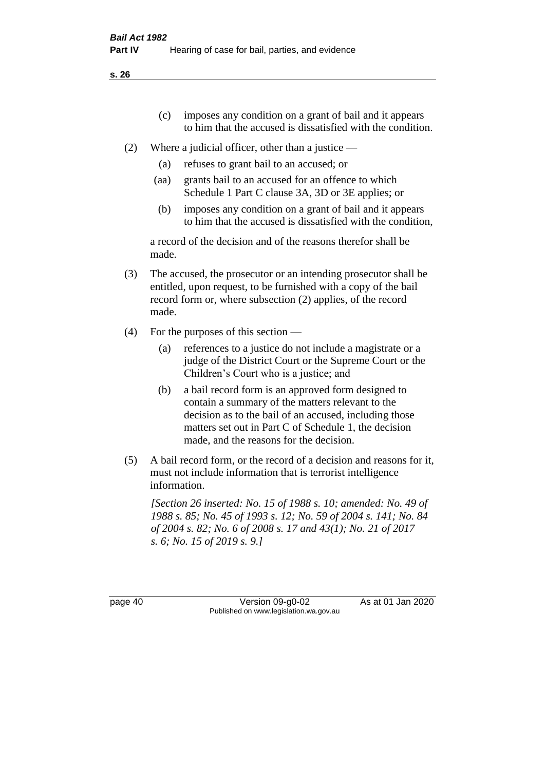- (c) imposes any condition on a grant of bail and it appears to him that the accused is dissatisfied with the condition.
- (2) Where a judicial officer, other than a justice
	- (a) refuses to grant bail to an accused; or
	- (aa) grants bail to an accused for an offence to which Schedule 1 Part C clause 3A, 3D or 3E applies; or
	- (b) imposes any condition on a grant of bail and it appears to him that the accused is dissatisfied with the condition,

a record of the decision and of the reasons therefor shall be made.

- (3) The accused, the prosecutor or an intending prosecutor shall be entitled, upon request, to be furnished with a copy of the bail record form or, where subsection (2) applies, of the record made.
- (4) For the purposes of this section
	- (a) references to a justice do not include a magistrate or a judge of the District Court or the Supreme Court or the Children's Court who is a justice; and
	- (b) a bail record form is an approved form designed to contain a summary of the matters relevant to the decision as to the bail of an accused, including those matters set out in Part C of Schedule 1, the decision made, and the reasons for the decision.
- (5) A bail record form, or the record of a decision and reasons for it, must not include information that is terrorist intelligence information.

*[Section 26 inserted: No. 15 of 1988 s. 10; amended: No. 49 of 1988 s. 85; No. 45 of 1993 s. 12; No. 59 of 2004 s. 141; No. 84 of 2004 s. 82; No. 6 of 2008 s. 17 and 43(1); No. 21 of 2017 s. 6; No. 15 of 2019 s. 9.]* 

page 40 Version 09-g0-02 As at 01 Jan 2020 Published on www.legislation.wa.gov.au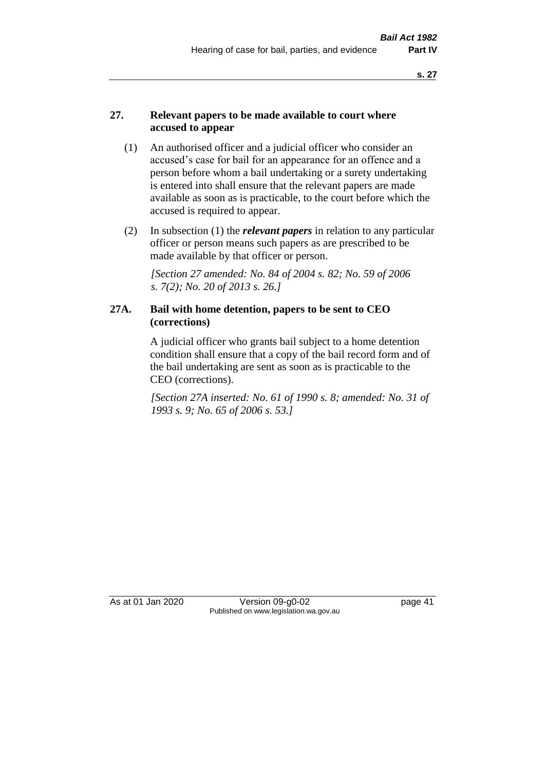# **27. Relevant papers to be made available to court where accused to appear**

- (1) An authorised officer and a judicial officer who consider an accused's case for bail for an appearance for an offence and a person before whom a bail undertaking or a surety undertaking is entered into shall ensure that the relevant papers are made available as soon as is practicable, to the court before which the accused is required to appear.
- (2) In subsection (1) the *relevant papers* in relation to any particular officer or person means such papers as are prescribed to be made available by that officer or person.

*[Section 27 amended: No. 84 of 2004 s. 82; No. 59 of 2006 s. 7(2); No. 20 of 2013 s. 26.]* 

# **27A. Bail with home detention, papers to be sent to CEO (corrections)**

A judicial officer who grants bail subject to a home detention condition shall ensure that a copy of the bail record form and of the bail undertaking are sent as soon as is practicable to the CEO (corrections).

*[Section 27A inserted: No. 61 of 1990 s. 8; amended: No. 31 of 1993 s. 9; No. 65 of 2006 s. 53.]* 

As at 01 Jan 2020 Version 09-g0-02 page 41 Published on www.legislation.wa.gov.au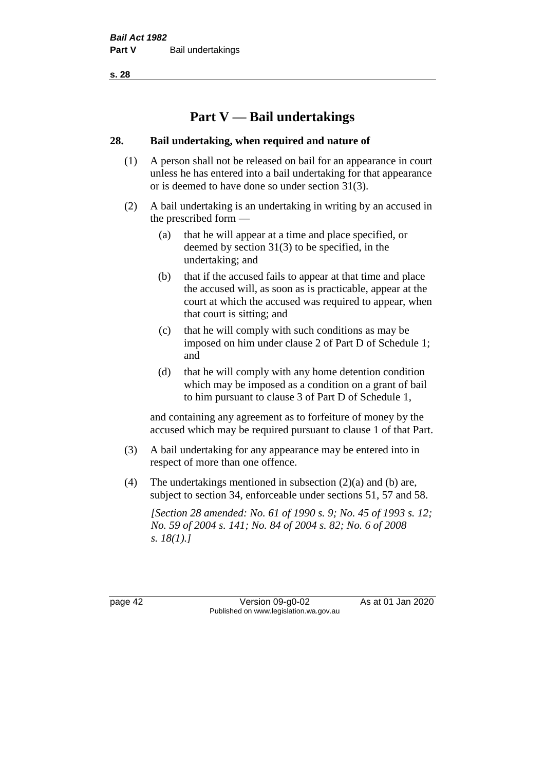# **Part V — Bail undertakings**

# **28. Bail undertaking, when required and nature of**

- (1) A person shall not be released on bail for an appearance in court unless he has entered into a bail undertaking for that appearance or is deemed to have done so under section 31(3).
- (2) A bail undertaking is an undertaking in writing by an accused in the prescribed form —
	- (a) that he will appear at a time and place specified, or deemed by section 31(3) to be specified, in the undertaking; and
	- (b) that if the accused fails to appear at that time and place the accused will, as soon as is practicable, appear at the court at which the accused was required to appear, when that court is sitting; and
	- (c) that he will comply with such conditions as may be imposed on him under clause 2 of Part D of Schedule 1; and
	- (d) that he will comply with any home detention condition which may be imposed as a condition on a grant of bail to him pursuant to clause 3 of Part D of Schedule 1,

and containing any agreement as to forfeiture of money by the accused which may be required pursuant to clause 1 of that Part.

- (3) A bail undertaking for any appearance may be entered into in respect of more than one offence.
- (4) The undertakings mentioned in subsection (2)(a) and (b) are, subject to section 34, enforceable under sections 51, 57 and 58.

*[Section 28 amended: No. 61 of 1990 s. 9; No. 45 of 1993 s. 12; No. 59 of 2004 s. 141; No. 84 of 2004 s. 82; No. 6 of 2008 s. 18(1).]* 

page 42 Version 09-g0-02 As at 01 Jan 2020 Published on www.legislation.wa.gov.au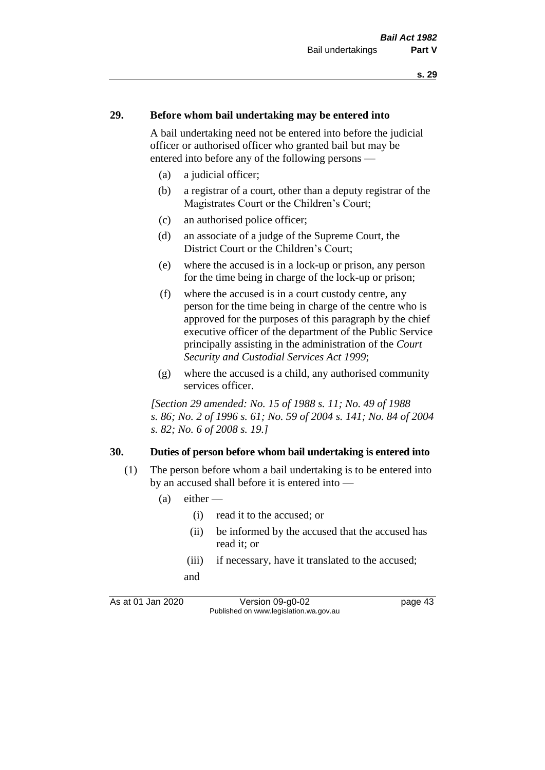#### **29. Before whom bail undertaking may be entered into**

A bail undertaking need not be entered into before the judicial officer or authorised officer who granted bail but may be entered into before any of the following persons —

- (a) a judicial officer;
- (b) a registrar of a court, other than a deputy registrar of the Magistrates Court or the Children's Court;
- (c) an authorised police officer;
- (d) an associate of a judge of the Supreme Court, the District Court or the Children's Court;
- (e) where the accused is in a lock-up or prison, any person for the time being in charge of the lock-up or prison;
- (f) where the accused is in a court custody centre, any person for the time being in charge of the centre who is approved for the purposes of this paragraph by the chief executive officer of the department of the Public Service principally assisting in the administration of the *Court Security and Custodial Services Act 1999*;
- (g) where the accused is a child, any authorised community services officer.

*[Section 29 amended: No. 15 of 1988 s. 11; No. 49 of 1988 s. 86; No. 2 of 1996 s. 61; No. 59 of 2004 s. 141; No. 84 of 2004 s. 82; No. 6 of 2008 s. 19.]* 

#### **30. Duties of person before whom bail undertaking is entered into**

- (1) The person before whom a bail undertaking is to be entered into by an accused shall before it is entered into —
	- $(a)$  either
		- (i) read it to the accused; or
		- (ii) be informed by the accused that the accused has read it; or
		- (iii) if necessary, have it translated to the accused; and

As at 01 Jan 2020 Version 09-g0-02 page 43 Published on www.legislation.wa.gov.au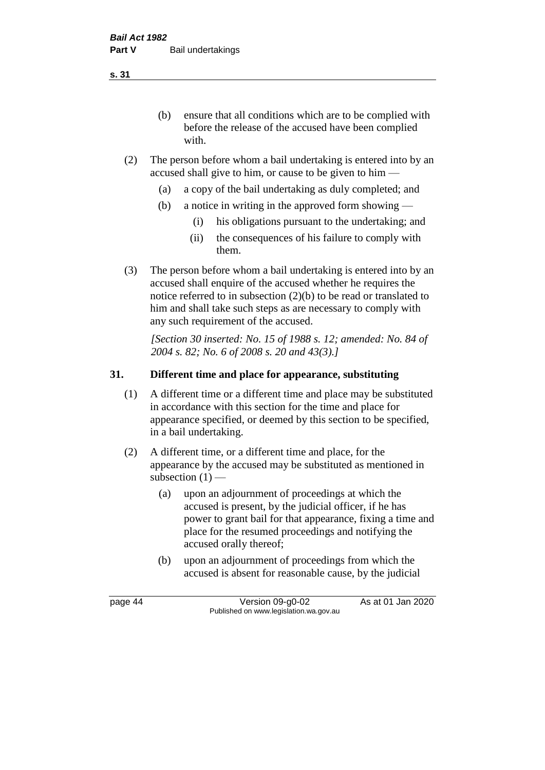(b) ensure that all conditions which are to be complied with before the release of the accused have been complied with.

- (2) The person before whom a bail undertaking is entered into by an accused shall give to him, or cause to be given to him —
	- (a) a copy of the bail undertaking as duly completed; and
	- (b) a notice in writing in the approved form showing
		- (i) his obligations pursuant to the undertaking; and
		- (ii) the consequences of his failure to comply with them.
- (3) The person before whom a bail undertaking is entered into by an accused shall enquire of the accused whether he requires the notice referred to in subsection (2)(b) to be read or translated to him and shall take such steps as are necessary to comply with any such requirement of the accused.

*[Section 30 inserted: No. 15 of 1988 s. 12; amended: No. 84 of 2004 s. 82; No. 6 of 2008 s. 20 and 43(3).]* 

# **31. Different time and place for appearance, substituting**

- (1) A different time or a different time and place may be substituted in accordance with this section for the time and place for appearance specified, or deemed by this section to be specified, in a bail undertaking.
- (2) A different time, or a different time and place, for the appearance by the accused may be substituted as mentioned in subsection  $(1)$  —
	- (a) upon an adjournment of proceedings at which the accused is present, by the judicial officer, if he has power to grant bail for that appearance, fixing a time and place for the resumed proceedings and notifying the accused orally thereof;
	- (b) upon an adjournment of proceedings from which the accused is absent for reasonable cause, by the judicial

page 44 Version 09-g0-02 As at 01 Jan 2020 Published on www.legislation.wa.gov.au

**s. 31**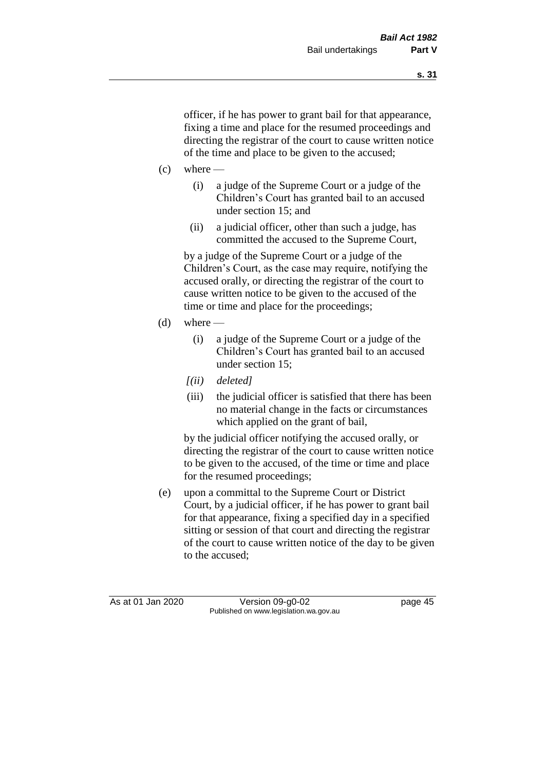officer, if he has power to grant bail for that appearance, fixing a time and place for the resumed proceedings and directing the registrar of the court to cause written notice of the time and place to be given to the accused;

- $(c)$  where
	- (i) a judge of the Supreme Court or a judge of the Children's Court has granted bail to an accused under section 15; and
	- (ii) a judicial officer, other than such a judge, has committed the accused to the Supreme Court,

by a judge of the Supreme Court or a judge of the Children's Court, as the case may require, notifying the accused orally, or directing the registrar of the court to cause written notice to be given to the accused of the time or time and place for the proceedings;

- (d) where  $-$ 
	- (i) a judge of the Supreme Court or a judge of the Children's Court has granted bail to an accused under section 15;
	- *[(ii) deleted]*
	- (iii) the judicial officer is satisfied that there has been no material change in the facts or circumstances which applied on the grant of bail,

by the judicial officer notifying the accused orally, or directing the registrar of the court to cause written notice to be given to the accused, of the time or time and place for the resumed proceedings;

(e) upon a committal to the Supreme Court or District Court, by a judicial officer, if he has power to grant bail for that appearance, fixing a specified day in a specified sitting or session of that court and directing the registrar of the court to cause written notice of the day to be given to the accused;

As at 01 Jan 2020 Version 09-g0-02 page 45 Published on www.legislation.wa.gov.au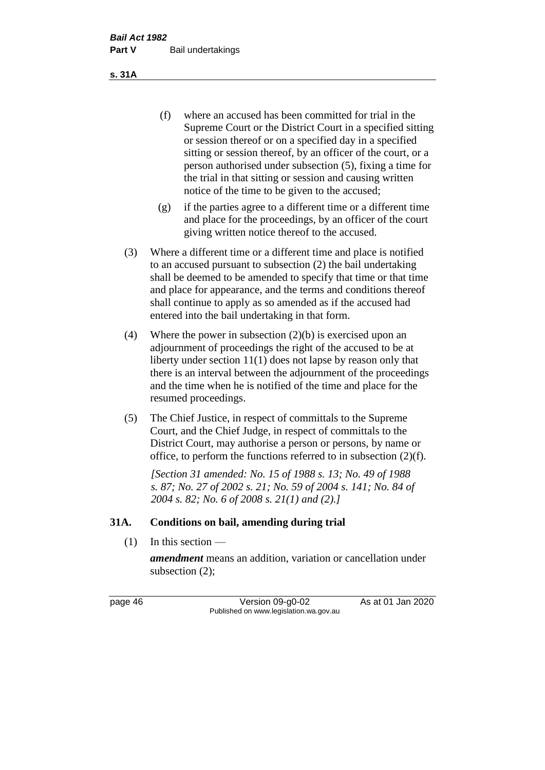(f) where an accused has been committed for trial in the Supreme Court or the District Court in a specified sitting or session thereof or on a specified day in a specified sitting or session thereof, by an officer of the court, or a person authorised under subsection (5), fixing a time for the trial in that sitting or session and causing written notice of the time to be given to the accused;

- (g) if the parties agree to a different time or a different time and place for the proceedings, by an officer of the court giving written notice thereof to the accused.
- (3) Where a different time or a different time and place is notified to an accused pursuant to subsection (2) the bail undertaking shall be deemed to be amended to specify that time or that time and place for appearance, and the terms and conditions thereof shall continue to apply as so amended as if the accused had entered into the bail undertaking in that form.
- (4) Where the power in subsection (2)(b) is exercised upon an adjournment of proceedings the right of the accused to be at liberty under section 11(1) does not lapse by reason only that there is an interval between the adjournment of the proceedings and the time when he is notified of the time and place for the resumed proceedings.
- (5) The Chief Justice, in respect of committals to the Supreme Court, and the Chief Judge, in respect of committals to the District Court, may authorise a person or persons, by name or office, to perform the functions referred to in subsection (2)(f).

*[Section 31 amended: No. 15 of 1988 s. 13; No. 49 of 1988 s. 87; No. 27 of 2002 s. 21; No. 59 of 2004 s. 141; No. 84 of 2004 s. 82; No. 6 of 2008 s. 21(1) and (2).]* 

#### **31A. Conditions on bail, amending during trial**

 $(1)$  In this section —

*amendment* means an addition, variation or cancellation under subsection (2);

page 46 Version 09-g0-02 As at 01 Jan 2020 Published on www.legislation.wa.gov.au

**s. 31A**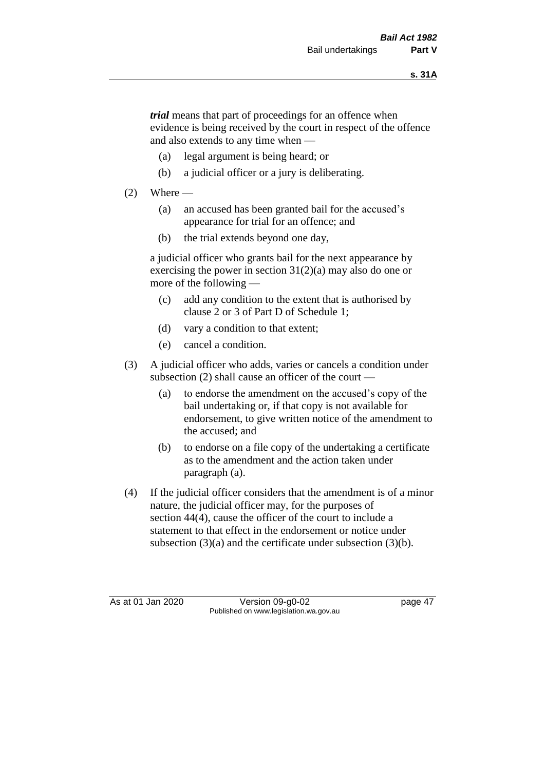*trial* means that part of proceedings for an offence when evidence is being received by the court in respect of the offence and also extends to any time when —

- (a) legal argument is being heard; or
- (b) a judicial officer or a jury is deliberating.

# $(2)$  Where —

- (a) an accused has been granted bail for the accused's appearance for trial for an offence; and
- (b) the trial extends beyond one day,

a judicial officer who grants bail for the next appearance by exercising the power in section  $31(2)(a)$  may also do one or more of the following —

- (c) add any condition to the extent that is authorised by clause 2 or 3 of Part D of Schedule 1;
- (d) vary a condition to that extent;
- (e) cancel a condition.
- (3) A judicial officer who adds, varies or cancels a condition under subsection (2) shall cause an officer of the court —
	- (a) to endorse the amendment on the accused's copy of the bail undertaking or, if that copy is not available for endorsement, to give written notice of the amendment to the accused; and
	- (b) to endorse on a file copy of the undertaking a certificate as to the amendment and the action taken under paragraph (a).
- (4) If the judicial officer considers that the amendment is of a minor nature, the judicial officer may, for the purposes of section 44(4), cause the officer of the court to include a statement to that effect in the endorsement or notice under subsection (3)(a) and the certificate under subsection (3)(b).

As at 01 Jan 2020 Version 09-g0-02 page 47 Published on www.legislation.wa.gov.au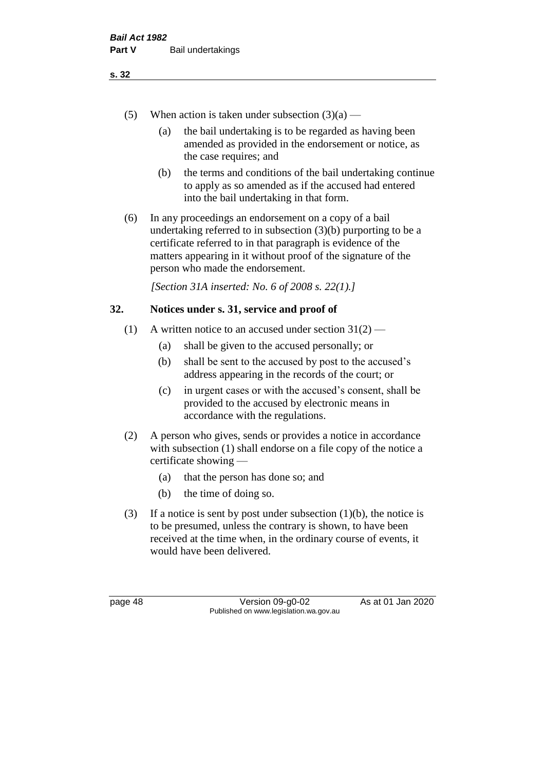- (5) When action is taken under subsection  $(3)(a)$ 
	- (a) the bail undertaking is to be regarded as having been amended as provided in the endorsement or notice, as the case requires; and
	- (b) the terms and conditions of the bail undertaking continue to apply as so amended as if the accused had entered into the bail undertaking in that form.
- (6) In any proceedings an endorsement on a copy of a bail undertaking referred to in subsection (3)(b) purporting to be a certificate referred to in that paragraph is evidence of the matters appearing in it without proof of the signature of the person who made the endorsement.

*[Section 31A inserted: No. 6 of 2008 s. 22(1).]*

# **32. Notices under s. 31, service and proof of**

- (1) A written notice to an accused under section  $31(2)$ 
	- (a) shall be given to the accused personally; or
	- (b) shall be sent to the accused by post to the accused's address appearing in the records of the court; or
	- (c) in urgent cases or with the accused's consent, shall be provided to the accused by electronic means in accordance with the regulations.
- (2) A person who gives, sends or provides a notice in accordance with subsection (1) shall endorse on a file copy of the notice a certificate showing —
	- (a) that the person has done so; and
	- (b) the time of doing so.
- (3) If a notice is sent by post under subsection  $(1)(b)$ , the notice is to be presumed, unless the contrary is shown, to have been received at the time when, in the ordinary course of events, it would have been delivered.

page 48 Version 09-g0-02 As at 01 Jan 2020 Published on www.legislation.wa.gov.au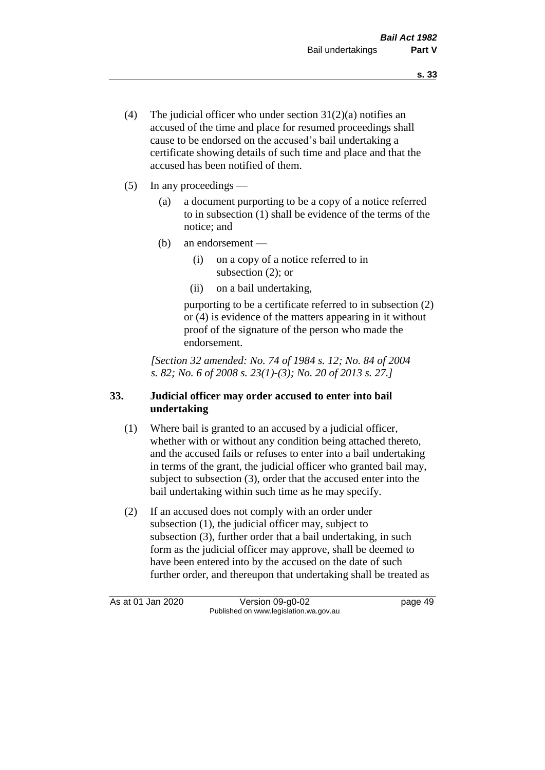- (4) The judicial officer who under section  $31(2)(a)$  notifies an accused of the time and place for resumed proceedings shall cause to be endorsed on the accused's bail undertaking a certificate showing details of such time and place and that the accused has been notified of them.
- (5) In any proceedings
	- (a) a document purporting to be a copy of a notice referred to in subsection (1) shall be evidence of the terms of the notice; and
	- (b) an endorsement
		- (i) on a copy of a notice referred to in subsection (2); or
		- (ii) on a bail undertaking,

purporting to be a certificate referred to in subsection (2) or (4) is evidence of the matters appearing in it without proof of the signature of the person who made the endorsement.

*[Section 32 amended: No. 74 of 1984 s. 12; No. 84 of 2004 s. 82; No. 6 of 2008 s. 23(1)-(3); No. 20 of 2013 s. 27.]* 

# **33. Judicial officer may order accused to enter into bail undertaking**

- (1) Where bail is granted to an accused by a judicial officer, whether with or without any condition being attached thereto, and the accused fails or refuses to enter into a bail undertaking in terms of the grant, the judicial officer who granted bail may, subject to subsection (3), order that the accused enter into the bail undertaking within such time as he may specify.
- (2) If an accused does not comply with an order under subsection (1), the judicial officer may, subject to subsection (3), further order that a bail undertaking, in such form as the judicial officer may approve, shall be deemed to have been entered into by the accused on the date of such further order, and thereupon that undertaking shall be treated as

As at 01 Jan 2020 Version 09-g0-02 page 49 Published on www.legislation.wa.gov.au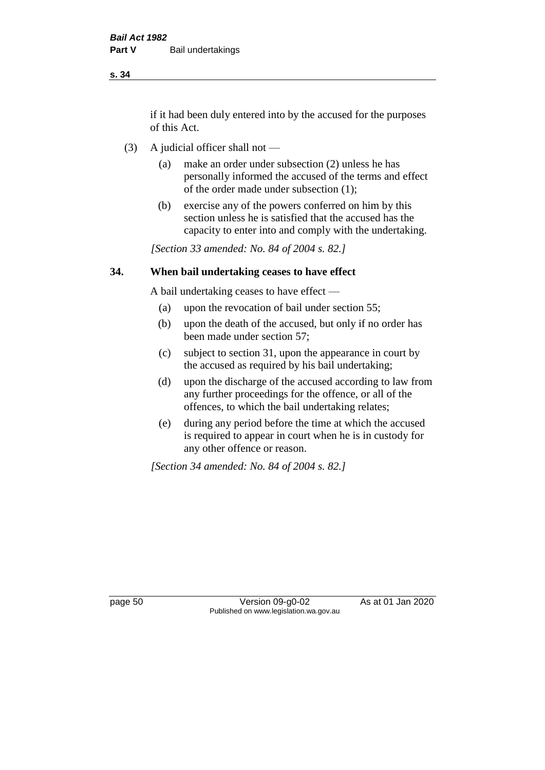if it had been duly entered into by the accused for the purposes of this Act.

- (3) A judicial officer shall not
	- (a) make an order under subsection (2) unless he has personally informed the accused of the terms and effect of the order made under subsection (1);
	- (b) exercise any of the powers conferred on him by this section unless he is satisfied that the accused has the capacity to enter into and comply with the undertaking.

*[Section 33 amended: No. 84 of 2004 s. 82.]* 

#### **34. When bail undertaking ceases to have effect**

A bail undertaking ceases to have effect —

- (a) upon the revocation of bail under section 55;
- (b) upon the death of the accused, but only if no order has been made under section 57;
- (c) subject to section 31, upon the appearance in court by the accused as required by his bail undertaking;
- (d) upon the discharge of the accused according to law from any further proceedings for the offence, or all of the offences, to which the bail undertaking relates;
- (e) during any period before the time at which the accused is required to appear in court when he is in custody for any other offence or reason.

*[Section 34 amended: No. 84 of 2004 s. 82.]* 

page 50 Version 09-g0-02 As at 01 Jan 2020 Published on www.legislation.wa.gov.au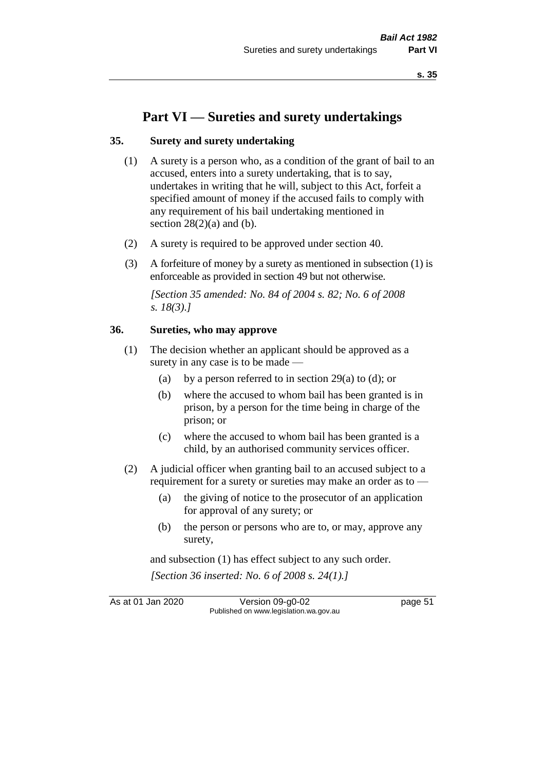# **Part VI — Sureties and surety undertakings**

#### **35. Surety and surety undertaking**

- (1) A surety is a person who, as a condition of the grant of bail to an accused, enters into a surety undertaking, that is to say, undertakes in writing that he will, subject to this Act, forfeit a specified amount of money if the accused fails to comply with any requirement of his bail undertaking mentioned in section  $28(2)(a)$  and (b).
- (2) A surety is required to be approved under section 40.
- (3) A forfeiture of money by a surety as mentioned in subsection (1) is enforceable as provided in section 49 but not otherwise.

*[Section 35 amended: No. 84 of 2004 s. 82; No. 6 of 2008 s. 18(3).]* 

#### **36. Sureties, who may approve**

- (1) The decision whether an applicant should be approved as a surety in any case is to be made —
	- (a) by a person referred to in section 29(a) to (d); or
	- (b) where the accused to whom bail has been granted is in prison, by a person for the time being in charge of the prison; or
	- (c) where the accused to whom bail has been granted is a child, by an authorised community services officer.
- (2) A judicial officer when granting bail to an accused subject to a requirement for a surety or sureties may make an order as to -
	- (a) the giving of notice to the prosecutor of an application for approval of any surety; or
	- (b) the person or persons who are to, or may, approve any surety,

and subsection (1) has effect subject to any such order. *[Section 36 inserted: No. 6 of 2008 s. 24(1).]*

As at 01 Jan 2020 Version 09-g0-02 page 51 Published on www.legislation.wa.gov.au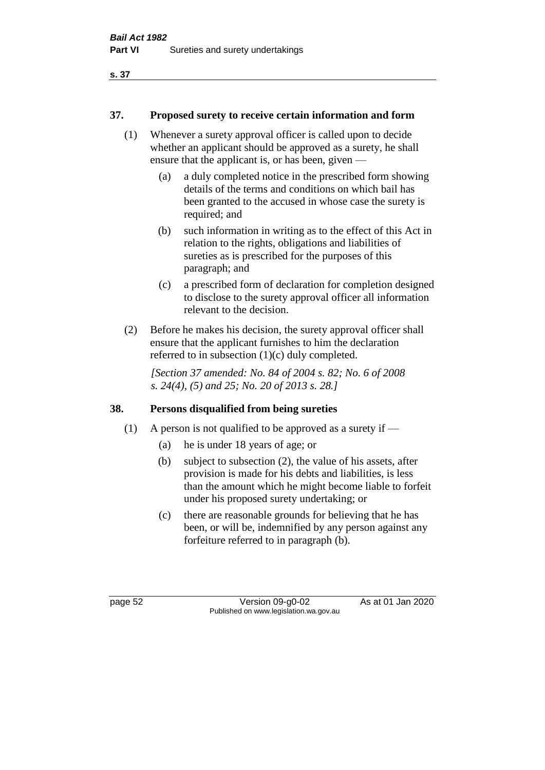# **37. Proposed surety to receive certain information and form**

- (1) Whenever a surety approval officer is called upon to decide whether an applicant should be approved as a surety, he shall ensure that the applicant is, or has been, given —
	- (a) a duly completed notice in the prescribed form showing details of the terms and conditions on which bail has been granted to the accused in whose case the surety is required; and
	- (b) such information in writing as to the effect of this Act in relation to the rights, obligations and liabilities of sureties as is prescribed for the purposes of this paragraph; and
	- (c) a prescribed form of declaration for completion designed to disclose to the surety approval officer all information relevant to the decision.
- (2) Before he makes his decision, the surety approval officer shall ensure that the applicant furnishes to him the declaration referred to in subsection (1)(c) duly completed.

*[Section 37 amended: No. 84 of 2004 s. 82; No. 6 of 2008 s. 24(4), (5) and 25; No. 20 of 2013 s. 28.]* 

# **38. Persons disqualified from being sureties**

- (1) A person is not qualified to be approved as a surety if  $-$ 
	- (a) he is under 18 years of age; or
	- (b) subject to subsection (2), the value of his assets, after provision is made for his debts and liabilities, is less than the amount which he might become liable to forfeit under his proposed surety undertaking; or
	- (c) there are reasonable grounds for believing that he has been, or will be, indemnified by any person against any forfeiture referred to in paragraph (b).

page 52 Version 09-g0-02 As at 01 Jan 2020 Published on www.legislation.wa.gov.au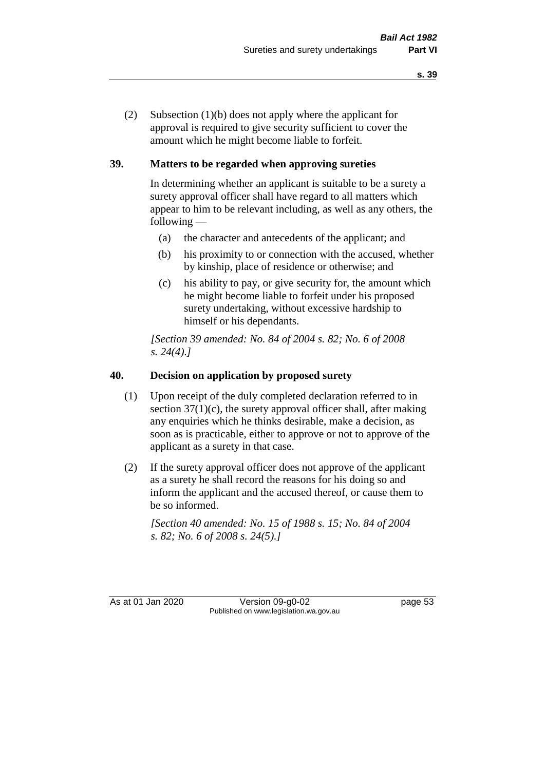(2) Subsection (1)(b) does not apply where the applicant for approval is required to give security sufficient to cover the amount which he might become liable to forfeit.

# **39. Matters to be regarded when approving sureties**

In determining whether an applicant is suitable to be a surety a surety approval officer shall have regard to all matters which appear to him to be relevant including, as well as any others, the following —

- (a) the character and antecedents of the applicant; and
- (b) his proximity to or connection with the accused, whether by kinship, place of residence or otherwise; and
- (c) his ability to pay, or give security for, the amount which he might become liable to forfeit under his proposed surety undertaking, without excessive hardship to himself or his dependants.

*[Section 39 amended: No. 84 of 2004 s. 82; No. 6 of 2008 s. 24(4).]* 

# **40. Decision on application by proposed surety**

- (1) Upon receipt of the duly completed declaration referred to in section  $37(1)(c)$ , the surety approval officer shall, after making any enquiries which he thinks desirable, make a decision, as soon as is practicable, either to approve or not to approve of the applicant as a surety in that case.
- (2) If the surety approval officer does not approve of the applicant as a surety he shall record the reasons for his doing so and inform the applicant and the accused thereof, or cause them to be so informed.

*[Section 40 amended: No. 15 of 1988 s. 15; No. 84 of 2004 s. 82; No. 6 of 2008 s. 24(5).]* 

As at 01 Jan 2020 Version 09-g0-02 page 53 Published on www.legislation.wa.gov.au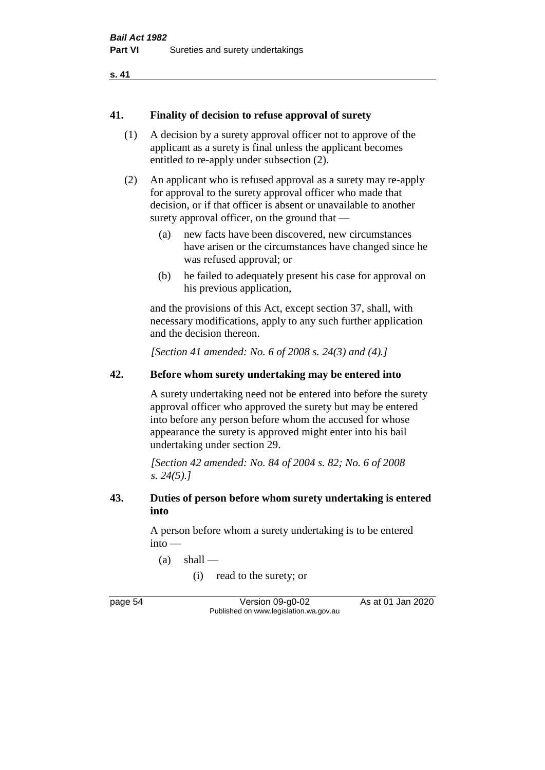#### **41. Finality of decision to refuse approval of surety**

- (1) A decision by a surety approval officer not to approve of the applicant as a surety is final unless the applicant becomes entitled to re-apply under subsection (2).
- (2) An applicant who is refused approval as a surety may re-apply for approval to the surety approval officer who made that decision, or if that officer is absent or unavailable to another surety approval officer, on the ground that —
	- (a) new facts have been discovered, new circumstances have arisen or the circumstances have changed since he was refused approval; or
	- (b) he failed to adequately present his case for approval on his previous application,

and the provisions of this Act, except section 37, shall, with necessary modifications, apply to any such further application and the decision thereon.

*[Section 41 amended: No. 6 of 2008 s. 24(3) and (4).]*

# **42. Before whom surety undertaking may be entered into**

A surety undertaking need not be entered into before the surety approval officer who approved the surety but may be entered into before any person before whom the accused for whose appearance the surety is approved might enter into his bail undertaking under section 29.

*[Section 42 amended: No. 84 of 2004 s. 82; No. 6 of 2008 s. 24(5).]* 

#### **43. Duties of person before whom surety undertaking is entered into**

A person before whom a surety undertaking is to be entered into —

 $(a)$  shall —

(i) read to the surety; or

page 54 Version 09-g0-02 As at 01 Jan 2020 Published on www.legislation.wa.gov.au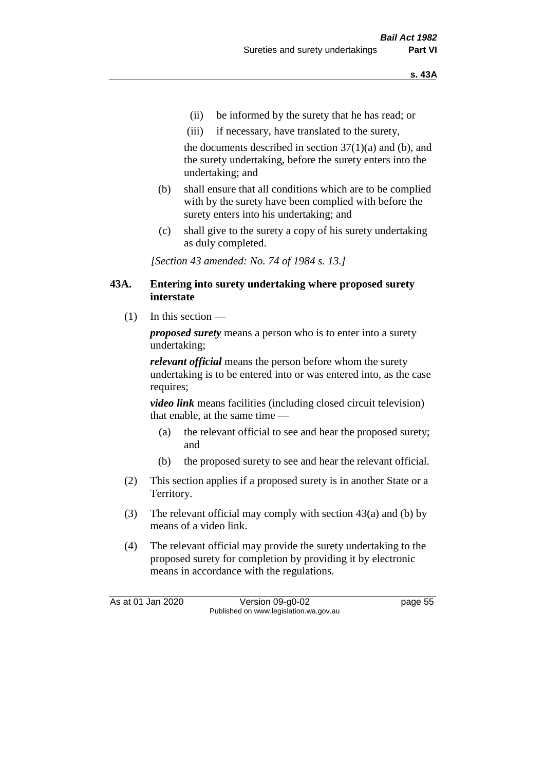- (ii) be informed by the surety that he has read; or
- (iii) if necessary, have translated to the surety,

the documents described in section  $37(1)(a)$  and (b), and the surety undertaking, before the surety enters into the undertaking; and

- (b) shall ensure that all conditions which are to be complied with by the surety have been complied with before the surety enters into his undertaking; and
- (c) shall give to the surety a copy of his surety undertaking as duly completed.

*[Section 43 amended: No. 74 of 1984 s. 13.]* 

#### **43A. Entering into surety undertaking where proposed surety interstate**

 $(1)$  In this section —

*proposed surety* means a person who is to enter into a surety undertaking;

*relevant official* means the person before whom the surety undertaking is to be entered into or was entered into, as the case requires;

*video link* means facilities (including closed circuit television) that enable, at the same time —

- (a) the relevant official to see and hear the proposed surety; and
- (b) the proposed surety to see and hear the relevant official.
- (2) This section applies if a proposed surety is in another State or a Territory.
- (3) The relevant official may comply with section 43(a) and (b) by means of a video link.
- (4) The relevant official may provide the surety undertaking to the proposed surety for completion by providing it by electronic means in accordance with the regulations.

As at 01 Jan 2020 Version 09-g0-02 page 55 Published on www.legislation.wa.gov.au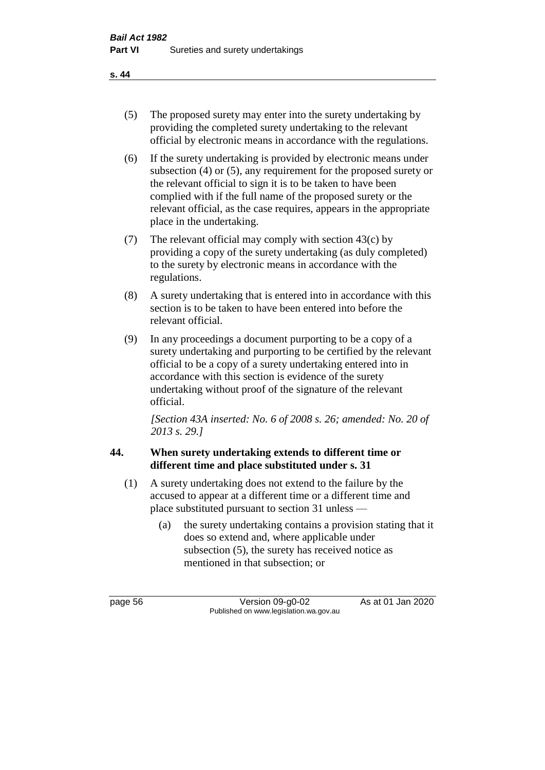- (5) The proposed surety may enter into the surety undertaking by providing the completed surety undertaking to the relevant official by electronic means in accordance with the regulations.
- (6) If the surety undertaking is provided by electronic means under subsection (4) or (5), any requirement for the proposed surety or the relevant official to sign it is to be taken to have been complied with if the full name of the proposed surety or the relevant official, as the case requires, appears in the appropriate place in the undertaking.
- (7) The relevant official may comply with section 43(c) by providing a copy of the surety undertaking (as duly completed) to the surety by electronic means in accordance with the regulations.
- (8) A surety undertaking that is entered into in accordance with this section is to be taken to have been entered into before the relevant official.
- (9) In any proceedings a document purporting to be a copy of a surety undertaking and purporting to be certified by the relevant official to be a copy of a surety undertaking entered into in accordance with this section is evidence of the surety undertaking without proof of the signature of the relevant official.

*[Section 43A inserted: No. 6 of 2008 s. 26; amended: No. 20 of 2013 s. 29.]*

# **44. When surety undertaking extends to different time or different time and place substituted under s. 31**

- (1) A surety undertaking does not extend to the failure by the accused to appear at a different time or a different time and place substituted pursuant to section 31 unless —
	- (a) the surety undertaking contains a provision stating that it does so extend and, where applicable under subsection (5), the surety has received notice as mentioned in that subsection; or

page 56 Version 09-g0-02 As at 01 Jan 2020 Published on www.legislation.wa.gov.au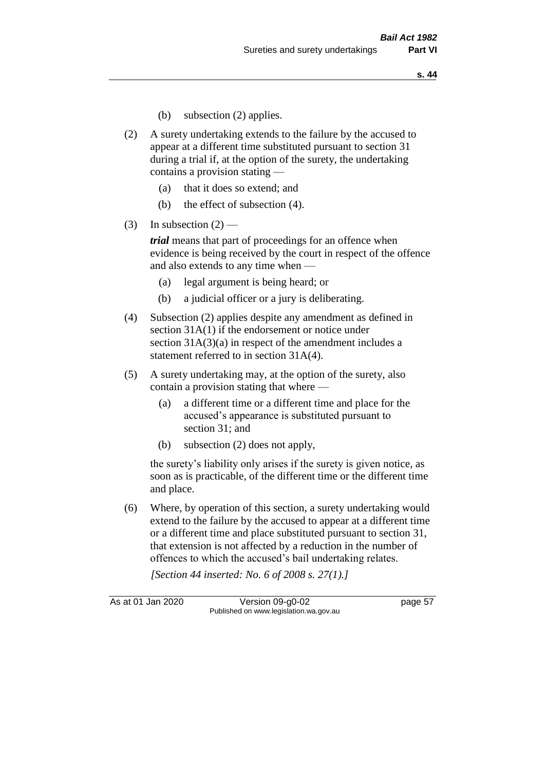- (b) subsection (2) applies.
- (2) A surety undertaking extends to the failure by the accused to appear at a different time substituted pursuant to section 31 during a trial if, at the option of the surety, the undertaking contains a provision stating —
	- (a) that it does so extend; and
	- (b) the effect of subsection (4).
- (3) In subsection  $(2)$  —

*trial* means that part of proceedings for an offence when evidence is being received by the court in respect of the offence and also extends to any time when —

- (a) legal argument is being heard; or
- (b) a judicial officer or a jury is deliberating.
- (4) Subsection (2) applies despite any amendment as defined in section 31A(1) if the endorsement or notice under section 31A(3)(a) in respect of the amendment includes a statement referred to in section 31A(4).
- (5) A surety undertaking may, at the option of the surety, also contain a provision stating that where —
	- (a) a different time or a different time and place for the accused's appearance is substituted pursuant to section 31; and
	- (b) subsection (2) does not apply,

the surety's liability only arises if the surety is given notice, as soon as is practicable, of the different time or the different time and place.

(6) Where, by operation of this section, a surety undertaking would extend to the failure by the accused to appear at a different time or a different time and place substituted pursuant to section 31, that extension is not affected by a reduction in the number of offences to which the accused's bail undertaking relates.

*[Section 44 inserted: No. 6 of 2008 s. 27(1).]*

As at 01 Jan 2020 Version 09-g0-02 page 57 Published on www.legislation.wa.gov.au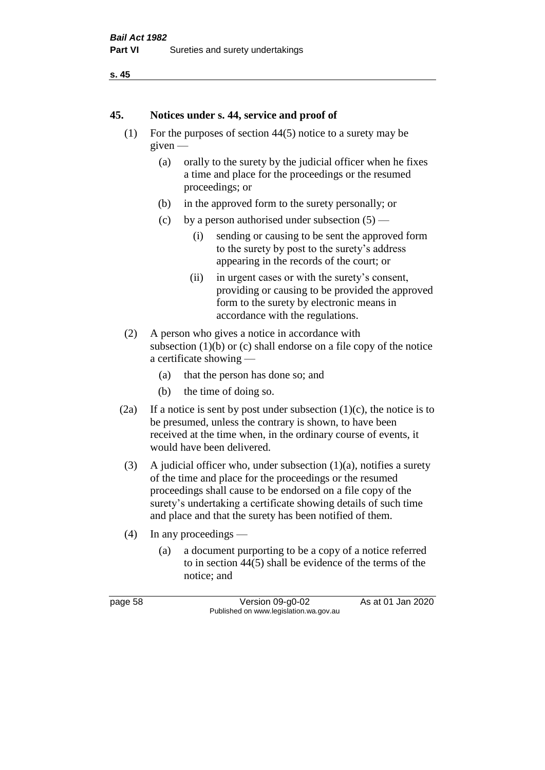```
s. 45
```
#### **45. Notices under s. 44, service and proof of**

- (1) For the purposes of section 44(5) notice to a surety may be given —
	- (a) orally to the surety by the judicial officer when he fixes a time and place for the proceedings or the resumed proceedings; or
	- (b) in the approved form to the surety personally; or
	- (c) by a person authorised under subsection  $(5)$ 
		- (i) sending or causing to be sent the approved form to the surety by post to the surety's address appearing in the records of the court; or
		- (ii) in urgent cases or with the surety's consent, providing or causing to be provided the approved form to the surety by electronic means in accordance with the regulations.
- (2) A person who gives a notice in accordance with subsection  $(1)(b)$  or  $(c)$  shall endorse on a file copy of the notice a certificate showing —
	- (a) that the person has done so; and
	- (b) the time of doing so.
- (2a) If a notice is sent by post under subsection  $(1)(c)$ , the notice is to be presumed, unless the contrary is shown, to have been received at the time when, in the ordinary course of events, it would have been delivered.
- (3) A judicial officer who, under subsection  $(1)(a)$ , notifies a surety of the time and place for the proceedings or the resumed proceedings shall cause to be endorsed on a file copy of the surety's undertaking a certificate showing details of such time and place and that the surety has been notified of them.
- (4) In any proceedings
	- (a) a document purporting to be a copy of a notice referred to in section 44(5) shall be evidence of the terms of the notice; and

| page |  |
|------|--|
|------|--|

page 58 Version 09-g0-02 As at 01 Jan 2020 Published on www.legislation.wa.gov.au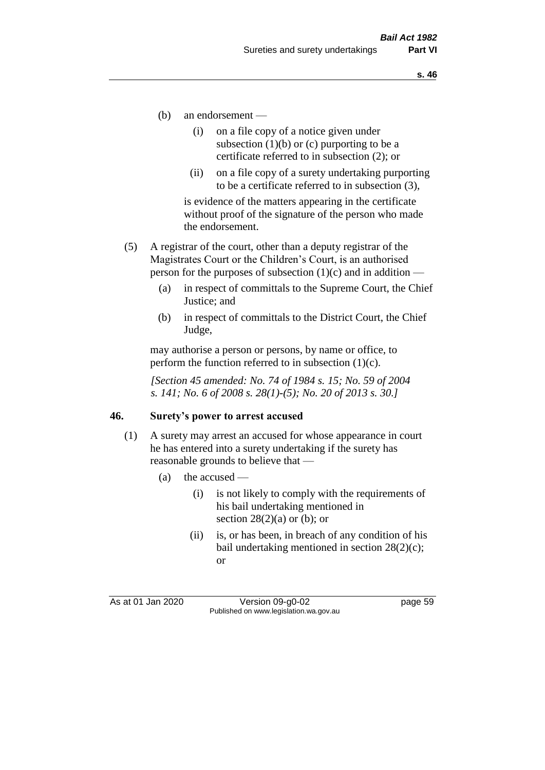- (b) an endorsement
	- (i) on a file copy of a notice given under subsection  $(1)(b)$  or  $(c)$  purporting to be a certificate referred to in subsection (2); or
	- (ii) on a file copy of a surety undertaking purporting to be a certificate referred to in subsection (3),

is evidence of the matters appearing in the certificate without proof of the signature of the person who made the endorsement.

- (5) A registrar of the court, other than a deputy registrar of the Magistrates Court or the Children's Court, is an authorised person for the purposes of subsection  $(1)(c)$  and in addition —
	- (a) in respect of committals to the Supreme Court, the Chief Justice; and
	- (b) in respect of committals to the District Court, the Chief Judge,

may authorise a person or persons, by name or office, to perform the function referred to in subsection  $(1)(c)$ .

*[Section 45 amended: No. 74 of 1984 s. 15; No. 59 of 2004 s. 141; No. 6 of 2008 s. 28(1)-(5); No. 20 of 2013 s. 30.]* 

#### **46. Surety's power to arrest accused**

- (1) A surety may arrest an accused for whose appearance in court he has entered into a surety undertaking if the surety has reasonable grounds to believe that —
	- (a) the accused
		- (i) is not likely to comply with the requirements of his bail undertaking mentioned in section  $28(2)(a)$  or (b); or
		- (ii) is, or has been, in breach of any condition of his bail undertaking mentioned in section 28(2)(c); or

As at 01 Jan 2020 Version 09-g0-02 page 59 Published on www.legislation.wa.gov.au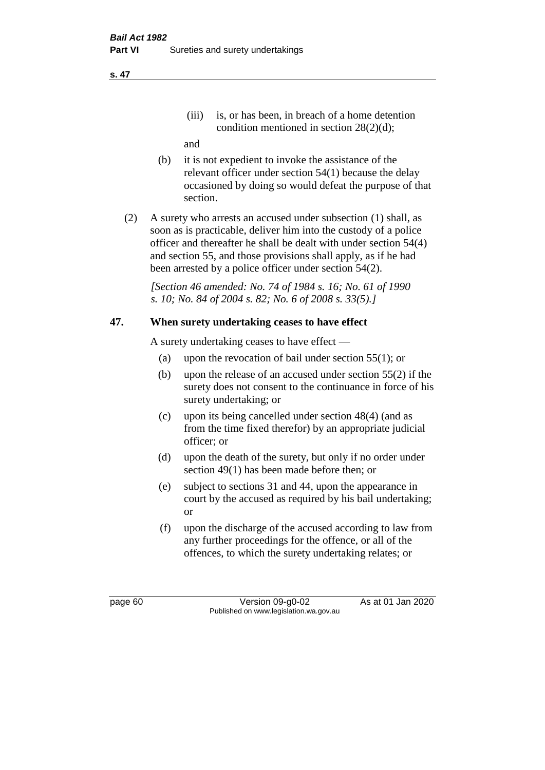(iii) is, or has been, in breach of a home detention condition mentioned in section 28(2)(d);

and

- (b) it is not expedient to invoke the assistance of the relevant officer under section 54(1) because the delay occasioned by doing so would defeat the purpose of that section.
- (2) A surety who arrests an accused under subsection (1) shall, as soon as is practicable, deliver him into the custody of a police officer and thereafter he shall be dealt with under section 54(4) and section 55, and those provisions shall apply, as if he had been arrested by a police officer under section 54(2).

*[Section 46 amended: No. 74 of 1984 s. 16; No. 61 of 1990 s. 10; No. 84 of 2004 s. 82; No. 6 of 2008 s. 33(5).]* 

# **47. When surety undertaking ceases to have effect**

A surety undertaking ceases to have effect —

- (a) upon the revocation of bail under section 55(1); or
- (b) upon the release of an accused under section 55(2) if the surety does not consent to the continuance in force of his surety undertaking; or
- (c) upon its being cancelled under section 48(4) (and as from the time fixed therefor) by an appropriate judicial officer; or
- (d) upon the death of the surety, but only if no order under section 49(1) has been made before then; or
- (e) subject to sections 31 and 44, upon the appearance in court by the accused as required by his bail undertaking; or
- (f) upon the discharge of the accused according to law from any further proceedings for the offence, or all of the offences, to which the surety undertaking relates; or

page 60 Version 09-g0-02 As at 01 Jan 2020 Published on www.legislation.wa.gov.au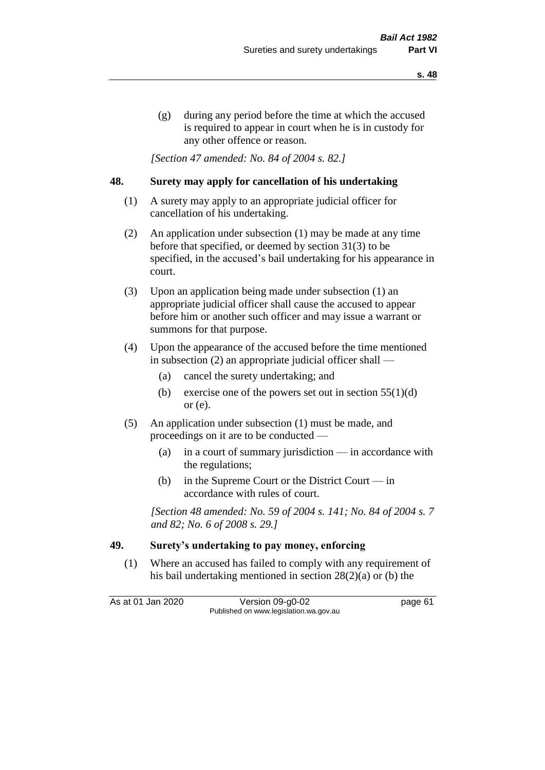(g) during any period before the time at which the accused is required to appear in court when he is in custody for any other offence or reason.

*[Section 47 amended: No. 84 of 2004 s. 82.]* 

#### **48. Surety may apply for cancellation of his undertaking**

- (1) A surety may apply to an appropriate judicial officer for cancellation of his undertaking.
- (2) An application under subsection (1) may be made at any time before that specified, or deemed by section 31(3) to be specified, in the accused's bail undertaking for his appearance in court.
- (3) Upon an application being made under subsection (1) an appropriate judicial officer shall cause the accused to appear before him or another such officer and may issue a warrant or summons for that purpose.
- (4) Upon the appearance of the accused before the time mentioned in subsection (2) an appropriate judicial officer shall —
	- (a) cancel the surety undertaking; and
	- (b) exercise one of the powers set out in section  $55(1)(d)$ or (e).
- (5) An application under subsection (1) must be made, and proceedings on it are to be conducted —
	- (a) in a court of summary jurisdiction in accordance with the regulations;
	- (b) in the Supreme Court or the District Court  $-\text{in}$ accordance with rules of court.

*[Section 48 amended: No. 59 of 2004 s. 141; No. 84 of 2004 s. 7 and 82; No. 6 of 2008 s. 29.]* 

# **49. Surety's undertaking to pay money, enforcing**

(1) Where an accused has failed to comply with any requirement of his bail undertaking mentioned in section 28(2)(a) or (b) the

As at 01 Jan 2020 Version 09-g0-02 page 61 Published on www.legislation.wa.gov.au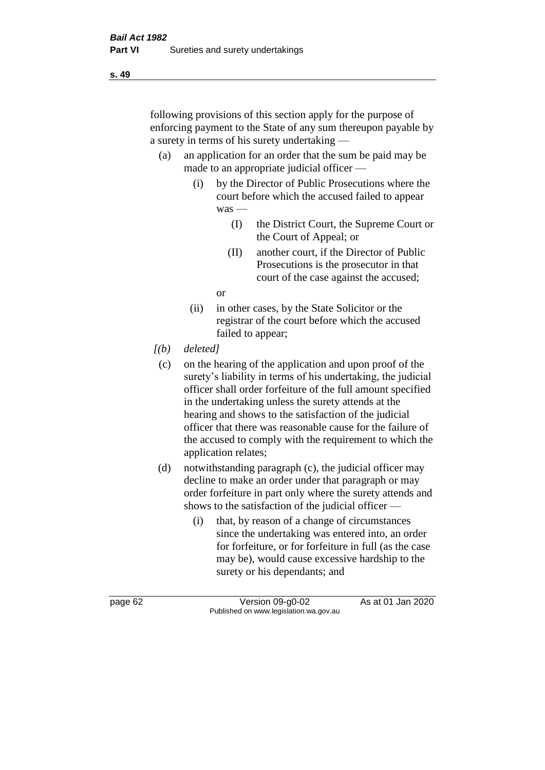following provisions of this section apply for the purpose of enforcing payment to the State of any sum thereupon payable by a surety in terms of his surety undertaking —

- (a) an application for an order that the sum be paid may be made to an appropriate judicial officer —
	- (i) by the Director of Public Prosecutions where the court before which the accused failed to appear was —
		- (I) the District Court, the Supreme Court or the Court of Appeal; or
		- (II) another court, if the Director of Public Prosecutions is the prosecutor in that court of the case against the accused;

or

- (ii) in other cases, by the State Solicitor or the registrar of the court before which the accused failed to appear;
- *[(b) deleted]*
	- (c) on the hearing of the application and upon proof of the surety's liability in terms of his undertaking, the judicial officer shall order forfeiture of the full amount specified in the undertaking unless the surety attends at the hearing and shows to the satisfaction of the judicial officer that there was reasonable cause for the failure of the accused to comply with the requirement to which the application relates;
- (d) notwithstanding paragraph (c), the judicial officer may decline to make an order under that paragraph or may order forfeiture in part only where the surety attends and shows to the satisfaction of the judicial officer —
	- (i) that, by reason of a change of circumstances since the undertaking was entered into, an order for forfeiture, or for forfeiture in full (as the case may be), would cause excessive hardship to the surety or his dependants; and

page 62 Version 09-g0-02 As at 01 Jan 2020 Published on www.legislation.wa.gov.au

**s. 49**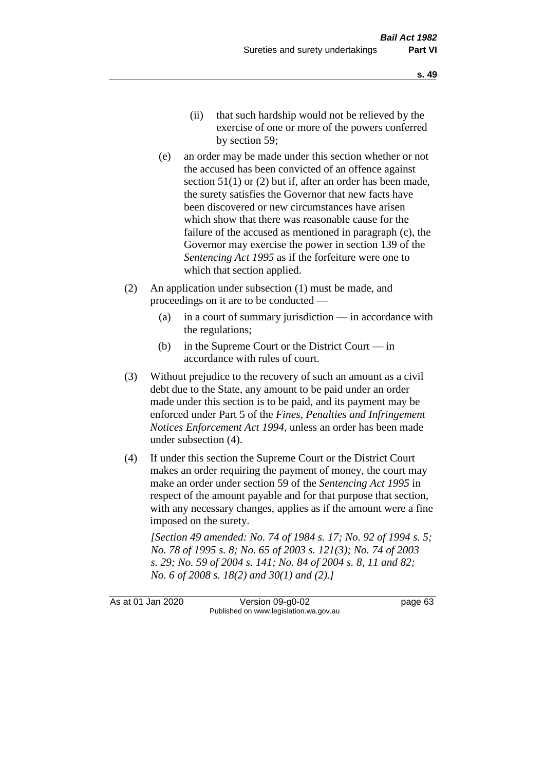- (ii) that such hardship would not be relieved by the exercise of one or more of the powers conferred by section 59;
- (e) an order may be made under this section whether or not the accused has been convicted of an offence against section 51(1) or (2) but if, after an order has been made, the surety satisfies the Governor that new facts have been discovered or new circumstances have arisen which show that there was reasonable cause for the failure of the accused as mentioned in paragraph (c), the Governor may exercise the power in section 139 of the *Sentencing Act 1995* as if the forfeiture were one to which that section applied.
- (2) An application under subsection (1) must be made, and proceedings on it are to be conducted —
	- (a) in a court of summary jurisdiction in accordance with the regulations;
	- (b) in the Supreme Court or the District Court  $-\text{in}$ accordance with rules of court.
- (3) Without prejudice to the recovery of such an amount as a civil debt due to the State, any amount to be paid under an order made under this section is to be paid, and its payment may be enforced under Part 5 of the *Fines, Penalties and Infringement Notices Enforcement Act 1994*, unless an order has been made under subsection (4).
- (4) If under this section the Supreme Court or the District Court makes an order requiring the payment of money, the court may make an order under section 59 of the *Sentencing Act 1995* in respect of the amount payable and for that purpose that section, with any necessary changes, applies as if the amount were a fine imposed on the surety.

*[Section 49 amended: No. 74 of 1984 s. 17; No. 92 of 1994 s. 5; No. 78 of 1995 s. 8; No. 65 of 2003 s. 121(3); No. 74 of 2003 s. 29; No. 59 of 2004 s. 141; No. 84 of 2004 s. 8, 11 and 82; No. 6 of 2008 s. 18(2) and 30(1) and (2).]* 

As at 01 Jan 2020 Version 09-g0-02 page 63 Published on www.legislation.wa.gov.au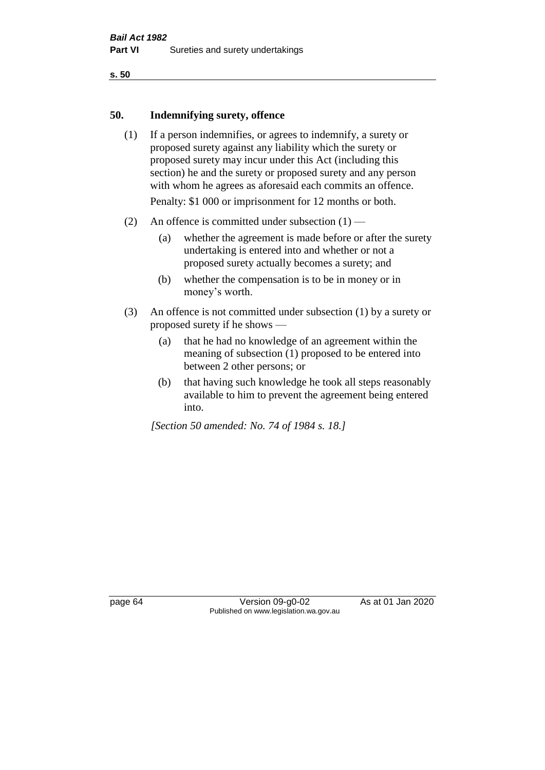**s. 50**

#### **50. Indemnifying surety, offence**

- (1) If a person indemnifies, or agrees to indemnify, a surety or proposed surety against any liability which the surety or proposed surety may incur under this Act (including this section) he and the surety or proposed surety and any person with whom he agrees as aforesaid each commits an offence. Penalty: \$1 000 or imprisonment for 12 months or both.
- (2) An offence is committed under subsection  $(1)$ 
	- (a) whether the agreement is made before or after the surety undertaking is entered into and whether or not a proposed surety actually becomes a surety; and
	- (b) whether the compensation is to be in money or in money's worth.
- (3) An offence is not committed under subsection (1) by a surety or proposed surety if he shows —
	- (a) that he had no knowledge of an agreement within the meaning of subsection (1) proposed to be entered into between 2 other persons; or
	- (b) that having such knowledge he took all steps reasonably available to him to prevent the agreement being entered into.

*[Section 50 amended: No. 74 of 1984 s. 18.]* 

page 64 Version 09-g0-02 As at 01 Jan 2020 Published on www.legislation.wa.gov.au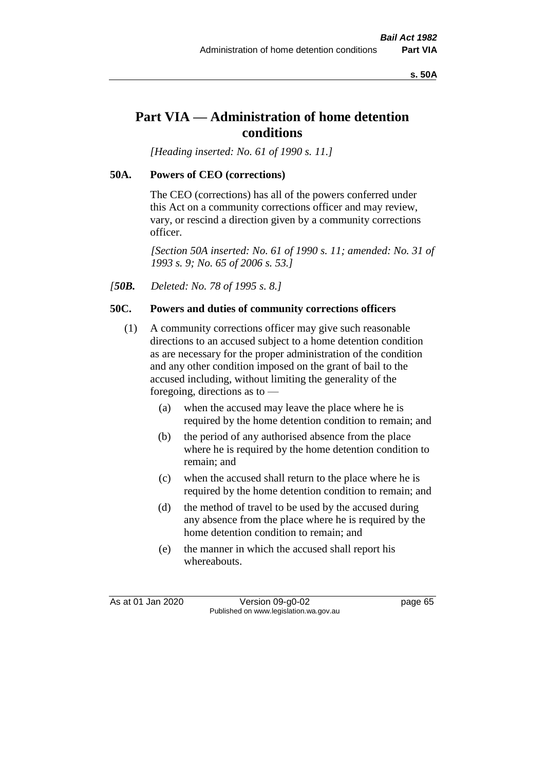**s. 50A**

# **Part VIA — Administration of home detention conditions**

*[Heading inserted: No. 61 of 1990 s. 11.]* 

## **50A. Powers of CEO (corrections)**

The CEO (corrections) has all of the powers conferred under this Act on a community corrections officer and may review, vary, or rescind a direction given by a community corrections officer.

*[Section 50A inserted: No. 61 of 1990 s. 11; amended: No. 31 of 1993 s. 9; No. 65 of 2006 s. 53.]* 

*[50B. Deleted: No. 78 of 1995 s. 8.]* 

## **50C. Powers and duties of community corrections officers**

- (1) A community corrections officer may give such reasonable directions to an accused subject to a home detention condition as are necessary for the proper administration of the condition and any other condition imposed on the grant of bail to the accused including, without limiting the generality of the foregoing, directions as to —
	- (a) when the accused may leave the place where he is required by the home detention condition to remain; and
	- (b) the period of any authorised absence from the place where he is required by the home detention condition to remain; and
	- (c) when the accused shall return to the place where he is required by the home detention condition to remain; and
	- (d) the method of travel to be used by the accused during any absence from the place where he is required by the home detention condition to remain; and
	- (e) the manner in which the accused shall report his whereabouts.

As at 01 Jan 2020 Version 09-g0-02 page 65 Published on www.legislation.wa.gov.au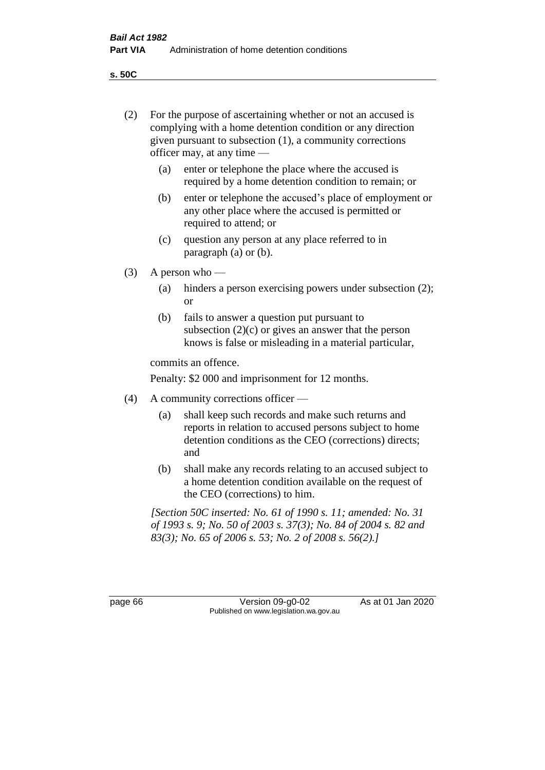(2) For the purpose of ascertaining whether or not an accused is complying with a home detention condition or any direction

**s. 50C**

|         | given pursuant to subsection (1), a community corrections<br>officer may, at any time —                                                                                                  |                                                                                                                                                                |  |  |  |
|---------|------------------------------------------------------------------------------------------------------------------------------------------------------------------------------------------|----------------------------------------------------------------------------------------------------------------------------------------------------------------|--|--|--|
|         | (a)                                                                                                                                                                                      | enter or telephone the place where the accused is<br>required by a home detention condition to remain; or                                                      |  |  |  |
|         | (b)                                                                                                                                                                                      | enter or telephone the accused's place of employment or<br>any other place where the accused is permitted or<br>required to attend; or                         |  |  |  |
|         | (c)                                                                                                                                                                                      | question any person at any place referred to in<br>paragraph $(a)$ or $(b)$ .                                                                                  |  |  |  |
| (3)     | A person who $-$                                                                                                                                                                         |                                                                                                                                                                |  |  |  |
|         | (a)                                                                                                                                                                                      | hinders a person exercising powers under subsection (2);<br>or                                                                                                 |  |  |  |
|         | (b)                                                                                                                                                                                      | fails to answer a question put pursuant to<br>subsection $(2)(c)$ or gives an answer that the person<br>knows is false or misleading in a material particular, |  |  |  |
|         | commits an offence.                                                                                                                                                                      |                                                                                                                                                                |  |  |  |
|         | Penalty: \$2 000 and imprisonment for 12 months.                                                                                                                                         |                                                                                                                                                                |  |  |  |
| (4)     | A community corrections officer —                                                                                                                                                        |                                                                                                                                                                |  |  |  |
|         | shall keep such records and make such returns and<br>(a)<br>reports in relation to accused persons subject to home<br>detention conditions as the CEO (corrections) directs;<br>and      |                                                                                                                                                                |  |  |  |
|         | (b)                                                                                                                                                                                      | shall make any records relating to an accused subject to<br>a home detention condition available on the request of<br>the CEO (corrections) to him.            |  |  |  |
|         | [Section 50C inserted: No. 61 of 1990 s. 11; amended: No. 31<br>of 1993 s. 9; No. 50 of 2003 s. 37(3); No. 84 of 2004 s. 82 and<br>83(3); No. 65 of 2006 s. 53; No. 2 of 2008 s. 56(2).] |                                                                                                                                                                |  |  |  |
|         |                                                                                                                                                                                          |                                                                                                                                                                |  |  |  |
| page 66 |                                                                                                                                                                                          | As at 01 Jan 2020<br>Version 09-g0-02<br>Published on www.legislation.wa.gov.au                                                                                |  |  |  |
|         |                                                                                                                                                                                          |                                                                                                                                                                |  |  |  |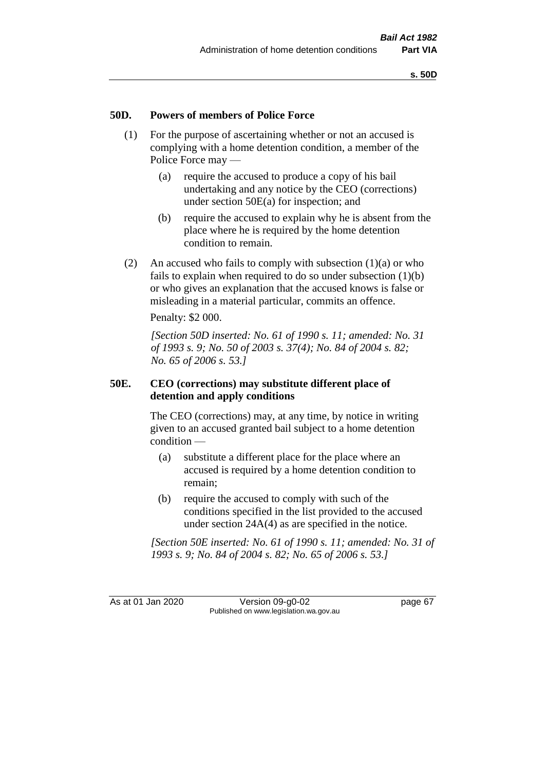#### **50D. Powers of members of Police Force**

- (1) For the purpose of ascertaining whether or not an accused is complying with a home detention condition, a member of the Police Force may —
	- (a) require the accused to produce a copy of his bail undertaking and any notice by the CEO (corrections) under section 50E(a) for inspection; and
	- (b) require the accused to explain why he is absent from the place where he is required by the home detention condition to remain.
- (2) An accused who fails to comply with subsection  $(1)(a)$  or who fails to explain when required to do so under subsection (1)(b) or who gives an explanation that the accused knows is false or misleading in a material particular, commits an offence.

Penalty: \$2 000.

*[Section 50D inserted: No. 61 of 1990 s. 11; amended: No. 31 of 1993 s. 9; No. 50 of 2003 s. 37(4); No. 84 of 2004 s. 82; No. 65 of 2006 s. 53.]* 

#### **50E. CEO (corrections) may substitute different place of detention and apply conditions**

The CEO (corrections) may, at any time, by notice in writing given to an accused granted bail subject to a home detention condition —

- (a) substitute a different place for the place where an accused is required by a home detention condition to remain;
- (b) require the accused to comply with such of the conditions specified in the list provided to the accused under section 24A(4) as are specified in the notice.

*[Section 50E inserted: No. 61 of 1990 s. 11; amended: No. 31 of 1993 s. 9; No. 84 of 2004 s. 82; No. 65 of 2006 s. 53.]* 

As at 01 Jan 2020 Version 09-g0-02 page 67 Published on www.legislation.wa.gov.au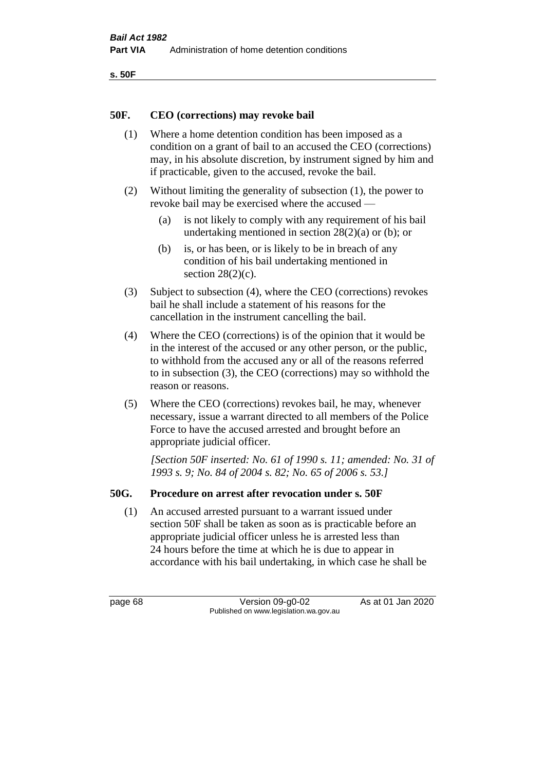```
s. 50F
```
#### **50F. CEO (corrections) may revoke bail**

- (1) Where a home detention condition has been imposed as a condition on a grant of bail to an accused the CEO (corrections) may, in his absolute discretion, by instrument signed by him and if practicable, given to the accused, revoke the bail.
- (2) Without limiting the generality of subsection (1), the power to revoke bail may be exercised where the accused —
	- (a) is not likely to comply with any requirement of his bail undertaking mentioned in section 28(2)(a) or (b); or
	- (b) is, or has been, or is likely to be in breach of any condition of his bail undertaking mentioned in section  $28(2)(c)$ .
- (3) Subject to subsection (4), where the CEO (corrections) revokes bail he shall include a statement of his reasons for the cancellation in the instrument cancelling the bail.
- (4) Where the CEO (corrections) is of the opinion that it would be in the interest of the accused or any other person, or the public, to withhold from the accused any or all of the reasons referred to in subsection (3), the CEO (corrections) may so withhold the reason or reasons.
- (5) Where the CEO (corrections) revokes bail, he may, whenever necessary, issue a warrant directed to all members of the Police Force to have the accused arrested and brought before an appropriate judicial officer.

*[Section 50F inserted: No. 61 of 1990 s. 11; amended: No. 31 of 1993 s. 9; No. 84 of 2004 s. 82; No. 65 of 2006 s. 53.]* 

# **50G. Procedure on arrest after revocation under s. 50F**

(1) An accused arrested pursuant to a warrant issued under section 50F shall be taken as soon as is practicable before an appropriate judicial officer unless he is arrested less than 24 hours before the time at which he is due to appear in accordance with his bail undertaking, in which case he shall be

page 68 Version 09-g0-02 As at 01 Jan 2020 Published on www.legislation.wa.gov.au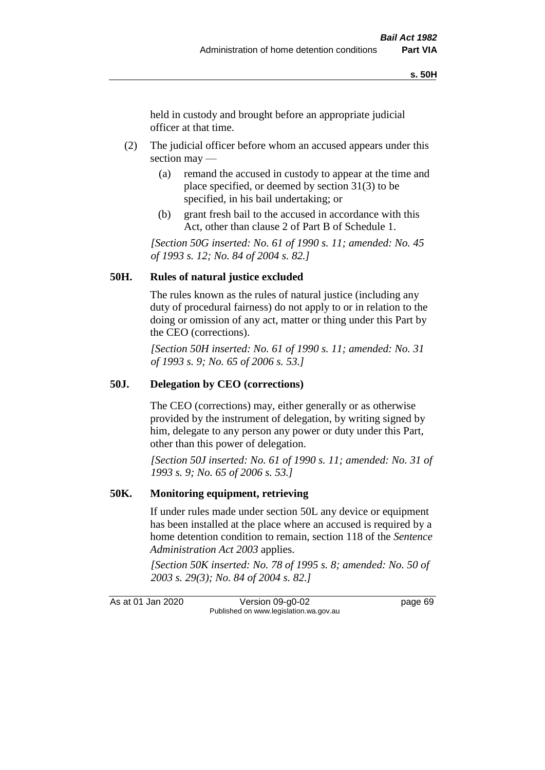held in custody and brought before an appropriate judicial officer at that time.

- (2) The judicial officer before whom an accused appears under this section may —
	- (a) remand the accused in custody to appear at the time and place specified, or deemed by section 31(3) to be specified, in his bail undertaking; or
	- (b) grant fresh bail to the accused in accordance with this Act, other than clause 2 of Part B of Schedule 1.

*[Section 50G inserted: No. 61 of 1990 s. 11; amended: No. 45 of 1993 s. 12; No. 84 of 2004 s. 82.]* 

#### **50H. Rules of natural justice excluded**

The rules known as the rules of natural justice (including any duty of procedural fairness) do not apply to or in relation to the doing or omission of any act, matter or thing under this Part by the CEO (corrections).

*[Section 50H inserted: No. 61 of 1990 s. 11; amended: No. 31 of 1993 s. 9; No. 65 of 2006 s. 53.]* 

#### **50J. Delegation by CEO (corrections)**

The CEO (corrections) may, either generally or as otherwise provided by the instrument of delegation, by writing signed by him, delegate to any person any power or duty under this Part, other than this power of delegation.

*[Section 50J inserted: No. 61 of 1990 s. 11; amended: No. 31 of 1993 s. 9; No. 65 of 2006 s. 53.]* 

#### **50K. Monitoring equipment, retrieving**

If under rules made under section 50L any device or equipment has been installed at the place where an accused is required by a home detention condition to remain, section 118 of the *Sentence Administration Act 2003* applies.

*[Section 50K inserted: No. 78 of 1995 s. 8; amended: No. 50 of 2003 s. 29(3); No. 84 of 2004 s. 82.]* 

As at 01 Jan 2020 Version 09-g0-02 page 69 Published on www.legislation.wa.gov.au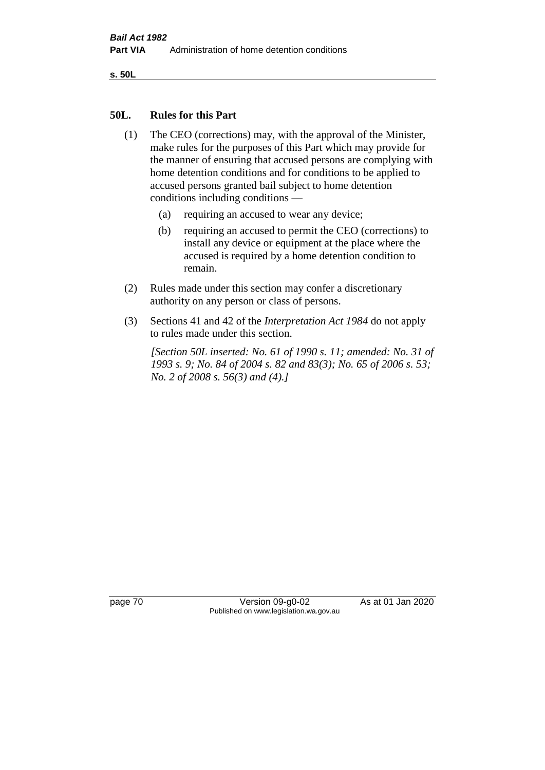**s. 50L**

#### **50L. Rules for this Part**

- (1) The CEO (corrections) may, with the approval of the Minister, make rules for the purposes of this Part which may provide for the manner of ensuring that accused persons are complying with home detention conditions and for conditions to be applied to accused persons granted bail subject to home detention conditions including conditions —
	- (a) requiring an accused to wear any device;
	- (b) requiring an accused to permit the CEO (corrections) to install any device or equipment at the place where the accused is required by a home detention condition to remain.
- (2) Rules made under this section may confer a discretionary authority on any person or class of persons.
- (3) Sections 41 and 42 of the *Interpretation Act 1984* do not apply to rules made under this section.

*[Section 50L inserted: No. 61 of 1990 s. 11; amended: No. 31 of 1993 s. 9; No. 84 of 2004 s. 82 and 83(3); No. 65 of 2006 s. 53; No. 2 of 2008 s. 56(3) and (4).]* 

page 70 Version 09-g0-02 As at 01 Jan 2020 Published on www.legislation.wa.gov.au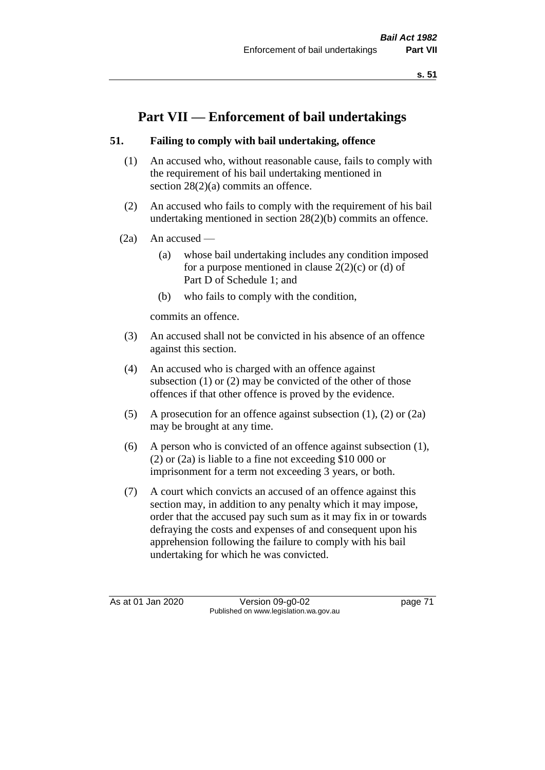**s. 51**

# **Part VII — Enforcement of bail undertakings**

## **51. Failing to comply with bail undertaking, offence**

- (1) An accused who, without reasonable cause, fails to comply with the requirement of his bail undertaking mentioned in section 28(2)(a) commits an offence.
- (2) An accused who fails to comply with the requirement of his bail undertaking mentioned in section 28(2)(b) commits an offence.
- $(2a)$  An accused
	- (a) whose bail undertaking includes any condition imposed for a purpose mentioned in clause  $2(2)(c)$  or (d) of Part D of Schedule 1; and
	- (b) who fails to comply with the condition,

commits an offence.

- (3) An accused shall not be convicted in his absence of an offence against this section.
- (4) An accused who is charged with an offence against subsection (1) or (2) may be convicted of the other of those offences if that other offence is proved by the evidence.
- (5) A prosecution for an offence against subsection (1), (2) or (2a) may be brought at any time.
- (6) A person who is convicted of an offence against subsection (1), (2) or (2a) is liable to a fine not exceeding \$10 000 or imprisonment for a term not exceeding 3 years, or both.
- (7) A court which convicts an accused of an offence against this section may, in addition to any penalty which it may impose, order that the accused pay such sum as it may fix in or towards defraying the costs and expenses of and consequent upon his apprehension following the failure to comply with his bail undertaking for which he was convicted.

As at 01 Jan 2020 Version 09-g0-02 page 71 Published on www.legislation.wa.gov.au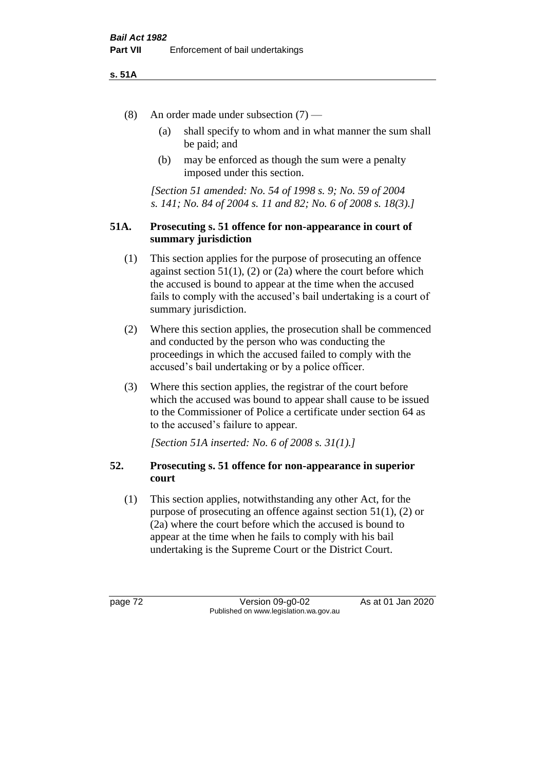#### **s. 51A**

- (8) An order made under subsection (7)
	- (a) shall specify to whom and in what manner the sum shall be paid; and
	- (b) may be enforced as though the sum were a penalty imposed under this section.

*[Section 51 amended: No. 54 of 1998 s. 9; No. 59 of 2004 s. 141; No. 84 of 2004 s. 11 and 82; No. 6 of 2008 s. 18(3).]*

#### **51A. Prosecuting s. 51 offence for non-appearance in court of summary jurisdiction**

- (1) This section applies for the purpose of prosecuting an offence against section  $51(1)$ , (2) or (2a) where the court before which the accused is bound to appear at the time when the accused fails to comply with the accused's bail undertaking is a court of summary jurisdiction.
- (2) Where this section applies, the prosecution shall be commenced and conducted by the person who was conducting the proceedings in which the accused failed to comply with the accused's bail undertaking or by a police officer.
- (3) Where this section applies, the registrar of the court before which the accused was bound to appear shall cause to be issued to the Commissioner of Police a certificate under section 64 as to the accused's failure to appear.

*[Section 51A inserted: No. 6 of 2008 s. 31(1).]*

## **52. Prosecuting s. 51 offence for non-appearance in superior court**

(1) This section applies, notwithstanding any other Act, for the purpose of prosecuting an offence against section 51(1), (2) or (2a) where the court before which the accused is bound to appear at the time when he fails to comply with his bail undertaking is the Supreme Court or the District Court.

page 72 Version 09-g0-02 As at 01 Jan 2020 Published on www.legislation.wa.gov.au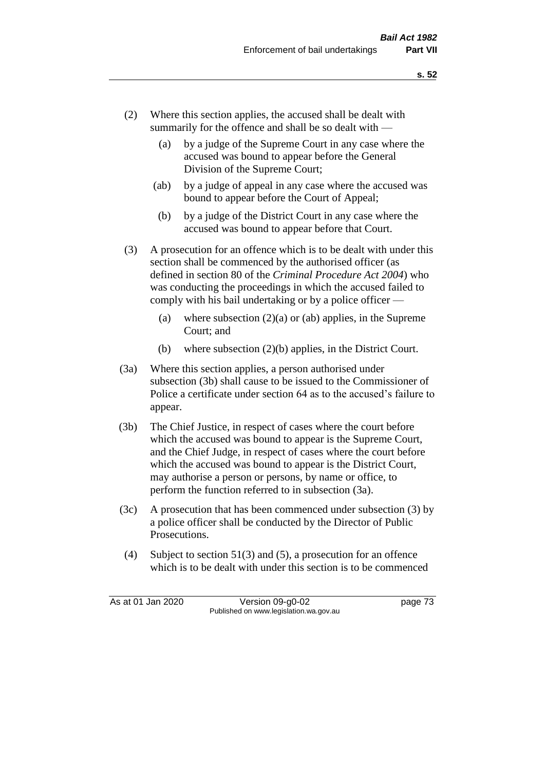- (2) Where this section applies, the accused shall be dealt with summarily for the offence and shall be so dealt with —
	- (a) by a judge of the Supreme Court in any case where the accused was bound to appear before the General Division of the Supreme Court;
	- (ab) by a judge of appeal in any case where the accused was bound to appear before the Court of Appeal;
	- (b) by a judge of the District Court in any case where the accused was bound to appear before that Court.
- (3) A prosecution for an offence which is to be dealt with under this section shall be commenced by the authorised officer (as defined in section 80 of the *Criminal Procedure Act 2004*) who was conducting the proceedings in which the accused failed to comply with his bail undertaking or by a police officer —
	- (a) where subsection  $(2)(a)$  or (ab) applies, in the Supreme Court; and
	- (b) where subsection (2)(b) applies, in the District Court.
- (3a) Where this section applies, a person authorised under subsection (3b) shall cause to be issued to the Commissioner of Police a certificate under section 64 as to the accused's failure to appear.
- (3b) The Chief Justice, in respect of cases where the court before which the accused was bound to appear is the Supreme Court, and the Chief Judge, in respect of cases where the court before which the accused was bound to appear is the District Court, may authorise a person or persons, by name or office, to perform the function referred to in subsection (3a).
- (3c) A prosecution that has been commenced under subsection (3) by a police officer shall be conducted by the Director of Public Prosecutions.
- (4) Subject to section 51(3) and (5), a prosecution for an offence which is to be dealt with under this section is to be commenced

As at 01 Jan 2020 Version 09-g0-02 page 73 Published on www.legislation.wa.gov.au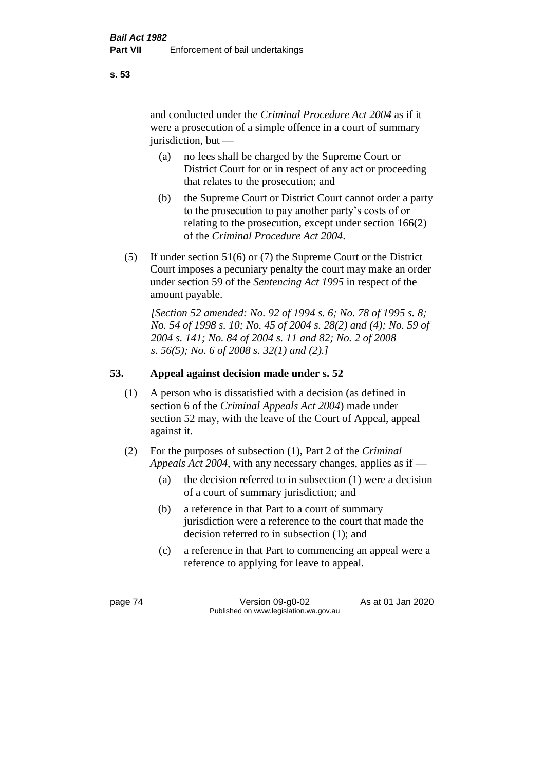and conducted under the *Criminal Procedure Act 2004* as if it were a prosecution of a simple offence in a court of summary jurisdiction, but —

- (a) no fees shall be charged by the Supreme Court or District Court for or in respect of any act or proceeding that relates to the prosecution; and
- (b) the Supreme Court or District Court cannot order a party to the prosecution to pay another party's costs of or relating to the prosecution, except under section 166(2) of the *Criminal Procedure Act 2004*.
- (5) If under section 51(6) or (7) the Supreme Court or the District Court imposes a pecuniary penalty the court may make an order under section 59 of the *Sentencing Act 1995* in respect of the amount payable.

*[Section 52 amended: No. 92 of 1994 s. 6; No. 78 of 1995 s. 8; No. 54 of 1998 s. 10; No. 45 of 2004 s. 28(2) and (4); No. 59 of 2004 s. 141; No. 84 of 2004 s. 11 and 82; No. 2 of 2008 s. 56(5); No. 6 of 2008 s. 32(1) and (2).]* 

# **53. Appeal against decision made under s. 52**

- (1) A person who is dissatisfied with a decision (as defined in section 6 of the *Criminal Appeals Act 2004*) made under section 52 may, with the leave of the Court of Appeal, appeal against it.
- (2) For the purposes of subsection (1), Part 2 of the *Criminal Appeals Act 2004*, with any necessary changes, applies as if —
	- (a) the decision referred to in subsection (1) were a decision of a court of summary jurisdiction; and
	- (b) a reference in that Part to a court of summary jurisdiction were a reference to the court that made the decision referred to in subsection (1); and
	- (c) a reference in that Part to commencing an appeal were a reference to applying for leave to appeal.

**s. 53**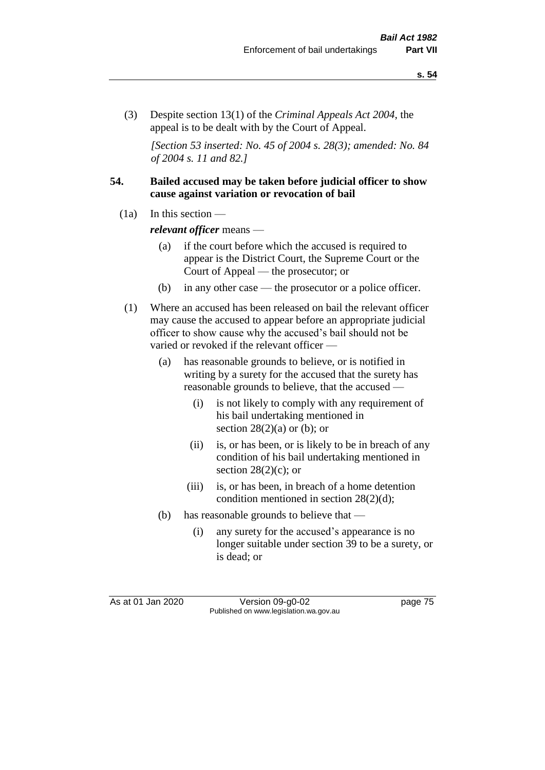(3) Despite section 13(1) of the *Criminal Appeals Act 2004*, the appeal is to be dealt with by the Court of Appeal.

*[Section 53 inserted: No. 45 of 2004 s. 28(3); amended: No. 84 of 2004 s. 11 and 82.]*

#### **54. Bailed accused may be taken before judicial officer to show cause against variation or revocation of bail**

 $(1a)$  In this section —

*relevant officer* means —

- (a) if the court before which the accused is required to appear is the District Court, the Supreme Court or the Court of Appeal — the prosecutor; or
- (b) in any other case the prosecutor or a police officer.
- (1) Where an accused has been released on bail the relevant officer may cause the accused to appear before an appropriate judicial officer to show cause why the accused's bail should not be varied or revoked if the relevant officer —
	- (a) has reasonable grounds to believe, or is notified in writing by a surety for the accused that the surety has reasonable grounds to believe, that the accused —
		- (i) is not likely to comply with any requirement of his bail undertaking mentioned in section  $28(2)(a)$  or (b); or
		- (ii) is, or has been, or is likely to be in breach of any condition of his bail undertaking mentioned in section  $28(2)(c)$ ; or
		- (iii) is, or has been, in breach of a home detention condition mentioned in section 28(2)(d);
	- (b) has reasonable grounds to believe that
		- (i) any surety for the accused's appearance is no longer suitable under section 39 to be a surety, or is dead; or

As at 01 Jan 2020 Version 09-g0-02 page 75 Published on www.legislation.wa.gov.au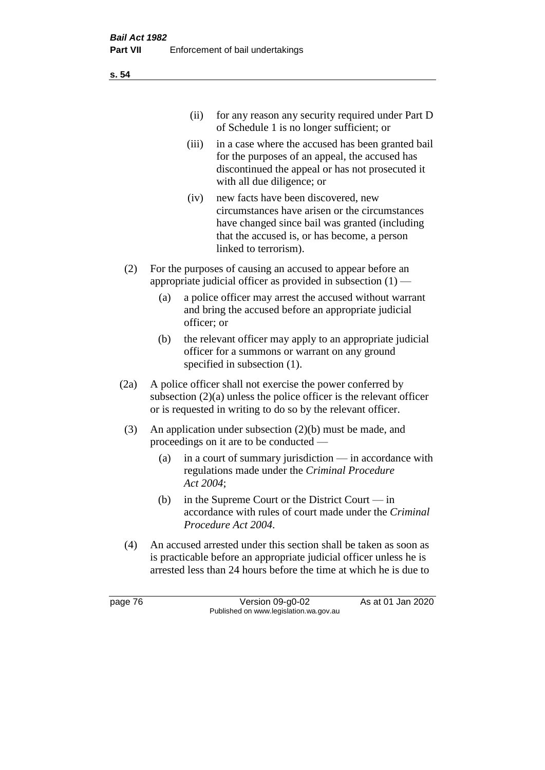| (ii) for any reason any security required under Part D |
|--------------------------------------------------------|
| of Schedule 1 is no longer sufficient; or              |

- (iii) in a case where the accused has been granted bail for the purposes of an appeal, the accused has discontinued the appeal or has not prosecuted it with all due diligence; or
- (iv) new facts have been discovered, new circumstances have arisen or the circumstances have changed since bail was granted (including that the accused is, or has become, a person linked to terrorism).
- (2) For the purposes of causing an accused to appear before an appropriate judicial officer as provided in subsection  $(1)$  —
	- (a) a police officer may arrest the accused without warrant and bring the accused before an appropriate judicial officer; or
	- (b) the relevant officer may apply to an appropriate judicial officer for a summons or warrant on any ground specified in subsection (1).
- (2a) A police officer shall not exercise the power conferred by subsection (2)(a) unless the police officer is the relevant officer or is requested in writing to do so by the relevant officer.
- (3) An application under subsection (2)(b) must be made, and proceedings on it are to be conducted —
	- (a) in a court of summary jurisdiction in accordance with regulations made under the *Criminal Procedure Act 2004*;
	- (b) in the Supreme Court or the District Court  $-\text{in}$ accordance with rules of court made under the *Criminal Procedure Act 2004*.
- (4) An accused arrested under this section shall be taken as soon as is practicable before an appropriate judicial officer unless he is arrested less than 24 hours before the time at which he is due to

page 76 Version 09-g0-02 As at 01 Jan 2020 Published on www.legislation.wa.gov.au

**s. 54**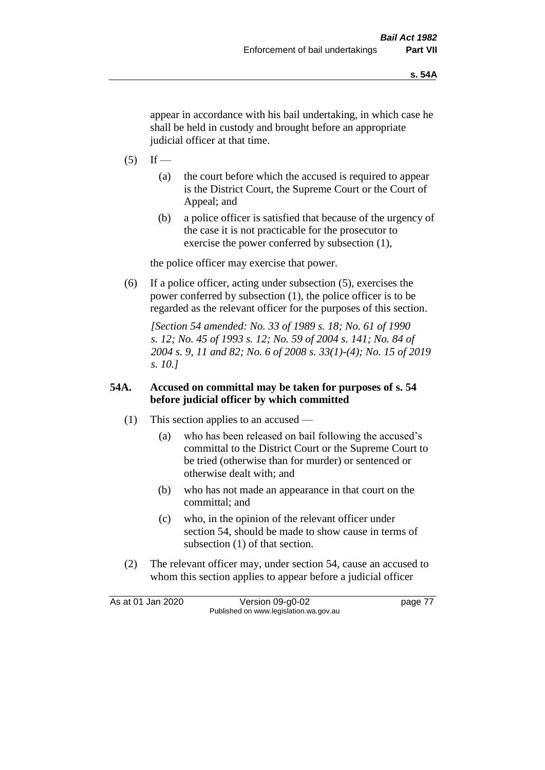appear in accordance with his bail undertaking, in which case he shall be held in custody and brought before an appropriate judicial officer at that time.

- $(5)$  If
	- (a) the court before which the accused is required to appear is the District Court, the Supreme Court or the Court of Appeal; and
	- (b) a police officer is satisfied that because of the urgency of the case it is not practicable for the prosecutor to exercise the power conferred by subsection (1),

the police officer may exercise that power.

(6) If a police officer, acting under subsection (5), exercises the power conferred by subsection (1), the police officer is to be regarded as the relevant officer for the purposes of this section.

*[Section 54 amended: No. 33 of 1989 s. 18; No. 61 of 1990 s. 12; No. 45 of 1993 s. 12; No. 59 of 2004 s. 141; No. 84 of 2004 s. 9, 11 and 82; No. 6 of 2008 s. 33(1)-(4); No. 15 of 2019 s. 10.]* 

#### **54A. Accused on committal may be taken for purposes of s. 54 before judicial officer by which committed**

- (1) This section applies to an accused
	- (a) who has been released on bail following the accused's committal to the District Court or the Supreme Court to be tried (otherwise than for murder) or sentenced or otherwise dealt with; and
	- (b) who has not made an appearance in that court on the committal; and
	- (c) who, in the opinion of the relevant officer under section 54, should be made to show cause in terms of subsection (1) of that section.
- (2) The relevant officer may, under section 54, cause an accused to whom this section applies to appear before a judicial officer

As at 01 Jan 2020 Version 09-g0-02 page 77 Published on www.legislation.wa.gov.au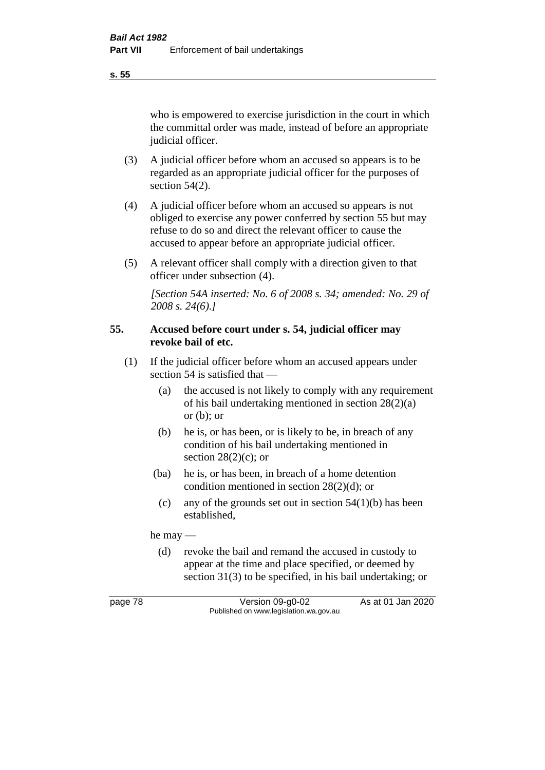**s. 55**

who is empowered to exercise jurisdiction in the court in which the committal order was made, instead of before an appropriate judicial officer.

- (3) A judicial officer before whom an accused so appears is to be regarded as an appropriate judicial officer for the purposes of section 54(2).
- (4) A judicial officer before whom an accused so appears is not obliged to exercise any power conferred by section 55 but may refuse to do so and direct the relevant officer to cause the accused to appear before an appropriate judicial officer.
- (5) A relevant officer shall comply with a direction given to that officer under subsection (4).

*[Section 54A inserted: No. 6 of 2008 s. 34; amended: No. 29 of 2008 s. 24(6).]*

#### **55. Accused before court under s. 54, judicial officer may revoke bail of etc.**

- (1) If the judicial officer before whom an accused appears under section 54 is satisfied that —
	- (a) the accused is not likely to comply with any requirement of his bail undertaking mentioned in section 28(2)(a) or  $(b)$ ; or
	- (b) he is, or has been, or is likely to be, in breach of any condition of his bail undertaking mentioned in section  $28(2)(c)$ ; or
	- (ba) he is, or has been, in breach of a home detention condition mentioned in section 28(2)(d); or
		- (c) any of the grounds set out in section  $54(1)(b)$  has been established,

he may —

(d) revoke the bail and remand the accused in custody to appear at the time and place specified, or deemed by section 31(3) to be specified, in his bail undertaking; or

page 78 Version 09-g0-02 As at 01 Jan 2020 Published on www.legislation.wa.gov.au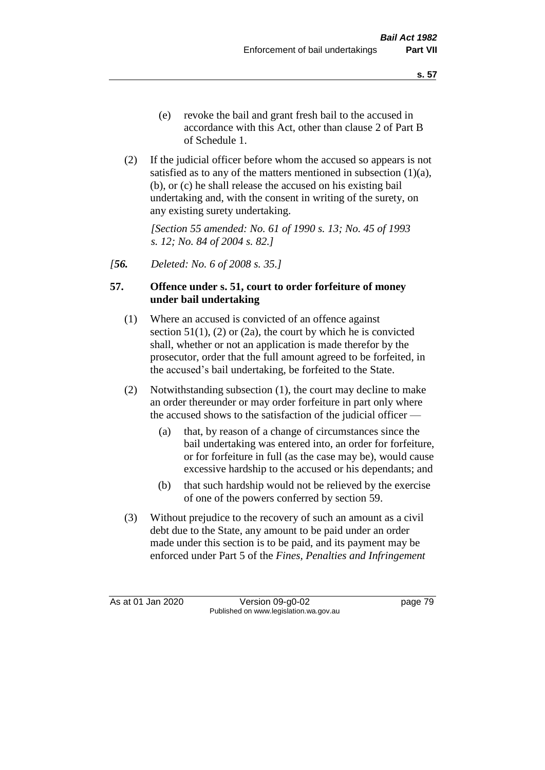- (e) revoke the bail and grant fresh bail to the accused in accordance with this Act, other than clause 2 of Part B of Schedule 1.
- (2) If the judicial officer before whom the accused so appears is not satisfied as to any of the matters mentioned in subsection (1)(a), (b), or (c) he shall release the accused on his existing bail undertaking and, with the consent in writing of the surety, on any existing surety undertaking.

*[Section 55 amended: No. 61 of 1990 s. 13; No. 45 of 1993 s. 12; No. 84 of 2004 s. 82.]* 

*[56. Deleted: No. 6 of 2008 s. 35.]*

#### **57. Offence under s. 51, court to order forfeiture of money under bail undertaking**

- (1) Where an accused is convicted of an offence against section  $51(1)$ ,  $(2)$  or  $(2a)$ , the court by which he is convicted shall, whether or not an application is made therefor by the prosecutor, order that the full amount agreed to be forfeited, in the accused's bail undertaking, be forfeited to the State.
- (2) Notwithstanding subsection (1), the court may decline to make an order thereunder or may order forfeiture in part only where the accused shows to the satisfaction of the judicial officer —
	- (a) that, by reason of a change of circumstances since the bail undertaking was entered into, an order for forfeiture, or for forfeiture in full (as the case may be), would cause excessive hardship to the accused or his dependants; and
	- (b) that such hardship would not be relieved by the exercise of one of the powers conferred by section 59.
- (3) Without prejudice to the recovery of such an amount as a civil debt due to the State, any amount to be paid under an order made under this section is to be paid, and its payment may be enforced under Part 5 of the *Fines, Penalties and Infringement*

As at 01 Jan 2020 Version 09-g0-02 page 79 Published on www.legislation.wa.gov.au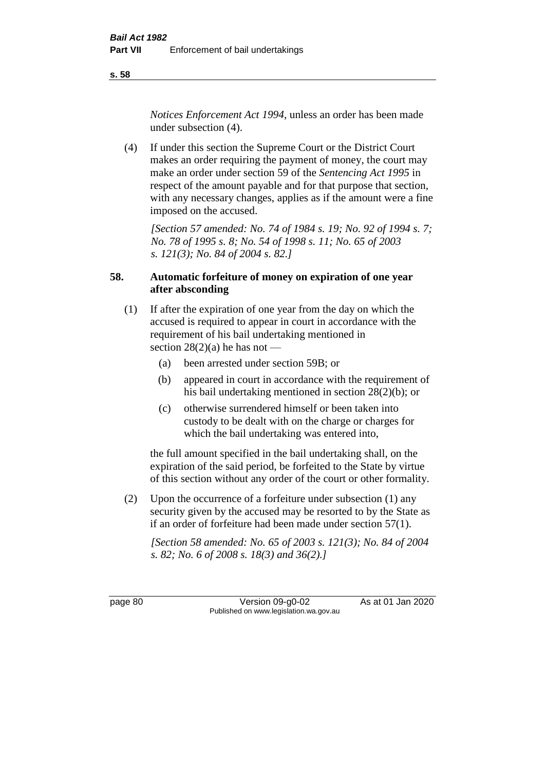**s. 58**

*Notices Enforcement Act 1994*, unless an order has been made under subsection (4).

(4) If under this section the Supreme Court or the District Court makes an order requiring the payment of money, the court may make an order under section 59 of the *Sentencing Act 1995* in respect of the amount payable and for that purpose that section, with any necessary changes, applies as if the amount were a fine imposed on the accused.

*[Section 57 amended: No. 74 of 1984 s. 19; No. 92 of 1994 s. 7; No. 78 of 1995 s. 8; No. 54 of 1998 s. 11; No. 65 of 2003 s. 121(3); No. 84 of 2004 s. 82.]* 

## **58. Automatic forfeiture of money on expiration of one year after absconding**

- (1) If after the expiration of one year from the day on which the accused is required to appear in court in accordance with the requirement of his bail undertaking mentioned in section  $28(2)(a)$  he has not —
	- (a) been arrested under section 59B; or
	- (b) appeared in court in accordance with the requirement of his bail undertaking mentioned in section 28(2)(b); or
	- (c) otherwise surrendered himself or been taken into custody to be dealt with on the charge or charges for which the bail undertaking was entered into,

the full amount specified in the bail undertaking shall, on the expiration of the said period, be forfeited to the State by virtue of this section without any order of the court or other formality.

(2) Upon the occurrence of a forfeiture under subsection (1) any security given by the accused may be resorted to by the State as if an order of forfeiture had been made under section 57(1).

*[Section 58 amended: No. 65 of 2003 s. 121(3); No. 84 of 2004 s. 82; No. 6 of 2008 s. 18(3) and 36(2).]*

page 80 Version 09-g0-02 As at 01 Jan 2020 Published on www.legislation.wa.gov.au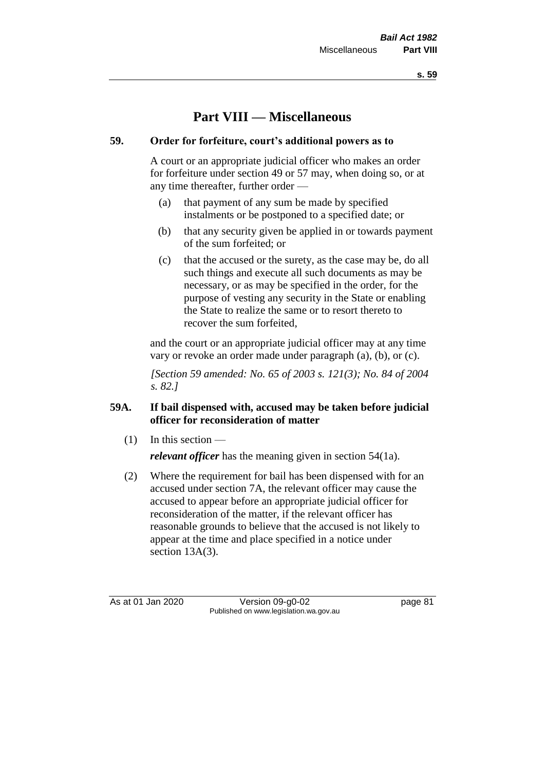**s. 59**

# **Part VIII — Miscellaneous**

## **59. Order for forfeiture, court's additional powers as to**

A court or an appropriate judicial officer who makes an order for forfeiture under section 49 or 57 may, when doing so, or at any time thereafter, further order —

- (a) that payment of any sum be made by specified instalments or be postponed to a specified date; or
- (b) that any security given be applied in or towards payment of the sum forfeited; or
- (c) that the accused or the surety, as the case may be, do all such things and execute all such documents as may be necessary, or as may be specified in the order, for the purpose of vesting any security in the State or enabling the State to realize the same or to resort thereto to recover the sum forfeited,

and the court or an appropriate judicial officer may at any time vary or revoke an order made under paragraph (a), (b), or (c).

*[Section 59 amended: No. 65 of 2003 s. 121(3); No. 84 of 2004 s. 82.]*

## **59A. If bail dispensed with, accused may be taken before judicial officer for reconsideration of matter**

 $(1)$  In this section —

*relevant officer* has the meaning given in section 54(1a).

(2) Where the requirement for bail has been dispensed with for an accused under section 7A, the relevant officer may cause the accused to appear before an appropriate judicial officer for reconsideration of the matter, if the relevant officer has reasonable grounds to believe that the accused is not likely to appear at the time and place specified in a notice under section 13A(3).

As at 01 Jan 2020 Version 09-g0-02 page 81 Published on www.legislation.wa.gov.au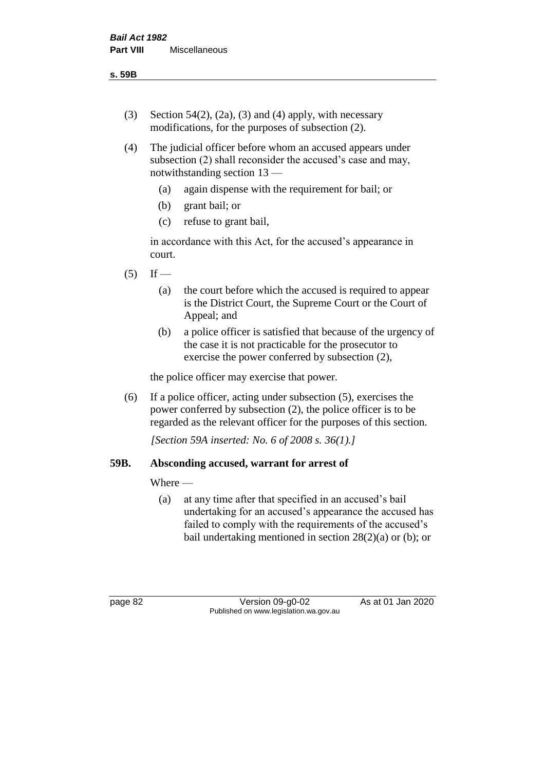- (3) Section 54(2), (2a), (3) and (4) apply, with necessary modifications, for the purposes of subsection (2).
- (4) The judicial officer before whom an accused appears under subsection (2) shall reconsider the accused's case and may, notwithstanding section 13 —
	- (a) again dispense with the requirement for bail; or
	- (b) grant bail; or
	- (c) refuse to grant bail,

in accordance with this Act, for the accused's appearance in court.

- $(5)$  If
	- (a) the court before which the accused is required to appear is the District Court, the Supreme Court or the Court of Appeal; and
	- (b) a police officer is satisfied that because of the urgency of the case it is not practicable for the prosecutor to exercise the power conferred by subsection (2),

the police officer may exercise that power.

(6) If a police officer, acting under subsection (5), exercises the power conferred by subsection (2), the police officer is to be regarded as the relevant officer for the purposes of this section.

*[Section 59A inserted: No. 6 of 2008 s. 36(1).]*

#### **59B. Absconding accused, warrant for arrest of**

#### Where —

(a) at any time after that specified in an accused's bail undertaking for an accused's appearance the accused has failed to comply with the requirements of the accused's bail undertaking mentioned in section  $28(2)(a)$  or (b); or

page 82 Version 09-g0-02 As at 01 Jan 2020 Published on www.legislation.wa.gov.au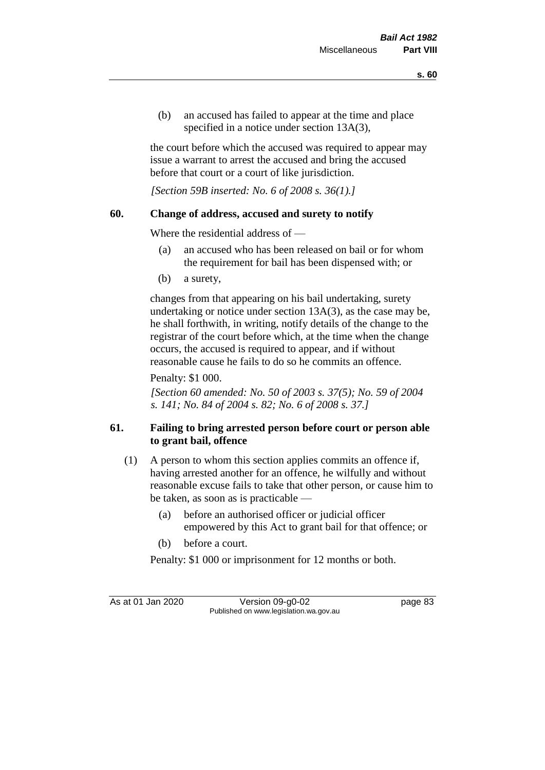(b) an accused has failed to appear at the time and place specified in a notice under section 13A(3),

the court before which the accused was required to appear may issue a warrant to arrest the accused and bring the accused before that court or a court of like jurisdiction.

*[Section 59B inserted: No. 6 of 2008 s. 36(1).]*

## **60. Change of address, accused and surety to notify**

Where the residential address of —

- (a) an accused who has been released on bail or for whom the requirement for bail has been dispensed with; or
- (b) a surety,

changes from that appearing on his bail undertaking, surety undertaking or notice under section 13A(3), as the case may be, he shall forthwith, in writing, notify details of the change to the registrar of the court before which, at the time when the change occurs, the accused is required to appear, and if without reasonable cause he fails to do so he commits an offence.

Penalty: \$1 000.

*[Section 60 amended: No. 50 of 2003 s. 37(5); No. 59 of 2004 s. 141; No. 84 of 2004 s. 82; No. 6 of 2008 s. 37.]*

# **61. Failing to bring arrested person before court or person able to grant bail, offence**

- (1) A person to whom this section applies commits an offence if, having arrested another for an offence, he wilfully and without reasonable excuse fails to take that other person, or cause him to be taken, as soon as is practicable —
	- (a) before an authorised officer or judicial officer empowered by this Act to grant bail for that offence; or
	- (b) before a court.
	- Penalty: \$1 000 or imprisonment for 12 months or both.

As at 01 Jan 2020 Version 09-g0-02 page 83 Published on www.legislation.wa.gov.au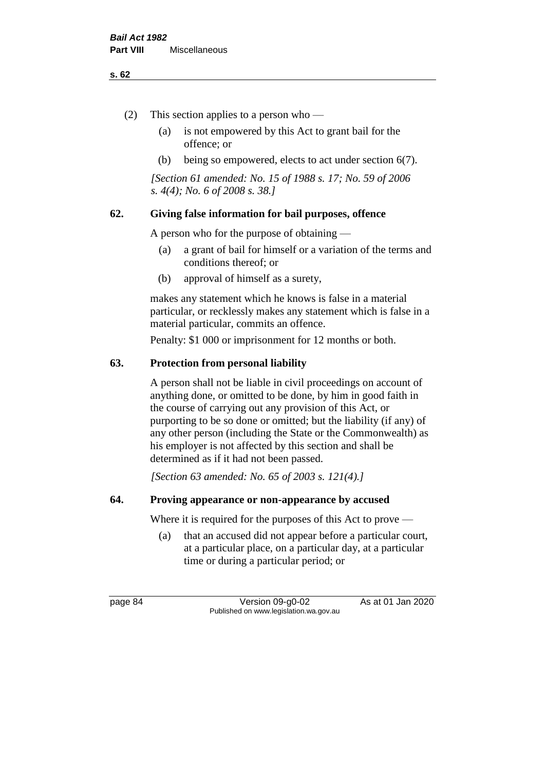#### **s. 62**

- (2) This section applies to a person who
	- (a) is not empowered by this Act to grant bail for the offence; or
	- (b) being so empowered, elects to act under section 6(7).

*[Section 61 amended: No. 15 of 1988 s. 17; No. 59 of 2006 s. 4(4); No. 6 of 2008 s. 38.]* 

# **62. Giving false information for bail purposes, offence**

A person who for the purpose of obtaining —

- (a) a grant of bail for himself or a variation of the terms and conditions thereof; or
- (b) approval of himself as a surety,

makes any statement which he knows is false in a material particular, or recklessly makes any statement which is false in a material particular, commits an offence.

Penalty: \$1 000 or imprisonment for 12 months or both.

## **63. Protection from personal liability**

A person shall not be liable in civil proceedings on account of anything done, or omitted to be done, by him in good faith in the course of carrying out any provision of this Act, or purporting to be so done or omitted; but the liability (if any) of any other person (including the State or the Commonwealth) as his employer is not affected by this section and shall be determined as if it had not been passed.

*[Section 63 amended: No. 65 of 2003 s. 121(4).]*

#### **64. Proving appearance or non-appearance by accused**

Where it is required for the purposes of this Act to prove —

(a) that an accused did not appear before a particular court, at a particular place, on a particular day, at a particular time or during a particular period; or

page 84 Version 09-g0-02 As at 01 Jan 2020 Published on www.legislation.wa.gov.au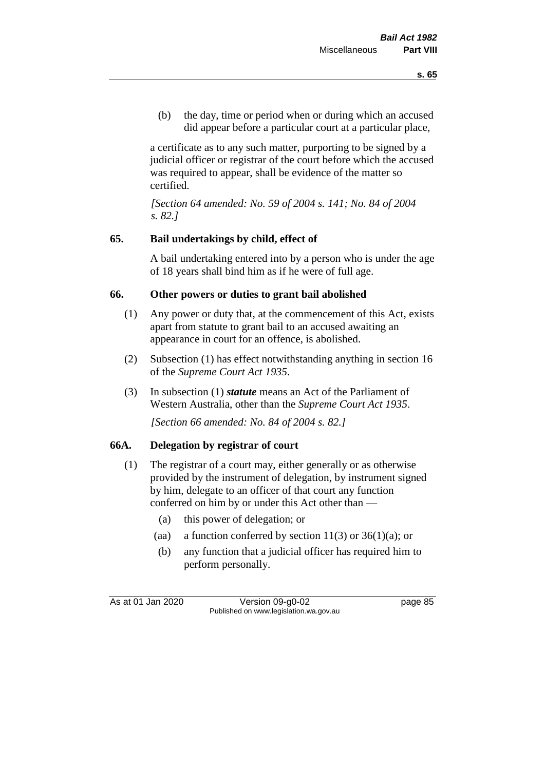(b) the day, time or period when or during which an accused did appear before a particular court at a particular place,

a certificate as to any such matter, purporting to be signed by a judicial officer or registrar of the court before which the accused was required to appear, shall be evidence of the matter so certified.

*[Section 64 amended: No. 59 of 2004 s. 141; No. 84 of 2004 s. 82.]* 

## **65. Bail undertakings by child, effect of**

A bail undertaking entered into by a person who is under the age of 18 years shall bind him as if he were of full age.

## **66. Other powers or duties to grant bail abolished**

- (1) Any power or duty that, at the commencement of this Act, exists apart from statute to grant bail to an accused awaiting an appearance in court for an offence, is abolished.
- (2) Subsection (1) has effect notwithstanding anything in section 16 of the *Supreme Court Act 1935*.
- (3) In subsection (1) *statute* means an Act of the Parliament of Western Australia, other than the *Supreme Court Act 1935*.

*[Section 66 amended: No. 84 of 2004 s. 82.]*

#### **66A. Delegation by registrar of court**

- (1) The registrar of a court may, either generally or as otherwise provided by the instrument of delegation, by instrument signed by him, delegate to an officer of that court any function conferred on him by or under this Act other than —
	- (a) this power of delegation; or
	- (aa) a function conferred by section  $11(3)$  or  $36(1)(a)$ ; or
	- (b) any function that a judicial officer has required him to perform personally.

As at 01 Jan 2020 Version 09-g0-02 page 85 Published on www.legislation.wa.gov.au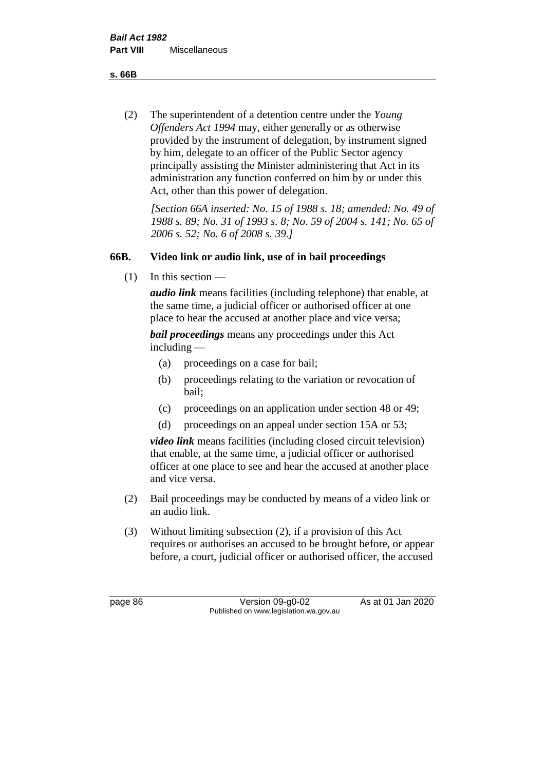**s. 66B**

(2) The superintendent of a detention centre under the *Young Offenders Act 1994* may, either generally or as otherwise provided by the instrument of delegation, by instrument signed by him, delegate to an officer of the Public Sector agency principally assisting the Minister administering that Act in its administration any function conferred on him by or under this Act, other than this power of delegation.

*[Section 66A inserted: No. 15 of 1988 s. 18; amended: No. 49 of 1988 s. 89; No. 31 of 1993 s. 8; No. 59 of 2004 s. 141; No. 65 of 2006 s. 52; No. 6 of 2008 s. 39.]* 

## **66B. Video link or audio link, use of in bail proceedings**

 $(1)$  In this section —

*audio link* means facilities (including telephone) that enable, at the same time, a judicial officer or authorised officer at one place to hear the accused at another place and vice versa;

*bail proceedings* means any proceedings under this Act including —

- (a) proceedings on a case for bail;
- (b) proceedings relating to the variation or revocation of bail;
- (c) proceedings on an application under section 48 or 49;
- (d) proceedings on an appeal under section 15A or 53;

*video link* means facilities (including closed circuit television) that enable, at the same time, a judicial officer or authorised officer at one place to see and hear the accused at another place and vice versa.

- (2) Bail proceedings may be conducted by means of a video link or an audio link.
- (3) Without limiting subsection (2), if a provision of this Act requires or authorises an accused to be brought before, or appear before, a court, judicial officer or authorised officer, the accused

page 86 Version 09-g0-02 As at 01 Jan 2020 Published on www.legislation.wa.gov.au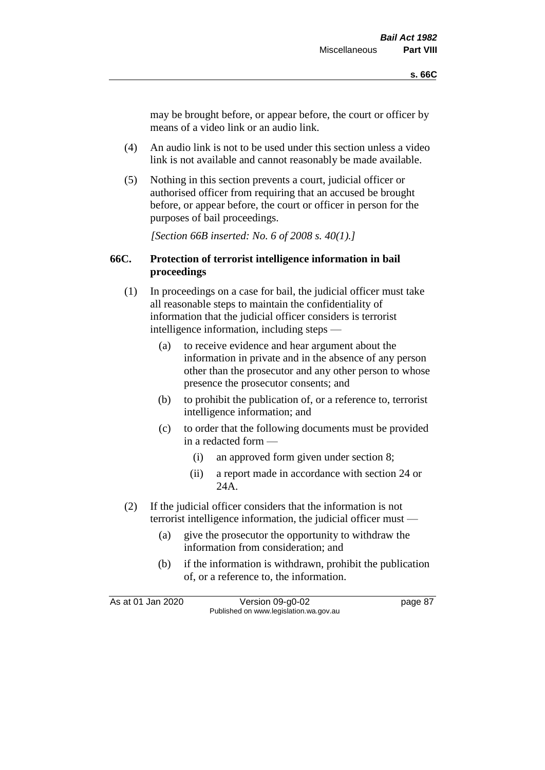may be brought before, or appear before, the court or officer by means of a video link or an audio link.

- (4) An audio link is not to be used under this section unless a video link is not available and cannot reasonably be made available.
- (5) Nothing in this section prevents a court, judicial officer or authorised officer from requiring that an accused be brought before, or appear before, the court or officer in person for the purposes of bail proceedings.

*[Section 66B inserted: No. 6 of 2008 s. 40(1).]*

#### **66C. Protection of terrorist intelligence information in bail proceedings**

- (1) In proceedings on a case for bail, the judicial officer must take all reasonable steps to maintain the confidentiality of information that the judicial officer considers is terrorist intelligence information, including steps —
	- (a) to receive evidence and hear argument about the information in private and in the absence of any person other than the prosecutor and any other person to whose presence the prosecutor consents; and
	- (b) to prohibit the publication of, or a reference to, terrorist intelligence information; and
	- (c) to order that the following documents must be provided in a redacted form —
		- (i) an approved form given under section 8;
		- (ii) a report made in accordance with section 24 or 24A.
- (2) If the judicial officer considers that the information is not terrorist intelligence information, the judicial officer must —
	- (a) give the prosecutor the opportunity to withdraw the information from consideration; and
	- (b) if the information is withdrawn, prohibit the publication of, or a reference to, the information.

As at 01 Jan 2020 Version 09-g0-02 page 87 Published on www.legislation.wa.gov.au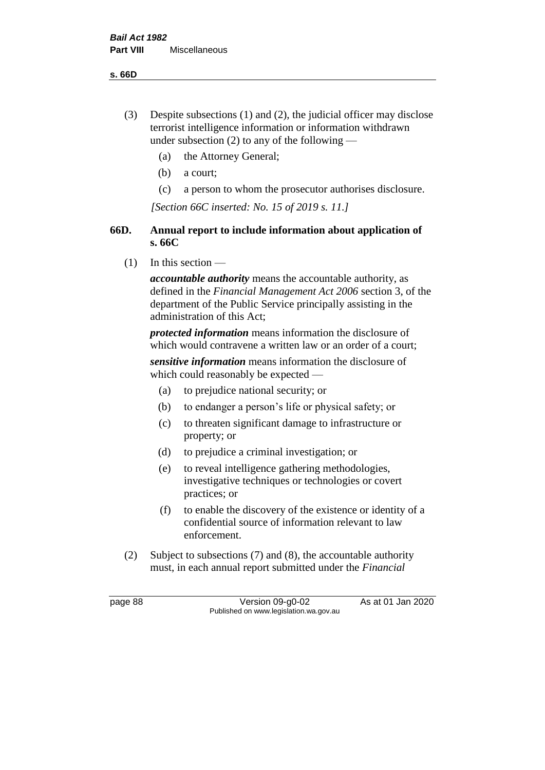**s. 66D**

- (3) Despite subsections (1) and (2), the judicial officer may disclose terrorist intelligence information or information withdrawn under subsection  $(2)$  to any of the following —
	- (a) the Attorney General;
	- (b) a court;
	- (c) a person to whom the prosecutor authorises disclosure.

*[Section 66C inserted: No. 15 of 2019 s. 11.]*

## **66D. Annual report to include information about application of s. 66C**

 $(1)$  In this section —

*accountable authority* means the accountable authority, as defined in the *Financial Management Act 2006* section 3, of the department of the Public Service principally assisting in the administration of this Act;

*protected information* means information the disclosure of which would contravene a written law or an order of a court;

*sensitive information* means information the disclosure of which could reasonably be expected —

- (a) to prejudice national security; or
- (b) to endanger a person's life or physical safety; or
- (c) to threaten significant damage to infrastructure or property; or
- (d) to prejudice a criminal investigation; or
- (e) to reveal intelligence gathering methodologies, investigative techniques or technologies or covert practices; or
- (f) to enable the discovery of the existence or identity of a confidential source of information relevant to law enforcement.
- (2) Subject to subsections (7) and (8), the accountable authority must, in each annual report submitted under the *Financial*

page 88 Version 09-g0-02 As at 01 Jan 2020 Published on www.legislation.wa.gov.au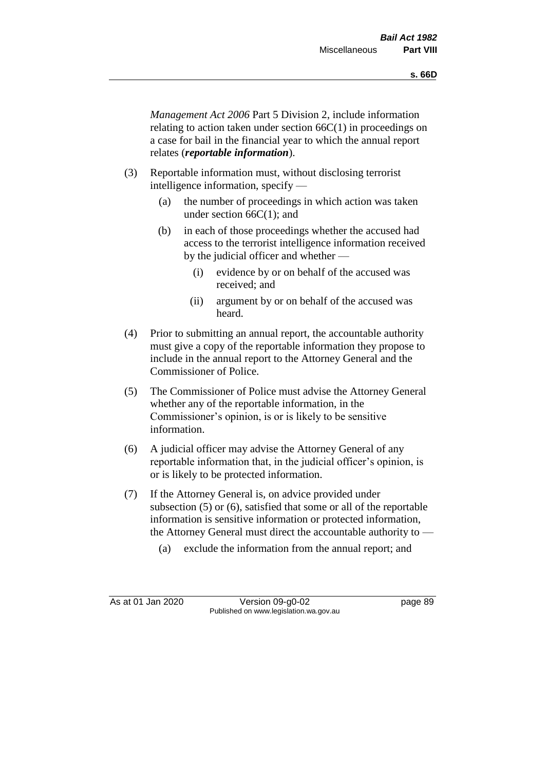*Management Act 2006* Part 5 Division 2, include information relating to action taken under section 66C(1) in proceedings on a case for bail in the financial year to which the annual report relates (*reportable information*).

- (3) Reportable information must, without disclosing terrorist intelligence information, specify —
	- (a) the number of proceedings in which action was taken under section 66C(1); and
	- (b) in each of those proceedings whether the accused had access to the terrorist intelligence information received by the judicial officer and whether —
		- (i) evidence by or on behalf of the accused was received; and
		- (ii) argument by or on behalf of the accused was heard.
- (4) Prior to submitting an annual report, the accountable authority must give a copy of the reportable information they propose to include in the annual report to the Attorney General and the Commissioner of Police.
- (5) The Commissioner of Police must advise the Attorney General whether any of the reportable information, in the Commissioner's opinion, is or is likely to be sensitive information.
- (6) A judicial officer may advise the Attorney General of any reportable information that, in the judicial officer's opinion, is or is likely to be protected information.
- (7) If the Attorney General is, on advice provided under subsection (5) or (6), satisfied that some or all of the reportable information is sensitive information or protected information, the Attorney General must direct the accountable authority to -
	- (a) exclude the information from the annual report; and

As at 01 Jan 2020 Version 09-g0-02 page 89 Published on www.legislation.wa.gov.au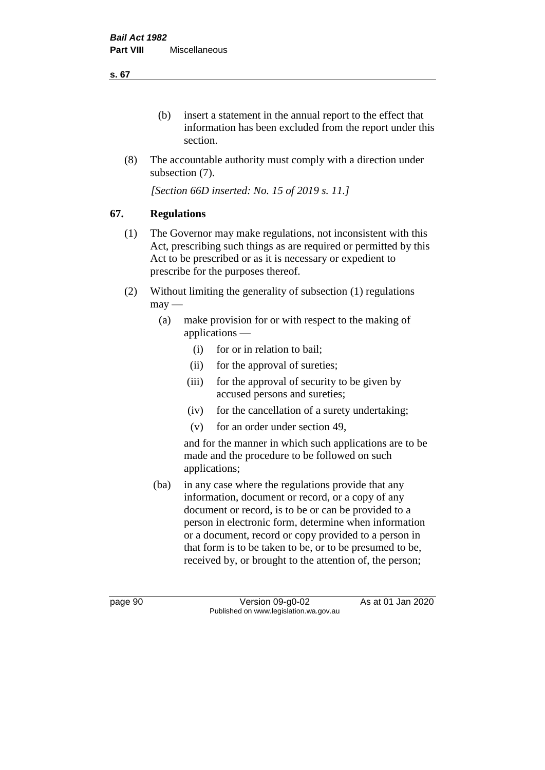(b) insert a statement in the annual report to the effect that information has been excluded from the report under this section.

(8) The accountable authority must comply with a direction under subsection (7).

*[Section 66D inserted: No. 15 of 2019 s. 11.]*

# **67. Regulations**

- (1) The Governor may make regulations, not inconsistent with this Act, prescribing such things as are required or permitted by this Act to be prescribed or as it is necessary or expedient to prescribe for the purposes thereof.
- (2) Without limiting the generality of subsection (1) regulations  $may -$ 
	- (a) make provision for or with respect to the making of applications —
		- (i) for or in relation to bail;
		- (ii) for the approval of sureties;
		- (iii) for the approval of security to be given by accused persons and sureties;
		- (iv) for the cancellation of a surety undertaking;
		- (v) for an order under section 49,

and for the manner in which such applications are to be made and the procedure to be followed on such applications;

(ba) in any case where the regulations provide that any information, document or record, or a copy of any document or record, is to be or can be provided to a person in electronic form, determine when information or a document, record or copy provided to a person in that form is to be taken to be, or to be presumed to be, received by, or brought to the attention of, the person;

page 90 Version 09-g0-02 As at 01 Jan 2020 Published on www.legislation.wa.gov.au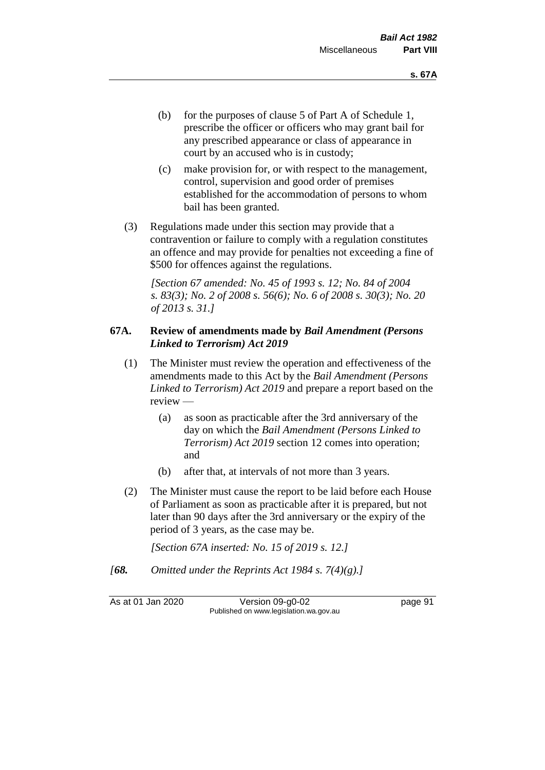- (b) for the purposes of clause 5 of Part A of Schedule 1, prescribe the officer or officers who may grant bail for any prescribed appearance or class of appearance in court by an accused who is in custody;
- (c) make provision for, or with respect to the management, control, supervision and good order of premises established for the accommodation of persons to whom bail has been granted.
- (3) Regulations made under this section may provide that a contravention or failure to comply with a regulation constitutes an offence and may provide for penalties not exceeding a fine of \$500 for offences against the regulations.

*[Section 67 amended: No. 45 of 1993 s. 12; No. 84 of 2004 s. 83(3); No. 2 of 2008 s. 56(6); No. 6 of 2008 s. 30(3); No. 20 of 2013 s. 31.]* 

#### **67A. Review of amendments made by** *Bail Amendment (Persons Linked to Terrorism) Act 2019*

- (1) The Minister must review the operation and effectiveness of the amendments made to this Act by the *Bail Amendment (Persons Linked to Terrorism) Act 2019* and prepare a report based on the review —
	- (a) as soon as practicable after the 3rd anniversary of the day on which the *Bail Amendment (Persons Linked to Terrorism) Act 2019* section 12 comes into operation; and
	- (b) after that, at intervals of not more than 3 years.
- (2) The Minister must cause the report to be laid before each House of Parliament as soon as practicable after it is prepared, but not later than 90 days after the 3rd anniversary or the expiry of the period of 3 years, as the case may be.

*[Section 67A inserted: No. 15 of 2019 s. 12.]*

*[68. Omitted under the Reprints Act 1984 s. 7(4)(g).]*

As at 01 Jan 2020 Version 09-g0-02 page 91 Published on www.legislation.wa.gov.au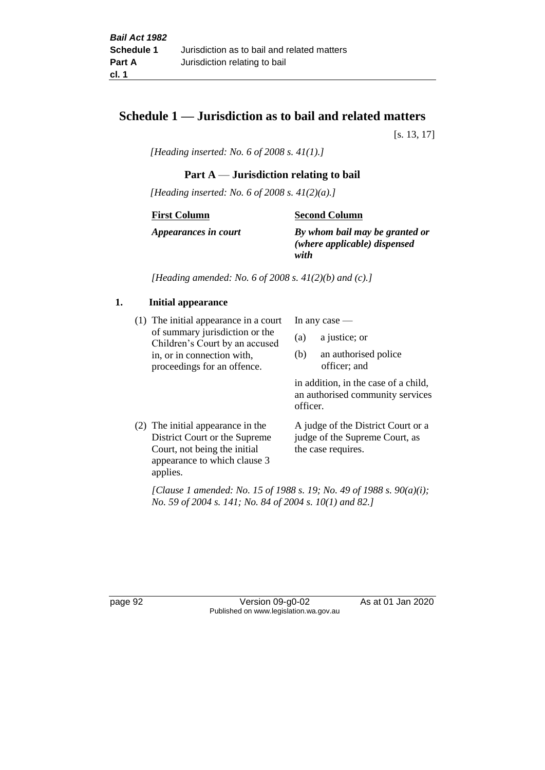# **Schedule 1 — Jurisdiction as to bail and related matters**

[s. 13, 17]

*[Heading inserted: No. 6 of 2008 s. 41(1).]*

#### **Part A** — **Jurisdiction relating to bail**

*[Heading inserted: No. 6 of 2008 s. 41(2)(a).]*

**First Column**

**Second Column**

*Appearances in court*

*By whom bail may be granted or (where applicable) dispensed* 

*with*

*[Heading amended: No. 6 of 2008 s. 41(2)(b) and (c).]*

#### **1. Initial appearance**

(1) The initial appearance in a court of summary jurisdiction or the Children's Court by an accused in, or in connection with, proceedings for an offence.

In any case —

- (a) a justice; or
- (b) an authorised police officer; and

in addition, in the case of a child, an authorised community services officer.

(2) The initial appearance in the District Court or the Supreme Court, not being the initial appearance to which clause 3 applies.

A judge of the District Court or a judge of the Supreme Court, as the case requires.

*[Clause 1 amended: No. 15 of 1988 s. 19; No. 49 of 1988 s. 90(a)(i); No. 59 of 2004 s. 141; No. 84 of 2004 s. 10(1) and 82.]*

page 92 Version 09-g0-02 As at 01 Jan 2020 Published on www.legislation.wa.gov.au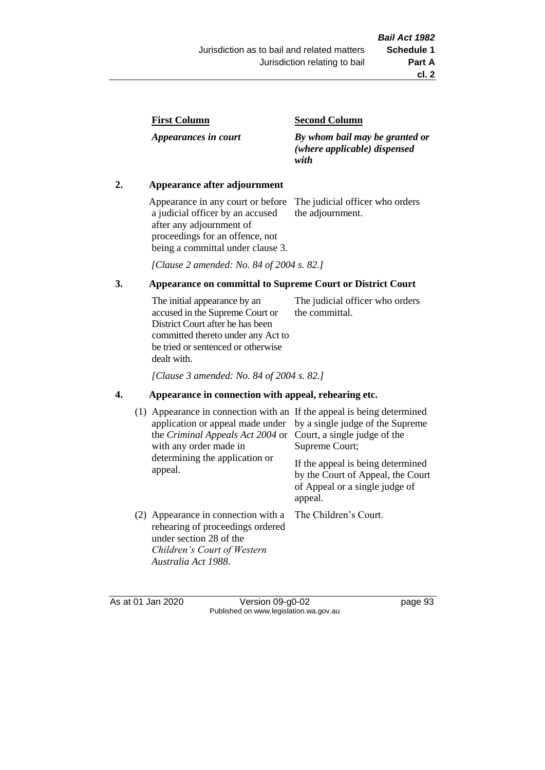| <b>First Column</b> |
|---------------------|
|---------------------|

*Appearances in court*

#### **Second Column**

*By whom bail may be granted or (where applicable) dispensed with*

#### **2. Appearance after adjournment**

Appearance in any court or before a judicial officer by an accused after any adjournment of proceedings for an offence, not being a committal under clause 3.

The judicial officer who orders the adjournment.

*[Clause 2 amended: No. 84 of 2004 s. 82.]*

#### **3. Appearance on committal to Supreme Court or District Court**

The initial appearance by an accused in the Supreme Court or District Court after he has been committed thereto under any Act to be tried or sentenced or otherwise dealt with. The judicial officer who orders the committal.

*[Clause 3 amended: No. 84 of 2004 s. 82.]*

#### **4. Appearance in connection with appeal, rehearing etc.**

| (1) Appearance in connection with an If the appeal is being determined<br>application or appeal made under<br>the Criminal Appeals Act 2004 or<br>with any order made in<br>determining the application or<br>appeal. | by a single judge of the Supreme<br>Court, a single judge of the<br>Supreme Court;<br>If the appeal is being determined<br>by the Court of Appeal, the Court<br>of Appeal or a single judge of<br>appeal. |
|-----------------------------------------------------------------------------------------------------------------------------------------------------------------------------------------------------------------------|-----------------------------------------------------------------------------------------------------------------------------------------------------------------------------------------------------------|
| (2) Appearance in connection with a<br>rehearing of proceedings ordered<br>under section 28 of the<br>Children's Court of Western<br>Australia Act 1988.                                                              | The Children's Court.                                                                                                                                                                                     |

As at 01 Jan 2020 Version 09-g0-02 page 93 Published on www.legislation.wa.gov.au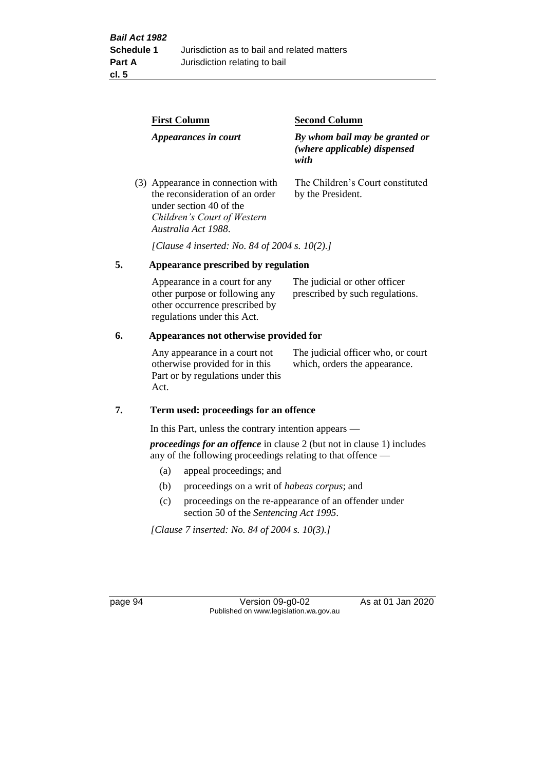|    | <b>First Column</b>                                                                                                                                   | <b>Second Column</b>                                                   |  |  |  |  |
|----|-------------------------------------------------------------------------------------------------------------------------------------------------------|------------------------------------------------------------------------|--|--|--|--|
|    | Appearances in court                                                                                                                                  | By whom bail may be granted or<br>(where applicable) dispensed<br>with |  |  |  |  |
|    | (3) Appearance in connection with<br>the reconsideration of an order<br>under section 40 of the<br>Children's Court of Western<br>Australia Act 1988. | The Children's Court constituted<br>by the President.                  |  |  |  |  |
|    |                                                                                                                                                       | [Clause 4 inserted: No. 84 of 2004 s. 10(2).]                          |  |  |  |  |
| 5. | Appearance prescribed by regulation                                                                                                                   |                                                                        |  |  |  |  |
|    | Appearance in a court for any<br>other purpose or following any<br>other occurrence prescribed by                                                     | The judicial or other officer<br>prescribed by such regulations.       |  |  |  |  |

#### **6. Appearances not otherwise provided for**

regulations under this Act.

Any appearance in a court not otherwise provided for in this Part or by regulations under this Act.

The judicial officer who, or court which, orders the appearance.

#### **7. Term used: proceedings for an offence**

In this Part, unless the contrary intention appears —

*proceedings for an offence* in clause 2 (but not in clause 1) includes any of the following proceedings relating to that offence —

- (a) appeal proceedings; and
- (b) proceedings on a writ of *habeas corpus*; and
- (c) proceedings on the re-appearance of an offender under section 50 of the *Sentencing Act 1995*.

*[Clause 7 inserted: No. 84 of 2004 s. 10(3).]*

page 94 Version 09-g0-02 As at 01 Jan 2020 Published on www.legislation.wa.gov.au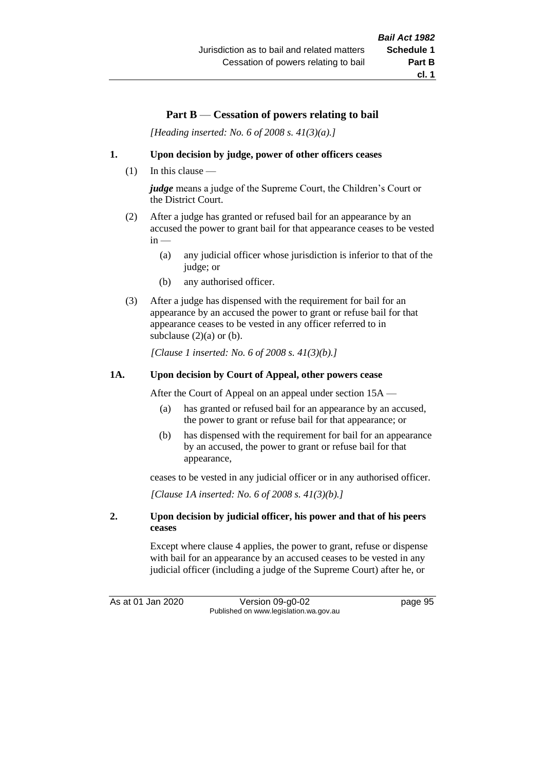# **Part B** — **Cessation of powers relating to bail**

*[Heading inserted: No. 6 of 2008 s. 41(3)(a).]*

#### **1. Upon decision by judge, power of other officers ceases**

(1) In this clause —

*judge* means a judge of the Supreme Court, the Children's Court or the District Court.

- (2) After a judge has granted or refused bail for an appearance by an accused the power to grant bail for that appearance ceases to be vested  $in -$ 
	- (a) any judicial officer whose jurisdiction is inferior to that of the judge; or
	- (b) any authorised officer.
- (3) After a judge has dispensed with the requirement for bail for an appearance by an accused the power to grant or refuse bail for that appearance ceases to be vested in any officer referred to in subclause  $(2)(a)$  or  $(b)$ .

*[Clause 1 inserted: No. 6 of 2008 s. 41(3)(b).]*

#### **1A. Upon decision by Court of Appeal, other powers cease**

After the Court of Appeal on an appeal under section 15A —

- (a) has granted or refused bail for an appearance by an accused, the power to grant or refuse bail for that appearance; or
- (b) has dispensed with the requirement for bail for an appearance by an accused, the power to grant or refuse bail for that appearance,

ceases to be vested in any judicial officer or in any authorised officer.

*[Clause 1A inserted: No. 6 of 2008 s. 41(3)(b).]*

#### **2. Upon decision by judicial officer, his power and that of his peers ceases**

Except where clause 4 applies, the power to grant, refuse or dispense with bail for an appearance by an accused ceases to be vested in any judicial officer (including a judge of the Supreme Court) after he, or

As at 01 Jan 2020 Version 09-g0-02 page 95 Published on www.legislation.wa.gov.au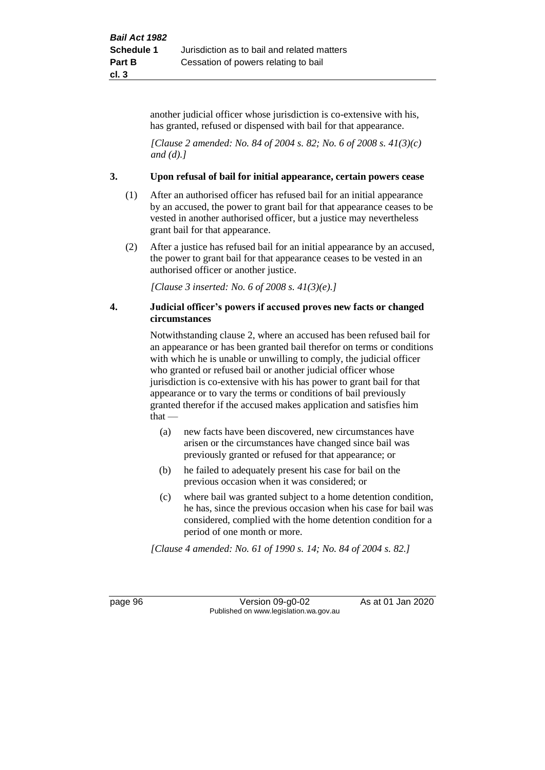another judicial officer whose jurisdiction is co-extensive with his, has granted, refused or dispensed with bail for that appearance.

*[Clause 2 amended: No. 84 of 2004 s. 82; No. 6 of 2008 s. 41(3)(c) and (d).]*

#### **3. Upon refusal of bail for initial appearance, certain powers cease**

- (1) After an authorised officer has refused bail for an initial appearance by an accused, the power to grant bail for that appearance ceases to be vested in another authorised officer, but a justice may nevertheless grant bail for that appearance.
- (2) After a justice has refused bail for an initial appearance by an accused, the power to grant bail for that appearance ceases to be vested in an authorised officer or another justice.

*[Clause 3 inserted: No. 6 of 2008 s. 41(3)(e).]*

#### **4. Judicial officer's powers if accused proves new facts or changed circumstances**

Notwithstanding clause 2, where an accused has been refused bail for an appearance or has been granted bail therefor on terms or conditions with which he is unable or unwilling to comply, the judicial officer who granted or refused bail or another judicial officer whose jurisdiction is co-extensive with his has power to grant bail for that appearance or to vary the terms or conditions of bail previously granted therefor if the accused makes application and satisfies him  $that -$ 

- (a) new facts have been discovered, new circumstances have arisen or the circumstances have changed since bail was previously granted or refused for that appearance; or
- (b) he failed to adequately present his case for bail on the previous occasion when it was considered; or
- (c) where bail was granted subject to a home detention condition, he has, since the previous occasion when his case for bail was considered, complied with the home detention condition for a period of one month or more.

*[Clause 4 amended: No. 61 of 1990 s. 14; No. 84 of 2004 s. 82.]*

page 96 Version 09-g0-02 As at 01 Jan 2020 Published on www.legislation.wa.gov.au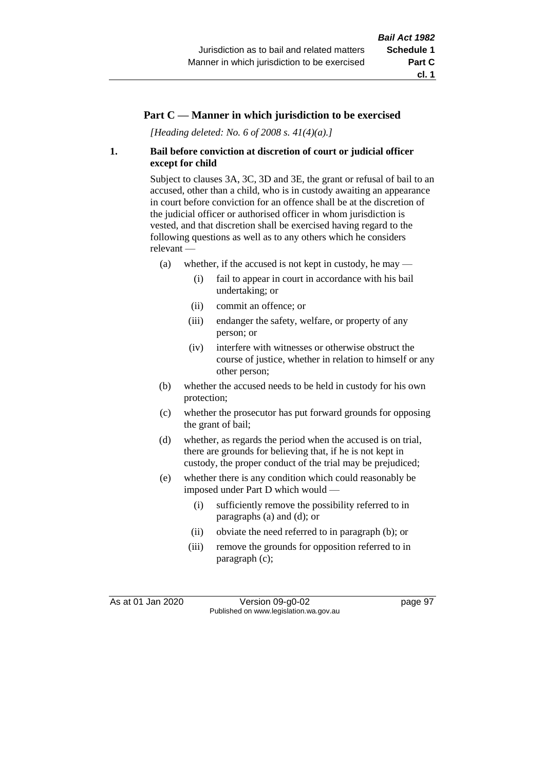#### **Part C — Manner in which jurisdiction to be exercised**

*[Heading deleted: No. 6 of 2008 s. 41(4)(a).]*

#### **1. Bail before conviction at discretion of court or judicial officer except for child**

Subject to clauses 3A, 3C, 3D and 3E, the grant or refusal of bail to an accused, other than a child, who is in custody awaiting an appearance in court before conviction for an offence shall be at the discretion of the judicial officer or authorised officer in whom jurisdiction is vested, and that discretion shall be exercised having regard to the following questions as well as to any others which he considers relevant —

- (a) whether, if the accused is not kept in custody, he may
	- (i) fail to appear in court in accordance with his bail undertaking; or
	- (ii) commit an offence; or
	- (iii) endanger the safety, welfare, or property of any person; or
	- (iv) interfere with witnesses or otherwise obstruct the course of justice, whether in relation to himself or any other person;
- (b) whether the accused needs to be held in custody for his own protection;
- (c) whether the prosecutor has put forward grounds for opposing the grant of bail;
- (d) whether, as regards the period when the accused is on trial, there are grounds for believing that, if he is not kept in custody, the proper conduct of the trial may be prejudiced;
- (e) whether there is any condition which could reasonably be imposed under Part D which would —
	- (i) sufficiently remove the possibility referred to in paragraphs (a) and (d); or
	- (ii) obviate the need referred to in paragraph (b); or
	- (iii) remove the grounds for opposition referred to in paragraph (c);

As at 01 Jan 2020 Version 09-g0-02 page 97 Published on www.legislation.wa.gov.au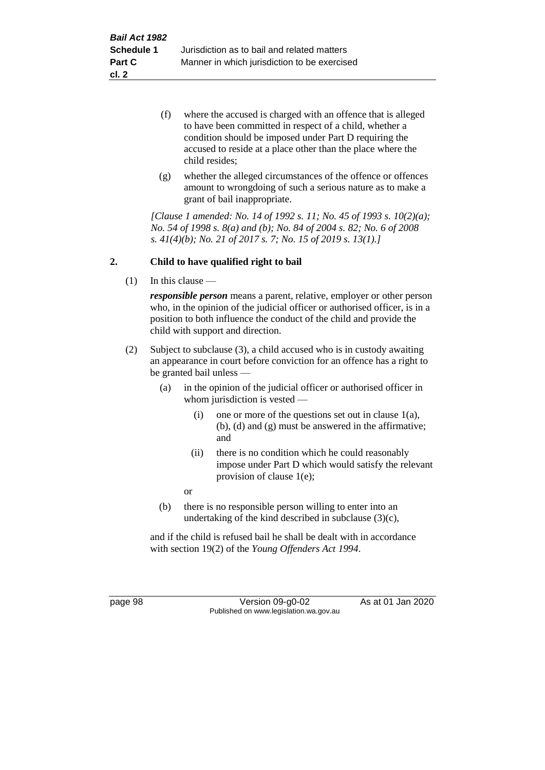- (f) where the accused is charged with an offence that is alleged to have been committed in respect of a child, whether a condition should be imposed under Part D requiring the accused to reside at a place other than the place where the child resides;
- (g) whether the alleged circumstances of the offence or offences amount to wrongdoing of such a serious nature as to make a grant of bail inappropriate.

*[Clause 1 amended: No. 14 of 1992 s. 11; No. 45 of 1993 s. 10(2)(a); No. 54 of 1998 s. 8(a) and (b); No. 84 of 2004 s. 82; No. 6 of 2008 s. 41(4)(b); No. 21 of 2017 s. 7; No. 15 of 2019 s. 13(1).]*

#### **2. Child to have qualified right to bail**

(1) In this clause —

*responsible person* means a parent, relative, employer or other person who, in the opinion of the judicial officer or authorised officer, is in a position to both influence the conduct of the child and provide the child with support and direction.

- (2) Subject to subclause (3), a child accused who is in custody awaiting an appearance in court before conviction for an offence has a right to be granted bail unless —
	- (a) in the opinion of the judicial officer or authorised officer in whom jurisdiction is vested —
		- (i) one or more of the questions set out in clause  $1(a)$ , (b), (d) and (g) must be answered in the affirmative; and
		- (ii) there is no condition which he could reasonably impose under Part D which would satisfy the relevant provision of clause 1(e);

or

(b) there is no responsible person willing to enter into an undertaking of the kind described in subclause (3)(c),

and if the child is refused bail he shall be dealt with in accordance with section 19(2) of the *Young Offenders Act 1994*.

page 98 Version 09-g0-02 As at 01 Jan 2020 Published on www.legislation.wa.gov.au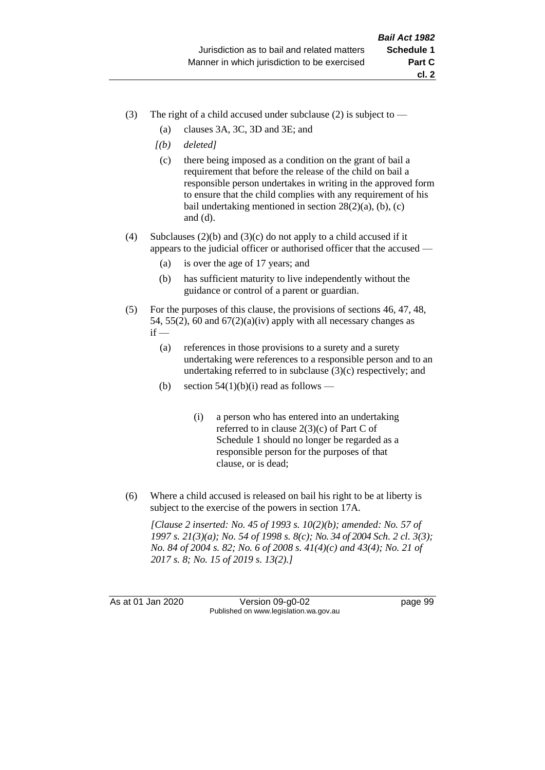- (3) The right of a child accused under subclause (2) is subject to  $-$ 
	- (a) clauses 3A, 3C, 3D and 3E; and
	- *[(b) deleted]*
	- (c) there being imposed as a condition on the grant of bail a requirement that before the release of the child on bail a responsible person undertakes in writing in the approved form to ensure that the child complies with any requirement of his bail undertaking mentioned in section  $28(2)(a)$ , (b), (c) and (d).
- (4) Subclauses (2)(b) and (3)(c) do not apply to a child accused if it appears to the judicial officer or authorised officer that the accused —
	- (a) is over the age of 17 years; and
	- (b) has sufficient maturity to live independently without the guidance or control of a parent or guardian.
- (5) For the purposes of this clause, the provisions of sections 46, 47, 48, 54, 55(2), 60 and  $67(2)(a)(iv)$  apply with all necessary changes as  $if -$ 
	- (a) references in those provisions to a surety and a surety undertaking were references to a responsible person and to an undertaking referred to in subclause (3)(c) respectively; and
	- (b) section  $54(1)(b)(i)$  read as follows
		- (i) a person who has entered into an undertaking referred to in clause 2(3)(c) of Part C of Schedule 1 should no longer be regarded as a responsible person for the purposes of that clause, or is dead;
- (6) Where a child accused is released on bail his right to be at liberty is subject to the exercise of the powers in section 17A.

*[Clause 2 inserted: No. 45 of 1993 s. 10(2)(b); amended: No. 57 of 1997 s. 21(3)(a); No. 54 of 1998 s. 8(c); No. 34 of 2004 Sch. 2 cl. 3(3); No. 84 of 2004 s. 82; No. 6 of 2008 s. 41(4)(c) and 43(4); No. 21 of 2017 s. 8; No. 15 of 2019 s. 13(2).]*

As at 01 Jan 2020 Version 09-g0-02 page 99 Published on www.legislation.wa.gov.au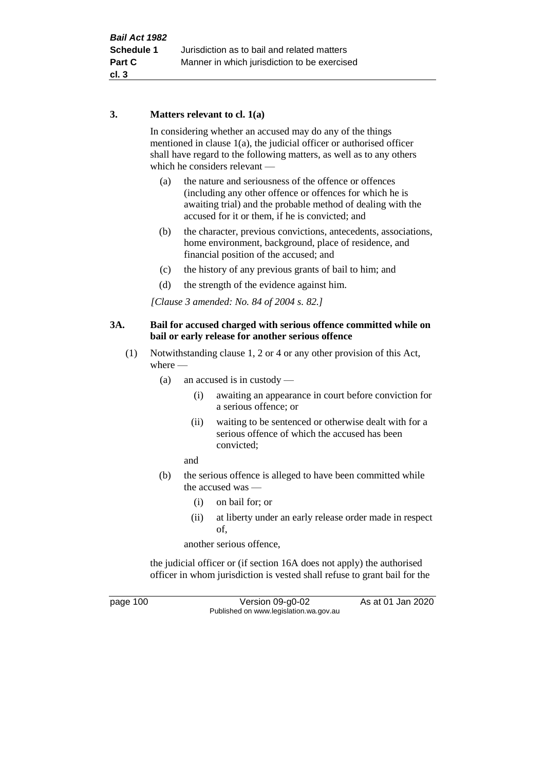## **3. Matters relevant to cl. 1(a)**

In considering whether an accused may do any of the things mentioned in clause 1(a), the judicial officer or authorised officer shall have regard to the following matters, as well as to any others which he considers relevant —

- (a) the nature and seriousness of the offence or offences (including any other offence or offences for which he is awaiting trial) and the probable method of dealing with the accused for it or them, if he is convicted; and
- (b) the character, previous convictions, antecedents, associations, home environment, background, place of residence, and financial position of the accused; and
- (c) the history of any previous grants of bail to him; and
- (d) the strength of the evidence against him.

*[Clause 3 amended: No. 84 of 2004 s. 82.]*

## **3A. Bail for accused charged with serious offence committed while on bail or early release for another serious offence**

- (1) Notwithstanding clause 1, 2 or 4 or any other provision of this Act, where —
	- (a) an accused is in custody
		- (i) awaiting an appearance in court before conviction for a serious offence; or
		- (ii) waiting to be sentenced or otherwise dealt with for a serious offence of which the accused has been convicted;

and

- (b) the serious offence is alleged to have been committed while the accused was —
	- (i) on bail for; or
	- (ii) at liberty under an early release order made in respect of,

another serious offence,

the judicial officer or (if section 16A does not apply) the authorised officer in whom jurisdiction is vested shall refuse to grant bail for the

page 100 Version 09-g0-02 As at 01 Jan 2020 Published on www.legislation.wa.gov.au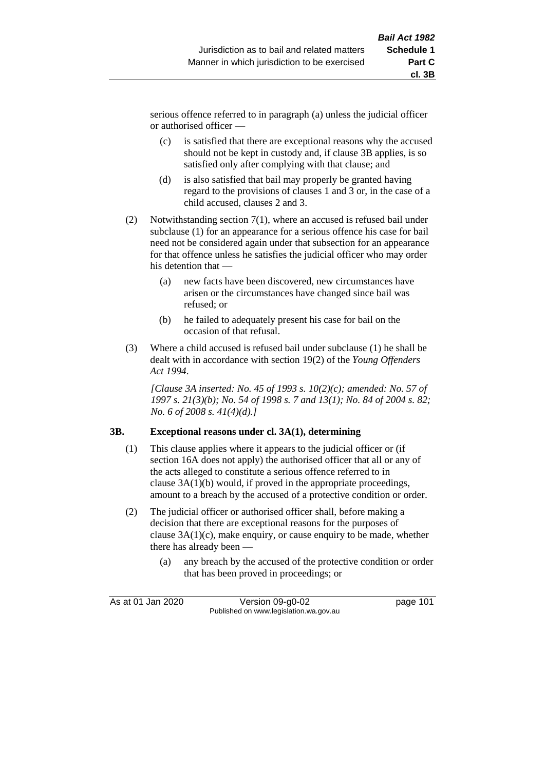serious offence referred to in paragraph (a) unless the judicial officer or authorised officer —

- (c) is satisfied that there are exceptional reasons why the accused should not be kept in custody and, if clause 3B applies, is so satisfied only after complying with that clause; and
- (d) is also satisfied that bail may properly be granted having regard to the provisions of clauses 1 and 3 or, in the case of a child accused, clauses 2 and 3.
- (2) Notwithstanding section 7(1), where an accused is refused bail under subclause (1) for an appearance for a serious offence his case for bail need not be considered again under that subsection for an appearance for that offence unless he satisfies the judicial officer who may order his detention that —
	- (a) new facts have been discovered, new circumstances have arisen or the circumstances have changed since bail was refused; or
	- (b) he failed to adequately present his case for bail on the occasion of that refusal.
- (3) Where a child accused is refused bail under subclause (1) he shall be dealt with in accordance with section 19(2) of the *Young Offenders Act 1994*.

*[Clause 3A inserted: No. 45 of 1993 s. 10(2)(c); amended: No. 57 of 1997 s. 21(3)(b); No. 54 of 1998 s. 7 and 13(1); No. 84 of 2004 s. 82; No. 6 of 2008 s. 41(4)(d).]*

## **3B. Exceptional reasons under cl. 3A(1), determining**

- (1) This clause applies where it appears to the judicial officer or (if section 16A does not apply) the authorised officer that all or any of the acts alleged to constitute a serious offence referred to in clause 3A(1)(b) would, if proved in the appropriate proceedings, amount to a breach by the accused of a protective condition or order.
- (2) The judicial officer or authorised officer shall, before making a decision that there are exceptional reasons for the purposes of clause 3A(1)(c), make enquiry, or cause enquiry to be made, whether there has already been —
	- (a) any breach by the accused of the protective condition or order that has been proved in proceedings; or

| As at 01 Jan 2020 | Version $09-g0-02$                     | page 101 |
|-------------------|----------------------------------------|----------|
|                   | Published on www.legislation.wa.gov.au |          |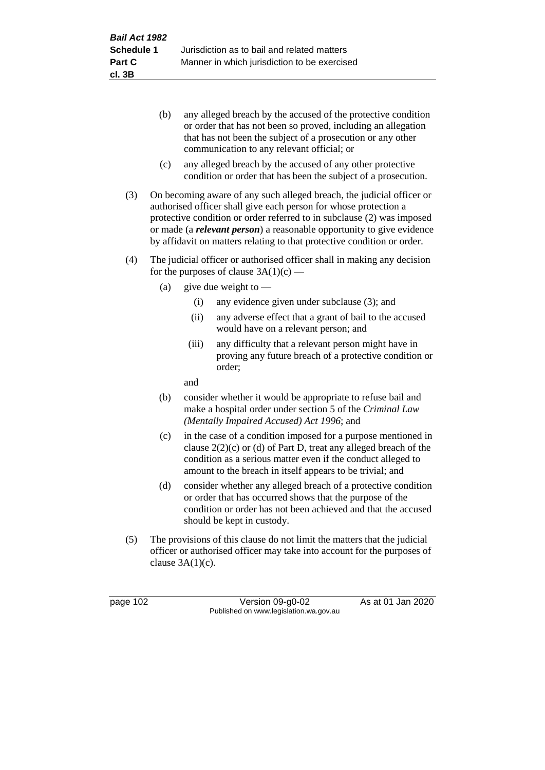- (b) any alleged breach by the accused of the protective condition or order that has not been so proved, including an allegation that has not been the subject of a prosecution or any other communication to any relevant official; or
- (c) any alleged breach by the accused of any other protective condition or order that has been the subject of a prosecution.
- (3) On becoming aware of any such alleged breach, the judicial officer or authorised officer shall give each person for whose protection a protective condition or order referred to in subclause (2) was imposed or made (a *relevant person*) a reasonable opportunity to give evidence by affidavit on matters relating to that protective condition or order.
- (4) The judicial officer or authorised officer shall in making any decision for the purposes of clause  $3A(1)(c)$  —
	- (a) give due weight to  $-$ 
		- (i) any evidence given under subclause (3); and
		- (ii) any adverse effect that a grant of bail to the accused would have on a relevant person; and
		- (iii) any difficulty that a relevant person might have in proving any future breach of a protective condition or order;

and

- (b) consider whether it would be appropriate to refuse bail and make a hospital order under section 5 of the *Criminal Law (Mentally Impaired Accused) Act 1996*; and
- (c) in the case of a condition imposed for a purpose mentioned in clause  $2(2)(c)$  or (d) of Part D, treat any alleged breach of the condition as a serious matter even if the conduct alleged to amount to the breach in itself appears to be trivial; and
- (d) consider whether any alleged breach of a protective condition or order that has occurred shows that the purpose of the condition or order has not been achieved and that the accused should be kept in custody.
- (5) The provisions of this clause do not limit the matters that the judicial officer or authorised officer may take into account for the purposes of clause  $3A(1)(c)$ .

page 102 Version 09-g0-02 As at 01 Jan 2020 Published on www.legislation.wa.gov.au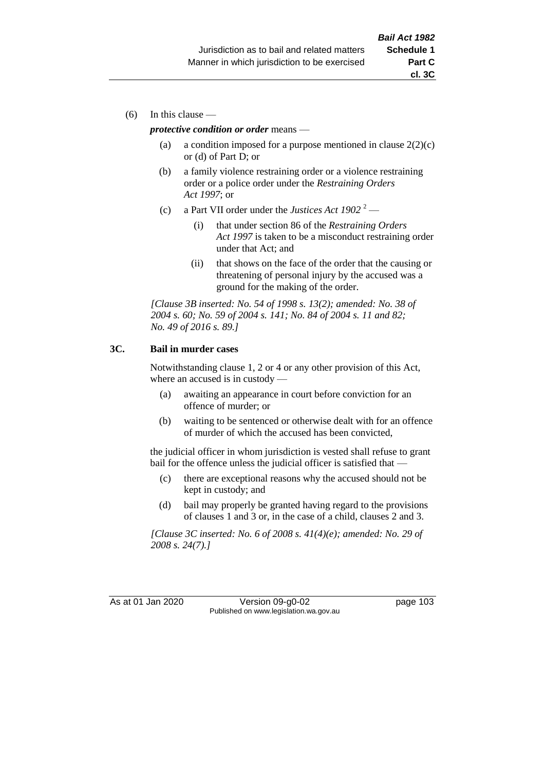(6) In this clause —

#### *protective condition or order* means —

- (a) a condition imposed for a purpose mentioned in clause  $2(2)(c)$ or (d) of Part D; or
- (b) a family violence restraining order or a violence restraining order or a police order under the *Restraining Orders Act 1997*; or
- (c) a Part VII order under the *Justices Act 1902* <sup>2</sup>
	- (i) that under section 86 of the *Restraining Orders Act 1997* is taken to be a misconduct restraining order under that Act; and
	- (ii) that shows on the face of the order that the causing or threatening of personal injury by the accused was a ground for the making of the order.

*[Clause 3B inserted: No. 54 of 1998 s. 13(2); amended: No. 38 of 2004 s. 60; No. 59 of 2004 s. 141; No. 84 of 2004 s. 11 and 82; No. 49 of 2016 s. 89.]*

## **3C. Bail in murder cases**

Notwithstanding clause 1, 2 or 4 or any other provision of this Act, where an accused is in custody —

- (a) awaiting an appearance in court before conviction for an offence of murder; or
- (b) waiting to be sentenced or otherwise dealt with for an offence of murder of which the accused has been convicted,

the judicial officer in whom jurisdiction is vested shall refuse to grant bail for the offence unless the judicial officer is satisfied that —

- (c) there are exceptional reasons why the accused should not be kept in custody; and
- (d) bail may properly be granted having regard to the provisions of clauses 1 and 3 or, in the case of a child, clauses 2 and 3.

*[Clause 3C inserted: No. 6 of 2008 s. 41(4)(e); amended: No. 29 of 2008 s. 24(7).]*

As at 01 Jan 2020 Version 09-g0-02 page 103 Published on www.legislation.wa.gov.au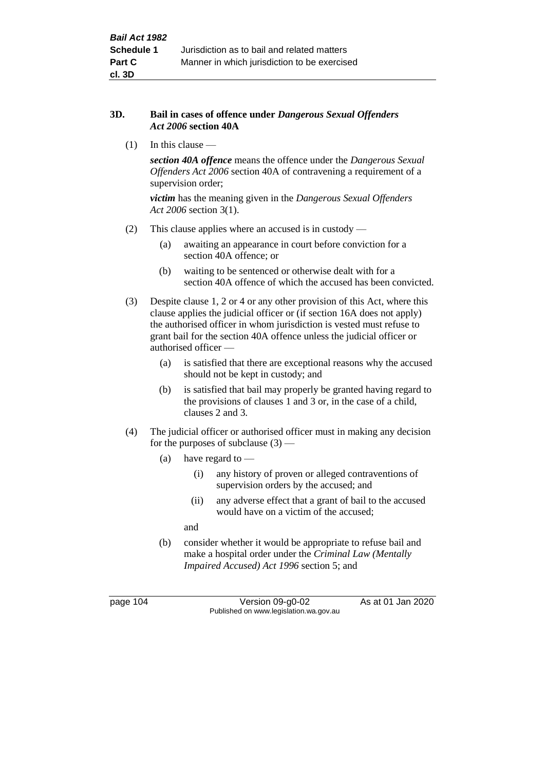### **3D. Bail in cases of offence under** *Dangerous Sexual Offenders Act 2006* **section 40A**

(1) In this clause —

*section 40A offence* means the offence under the *Dangerous Sexual Offenders Act 2006* section 40A of contravening a requirement of a supervision order;

*victim* has the meaning given in the *Dangerous Sexual Offenders Act 2006* section 3(1).

- (2) This clause applies where an accused is in custody
	- (a) awaiting an appearance in court before conviction for a section 40A offence; or
	- (b) waiting to be sentenced or otherwise dealt with for a section 40A offence of which the accused has been convicted.
- (3) Despite clause 1, 2 or 4 or any other provision of this Act, where this clause applies the judicial officer or (if section 16A does not apply) the authorised officer in whom jurisdiction is vested must refuse to grant bail for the section 40A offence unless the judicial officer or authorised officer —
	- (a) is satisfied that there are exceptional reasons why the accused should not be kept in custody; and
	- (b) is satisfied that bail may properly be granted having regard to the provisions of clauses 1 and 3 or, in the case of a child, clauses 2 and 3.
- (4) The judicial officer or authorised officer must in making any decision for the purposes of subclause  $(3)$  —
	- (a) have regard to
		- (i) any history of proven or alleged contraventions of supervision orders by the accused; and
		- (ii) any adverse effect that a grant of bail to the accused would have on a victim of the accused;

and

(b) consider whether it would be appropriate to refuse bail and make a hospital order under the *Criminal Law (Mentally Impaired Accused) Act 1996* section 5; and

page 104 Version 09-g0-02 As at 01 Jan 2020 Published on www.legislation.wa.gov.au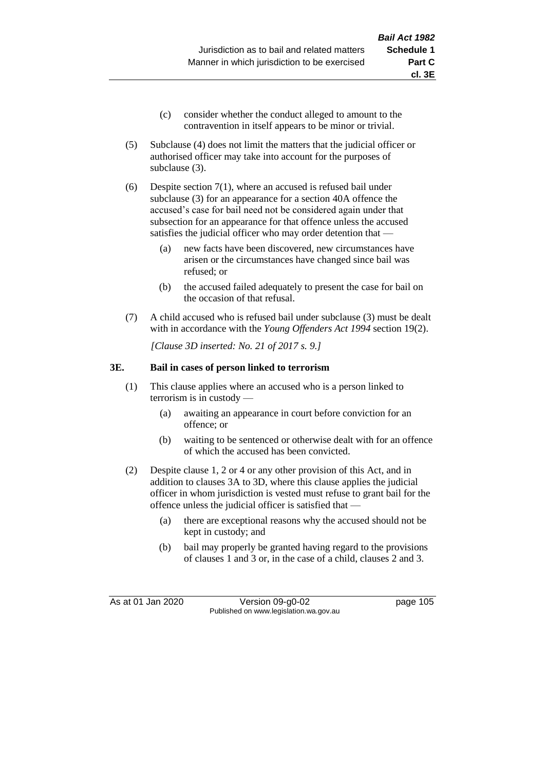- (c) consider whether the conduct alleged to amount to the contravention in itself appears to be minor or trivial.
- (5) Subclause (4) does not limit the matters that the judicial officer or authorised officer may take into account for the purposes of subclause (3).
- (6) Despite section 7(1), where an accused is refused bail under subclause (3) for an appearance for a section 40A offence the accused's case for bail need not be considered again under that subsection for an appearance for that offence unless the accused satisfies the judicial officer who may order detention that —
	- (a) new facts have been discovered, new circumstances have arisen or the circumstances have changed since bail was refused; or
	- (b) the accused failed adequately to present the case for bail on the occasion of that refusal.
- (7) A child accused who is refused bail under subclause (3) must be dealt with in accordance with the *Young Offenders Act 1994* section 19(2).

*[Clause 3D inserted: No. 21 of 2017 s. 9.]*

## **3E. Bail in cases of person linked to terrorism**

- (1) This clause applies where an accused who is a person linked to terrorism is in custody —
	- (a) awaiting an appearance in court before conviction for an offence; or
	- (b) waiting to be sentenced or otherwise dealt with for an offence of which the accused has been convicted.
- (2) Despite clause 1, 2 or 4 or any other provision of this Act, and in addition to clauses 3A to 3D, where this clause applies the judicial officer in whom jurisdiction is vested must refuse to grant bail for the offence unless the judicial officer is satisfied that —
	- (a) there are exceptional reasons why the accused should not be kept in custody; and
	- (b) bail may properly be granted having regard to the provisions of clauses 1 and 3 or, in the case of a child, clauses 2 and 3.

As at 01 Jan 2020 Version 09-g0-02 page 105 Published on www.legislation.wa.gov.au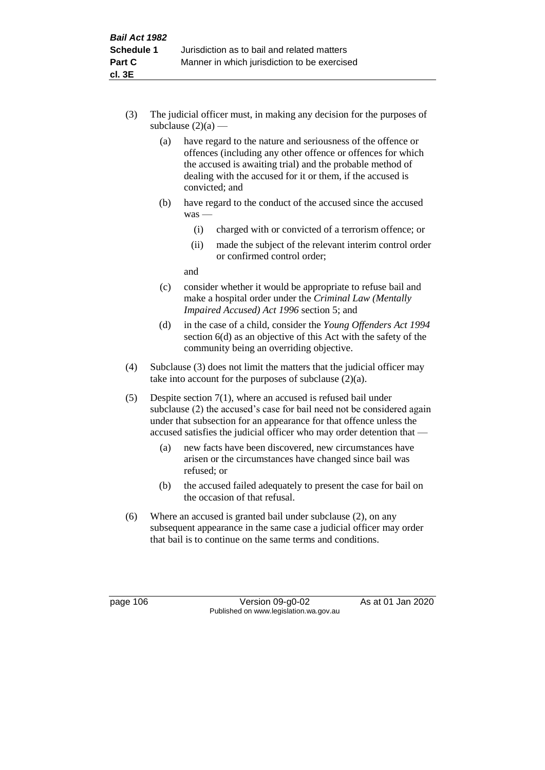- (3) The judicial officer must, in making any decision for the purposes of subclause  $(2)(a)$  —
	- (a) have regard to the nature and seriousness of the offence or offences (including any other offence or offences for which the accused is awaiting trial) and the probable method of dealing with the accused for it or them, if the accused is convicted; and
	- (b) have regard to the conduct of the accused since the accused was —
		- (i) charged with or convicted of a terrorism offence; or
		- (ii) made the subject of the relevant interim control order or confirmed control order;

and

- (c) consider whether it would be appropriate to refuse bail and make a hospital order under the *Criminal Law (Mentally Impaired Accused) Act 1996* section 5; and
- (d) in the case of a child, consider the *Young Offenders Act 1994* section 6(d) as an objective of this Act with the safety of the community being an overriding objective.
- (4) Subclause (3) does not limit the matters that the judicial officer may take into account for the purposes of subclause  $(2)(a)$ .
- (5) Despite section 7(1), where an accused is refused bail under subclause (2) the accused's case for bail need not be considered again under that subsection for an appearance for that offence unless the accused satisfies the judicial officer who may order detention that —
	- (a) new facts have been discovered, new circumstances have arisen or the circumstances have changed since bail was refused; or
	- (b) the accused failed adequately to present the case for bail on the occasion of that refusal.
- (6) Where an accused is granted bail under subclause (2), on any subsequent appearance in the same case a judicial officer may order that bail is to continue on the same terms and conditions.

page 106 Version 09-g0-02 As at 01 Jan 2020 Published on www.legislation.wa.gov.au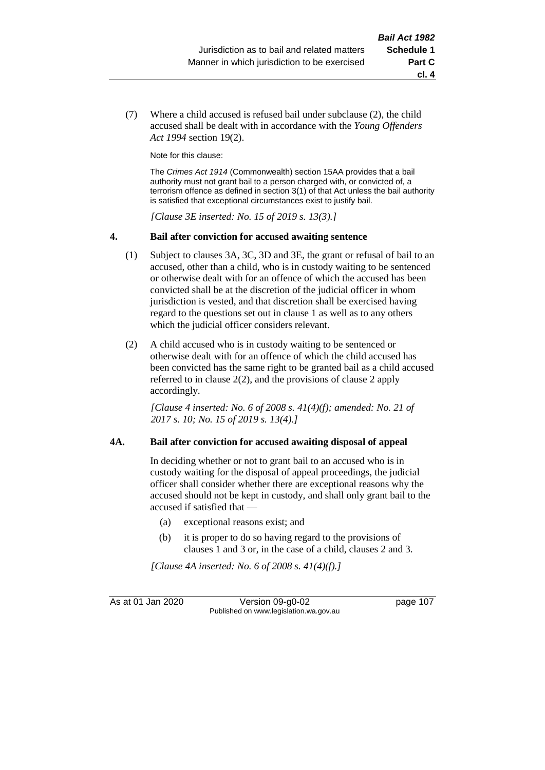(7) Where a child accused is refused bail under subclause (2), the child accused shall be dealt with in accordance with the *Young Offenders Act 1994* section 19(2).

Note for this clause:

The *Crimes Act 1914* (Commonwealth) section 15AA provides that a bail authority must not grant bail to a person charged with, or convicted of, a terrorism offence as defined in section 3(1) of that Act unless the bail authority is satisfied that exceptional circumstances exist to justify bail.

*[Clause 3E inserted: No. 15 of 2019 s. 13(3).]*

#### **4. Bail after conviction for accused awaiting sentence**

- (1) Subject to clauses 3A, 3C, 3D and 3E, the grant or refusal of bail to an accused, other than a child, who is in custody waiting to be sentenced or otherwise dealt with for an offence of which the accused has been convicted shall be at the discretion of the judicial officer in whom jurisdiction is vested, and that discretion shall be exercised having regard to the questions set out in clause 1 as well as to any others which the judicial officer considers relevant.
- (2) A child accused who is in custody waiting to be sentenced or otherwise dealt with for an offence of which the child accused has been convicted has the same right to be granted bail as a child accused referred to in clause 2(2), and the provisions of clause 2 apply accordingly.

*[Clause 4 inserted: No. 6 of 2008 s. 41(4)(f); amended: No. 21 of 2017 s. 10; No. 15 of 2019 s. 13(4).]*

#### **4A. Bail after conviction for accused awaiting disposal of appeal**

In deciding whether or not to grant bail to an accused who is in custody waiting for the disposal of appeal proceedings, the judicial officer shall consider whether there are exceptional reasons why the accused should not be kept in custody, and shall only grant bail to the accused if satisfied that —

- (a) exceptional reasons exist; and
- (b) it is proper to do so having regard to the provisions of clauses 1 and 3 or, in the case of a child, clauses 2 and 3.

*[Clause 4A inserted: No. 6 of 2008 s. 41(4)(f).]*

As at 01 Jan 2020 Version 09-g0-02 page 107 Published on www.legislation.wa.gov.au

**cl. 4**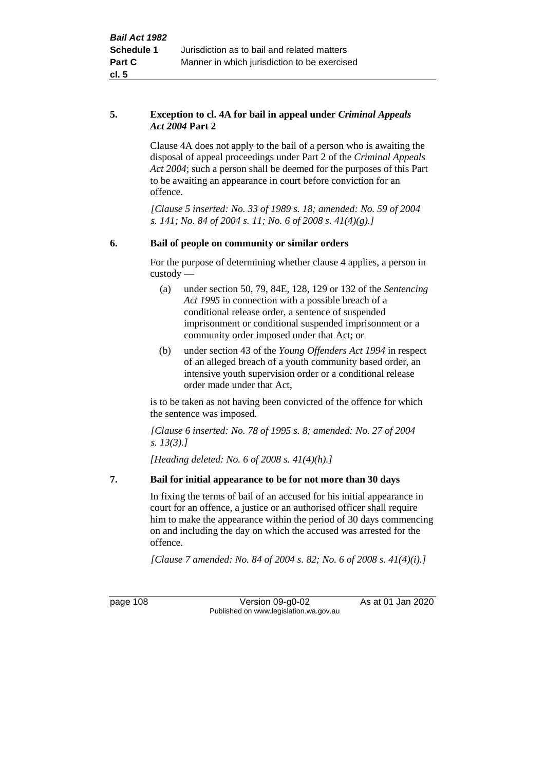## **5. Exception to cl. 4A for bail in appeal under** *Criminal Appeals Act 2004* **Part 2**

Clause 4A does not apply to the bail of a person who is awaiting the disposal of appeal proceedings under Part 2 of the *Criminal Appeals Act 2004*; such a person shall be deemed for the purposes of this Part to be awaiting an appearance in court before conviction for an offence.

*[Clause 5 inserted: No. 33 of 1989 s. 18; amended: No. 59 of 2004 s. 141; No. 84 of 2004 s. 11; No. 6 of 2008 s. 41(4)(g).]*

## **6. Bail of people on community or similar orders**

For the purpose of determining whether clause 4 applies, a person in custody —

- (a) under section 50, 79, 84E, 128, 129 or 132 of the *Sentencing Act 1995* in connection with a possible breach of a conditional release order, a sentence of suspended imprisonment or conditional suspended imprisonment or a community order imposed under that Act; or
- (b) under section 43 of the *Young Offenders Act 1994* in respect of an alleged breach of a youth community based order, an intensive youth supervision order or a conditional release order made under that Act,

is to be taken as not having been convicted of the offence for which the sentence was imposed.

*[Clause 6 inserted: No. 78 of 1995 s. 8; amended: No. 27 of 2004 s. 13(3).]*

*[Heading deleted: No. 6 of 2008 s. 41(4)(h).]*

## **7. Bail for initial appearance to be for not more than 30 days**

In fixing the terms of bail of an accused for his initial appearance in court for an offence, a justice or an authorised officer shall require him to make the appearance within the period of 30 days commencing on and including the day on which the accused was arrested for the offence.

*[Clause 7 amended: No. 84 of 2004 s. 82; No. 6 of 2008 s. 41(4)(i).]*

page 108 Version 09-g0-02 As at 01 Jan 2020 Published on www.legislation.wa.gov.au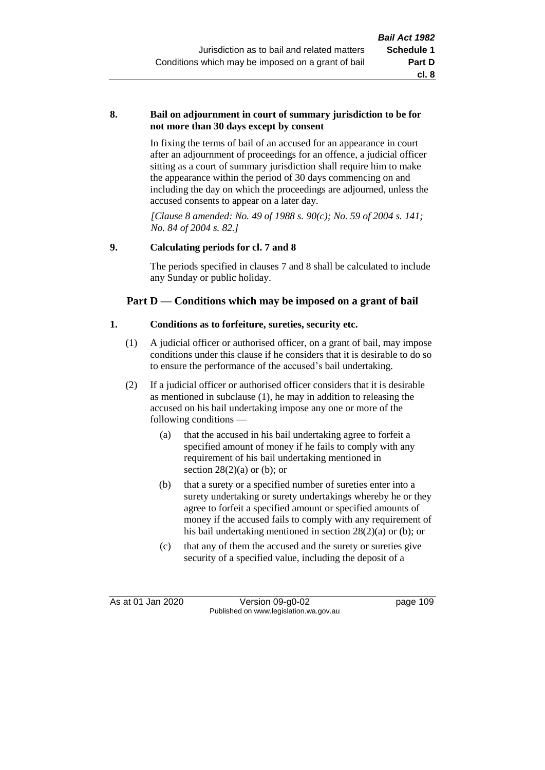### **8. Bail on adjournment in court of summary jurisdiction to be for not more than 30 days except by consent**

In fixing the terms of bail of an accused for an appearance in court after an adjournment of proceedings for an offence, a judicial officer sitting as a court of summary jurisdiction shall require him to make the appearance within the period of 30 days commencing on and including the day on which the proceedings are adjourned, unless the accused consents to appear on a later day.

*[Clause 8 amended: No. 49 of 1988 s. 90(c); No. 59 of 2004 s. 141; No. 84 of 2004 s. 82.]*

## **9. Calculating periods for cl. 7 and 8**

The periods specified in clauses 7 and 8 shall be calculated to include any Sunday or public holiday.

## **Part D — Conditions which may be imposed on a grant of bail**

## **1. Conditions as to forfeiture, sureties, security etc.**

- (1) A judicial officer or authorised officer, on a grant of bail, may impose conditions under this clause if he considers that it is desirable to do so to ensure the performance of the accused's bail undertaking.
- (2) If a judicial officer or authorised officer considers that it is desirable as mentioned in subclause (1), he may in addition to releasing the accused on his bail undertaking impose any one or more of the following conditions —
	- (a) that the accused in his bail undertaking agree to forfeit a specified amount of money if he fails to comply with any requirement of his bail undertaking mentioned in section  $28(2)(a)$  or (b); or
	- (b) that a surety or a specified number of sureties enter into a surety undertaking or surety undertakings whereby he or they agree to forfeit a specified amount or specified amounts of money if the accused fails to comply with any requirement of his bail undertaking mentioned in section 28(2)(a) or (b); or
	- (c) that any of them the accused and the surety or sureties give security of a specified value, including the deposit of a

As at 01 Jan 2020 Version 09-g0-02 page 109 Published on www.legislation.wa.gov.au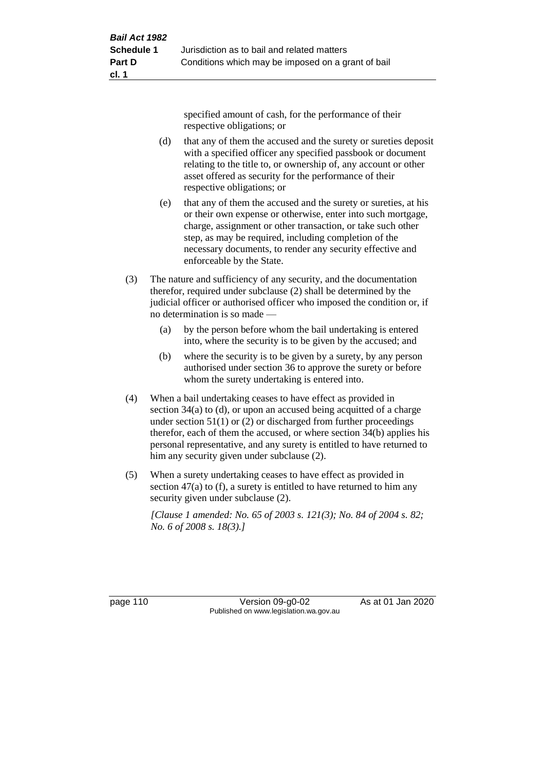specified amount of cash, for the performance of their respective obligations; or

- (d) that any of them the accused and the surety or sureties deposit with a specified officer any specified passbook or document relating to the title to, or ownership of, any account or other asset offered as security for the performance of their respective obligations; or
- (e) that any of them the accused and the surety or sureties, at his or their own expense or otherwise, enter into such mortgage, charge, assignment or other transaction, or take such other step, as may be required, including completion of the necessary documents, to render any security effective and enforceable by the State.
- (3) The nature and sufficiency of any security, and the documentation therefor, required under subclause (2) shall be determined by the judicial officer or authorised officer who imposed the condition or, if no determination is so made —
	- (a) by the person before whom the bail undertaking is entered into, where the security is to be given by the accused; and
	- (b) where the security is to be given by a surety, by any person authorised under section 36 to approve the surety or before whom the surety undertaking is entered into.
- (4) When a bail undertaking ceases to have effect as provided in section 34(a) to (d), or upon an accused being acquitted of a charge under section  $51(1)$  or (2) or discharged from further proceedings therefor, each of them the accused, or where section 34(b) applies his personal representative, and any surety is entitled to have returned to him any security given under subclause (2).
- (5) When a surety undertaking ceases to have effect as provided in section 47(a) to (f), a surety is entitled to have returned to him any security given under subclause (2).

*[Clause 1 amended: No. 65 of 2003 s. 121(3); No. 84 of 2004 s. 82; No. 6 of 2008 s. 18(3).]*

page 110 Version 09-g0-02 As at 01 Jan 2020 Published on www.legislation.wa.gov.au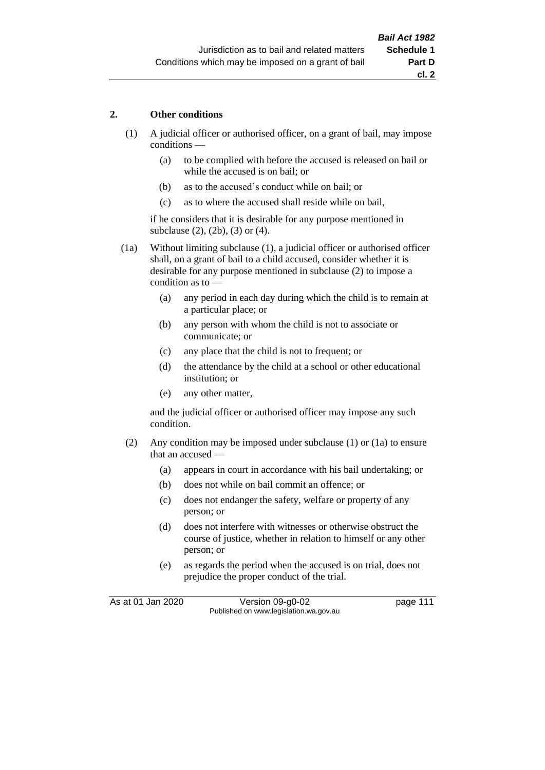## **2. Other conditions**

- (1) A judicial officer or authorised officer, on a grant of bail, may impose conditions —
	- (a) to be complied with before the accused is released on bail or while the accused is on bail; or
	- (b) as to the accused's conduct while on bail; or
	- (c) as to where the accused shall reside while on bail,

if he considers that it is desirable for any purpose mentioned in subclause (2), (2b), (3) or (4).

(1a) Without limiting subclause (1), a judicial officer or authorised officer shall, on a grant of bail to a child accused, consider whether it is desirable for any purpose mentioned in subclause (2) to impose a condition as to —

- (a) any period in each day during which the child is to remain at a particular place; or
- (b) any person with whom the child is not to associate or communicate; or
- (c) any place that the child is not to frequent; or
- (d) the attendance by the child at a school or other educational institution; or
- (e) any other matter,

and the judicial officer or authorised officer may impose any such condition.

- (2) Any condition may be imposed under subclause (1) or (1a) to ensure that an accused —
	- (a) appears in court in accordance with his bail undertaking; or
	- (b) does not while on bail commit an offence; or
	- (c) does not endanger the safety, welfare or property of any person; or
	- (d) does not interfere with witnesses or otherwise obstruct the course of justice, whether in relation to himself or any other person; or
	- (e) as regards the period when the accused is on trial, does not prejudice the proper conduct of the trial.

As at 01 Jan 2020 Version 09-g0-02 page 111 Published on www.legislation.wa.gov.au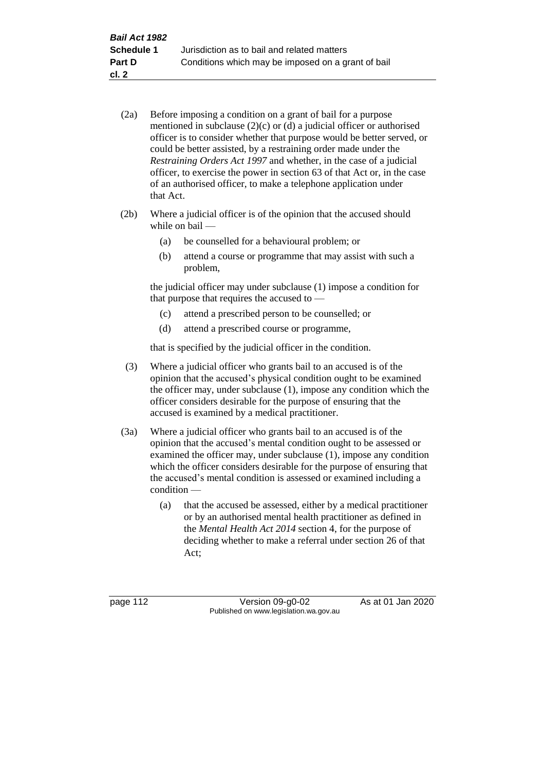- (2a) Before imposing a condition on a grant of bail for a purpose mentioned in subclause (2)(c) or (d) a judicial officer or authorised officer is to consider whether that purpose would be better served, or could be better assisted, by a restraining order made under the *Restraining Orders Act 1997* and whether, in the case of a judicial officer, to exercise the power in section 63 of that Act or, in the case of an authorised officer, to make a telephone application under that Act.
- (2b) Where a judicial officer is of the opinion that the accused should while on bail —
	- (a) be counselled for a behavioural problem; or
	- (b) attend a course or programme that may assist with such a problem,

the judicial officer may under subclause (1) impose a condition for that purpose that requires the accused to —

- (c) attend a prescribed person to be counselled; or
- (d) attend a prescribed course or programme,

that is specified by the judicial officer in the condition.

- (3) Where a judicial officer who grants bail to an accused is of the opinion that the accused's physical condition ought to be examined the officer may, under subclause (1), impose any condition which the officer considers desirable for the purpose of ensuring that the accused is examined by a medical practitioner.
- (3a) Where a judicial officer who grants bail to an accused is of the opinion that the accused's mental condition ought to be assessed or examined the officer may, under subclause (1), impose any condition which the officer considers desirable for the purpose of ensuring that the accused's mental condition is assessed or examined including a condition —
	- (a) that the accused be assessed, either by a medical practitioner or by an authorised mental health practitioner as defined in the *Mental Health Act 2014* section 4, for the purpose of deciding whether to make a referral under section 26 of that Act;

page 112 Version 09-g0-02 As at 01 Jan 2020 Published on www.legislation.wa.gov.au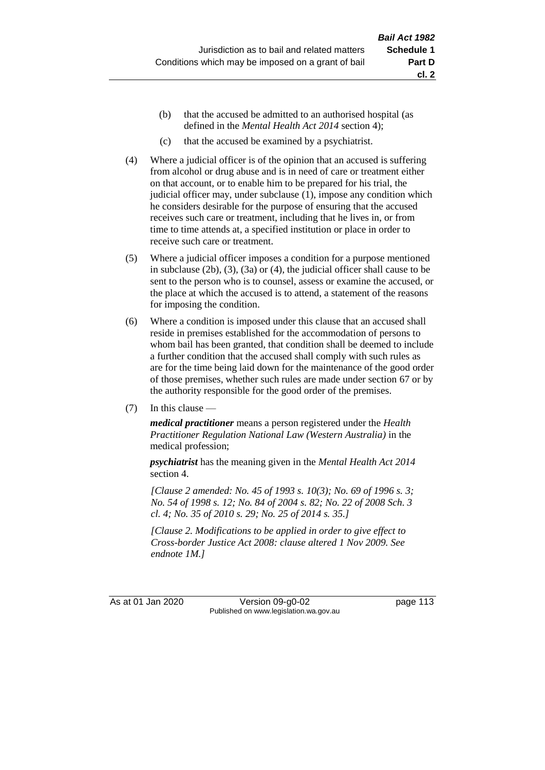- (b) that the accused be admitted to an authorised hospital (as defined in the *Mental Health Act 2014* section 4);
- (c) that the accused be examined by a psychiatrist.
- (4) Where a judicial officer is of the opinion that an accused is suffering from alcohol or drug abuse and is in need of care or treatment either on that account, or to enable him to be prepared for his trial, the judicial officer may, under subclause (1), impose any condition which he considers desirable for the purpose of ensuring that the accused receives such care or treatment, including that he lives in, or from time to time attends at, a specified institution or place in order to receive such care or treatment.
- (5) Where a judicial officer imposes a condition for a purpose mentioned in subclause (2b), (3), (3a) or (4), the judicial officer shall cause to be sent to the person who is to counsel, assess or examine the accused, or the place at which the accused is to attend, a statement of the reasons for imposing the condition.
- (6) Where a condition is imposed under this clause that an accused shall reside in premises established for the accommodation of persons to whom bail has been granted, that condition shall be deemed to include a further condition that the accused shall comply with such rules as are for the time being laid down for the maintenance of the good order of those premises, whether such rules are made under section 67 or by the authority responsible for the good order of the premises.
- (7) In this clause —

*medical practitioner* means a person registered under the *Health Practitioner Regulation National Law (Western Australia)* in the medical profession;

*psychiatrist* has the meaning given in the *Mental Health Act 2014* section 4.

*[Clause 2 amended: No. 45 of 1993 s. 10(3); No. 69 of 1996 s. 3; No. 54 of 1998 s. 12; No. 84 of 2004 s. 82; No. 22 of 2008 Sch. 3 cl. 4; No. 35 of 2010 s. 29; No. 25 of 2014 s. 35.]*

*[Clause 2. Modifications to be applied in order to give effect to Cross-border Justice Act 2008: clause altered 1 Nov 2009. See endnote 1M.]*

As at 01 Jan 2020 Version 09-g0-02 page 113 Published on www.legislation.wa.gov.au

**cl. 2**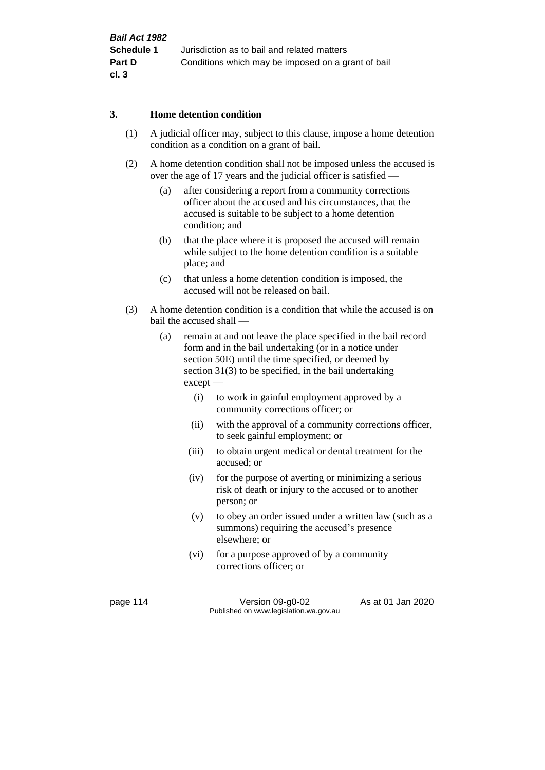## **3. Home detention condition**

- (1) A judicial officer may, subject to this clause, impose a home detention condition as a condition on a grant of bail.
- (2) A home detention condition shall not be imposed unless the accused is over the age of 17 years and the judicial officer is satisfied —
	- (a) after considering a report from a community corrections officer about the accused and his circumstances, that the accused is suitable to be subject to a home detention condition; and
	- (b) that the place where it is proposed the accused will remain while subject to the home detention condition is a suitable place; and
	- (c) that unless a home detention condition is imposed, the accused will not be released on bail.
- (3) A home detention condition is a condition that while the accused is on bail the accused shall —
	- (a) remain at and not leave the place specified in the bail record form and in the bail undertaking (or in a notice under section 50E) until the time specified, or deemed by section 31(3) to be specified, in the bail undertaking except —
		- (i) to work in gainful employment approved by a community corrections officer; or
		- (ii) with the approval of a community corrections officer, to seek gainful employment; or
		- (iii) to obtain urgent medical or dental treatment for the accused; or
		- (iv) for the purpose of averting or minimizing a serious risk of death or injury to the accused or to another person; or
		- (v) to obey an order issued under a written law (such as a summons) requiring the accused's presence elsewhere; or
		- (vi) for a purpose approved of by a community corrections officer; or

page 114 Version 09-g0-02 As at 01 Jan 2020 Published on www.legislation.wa.gov.au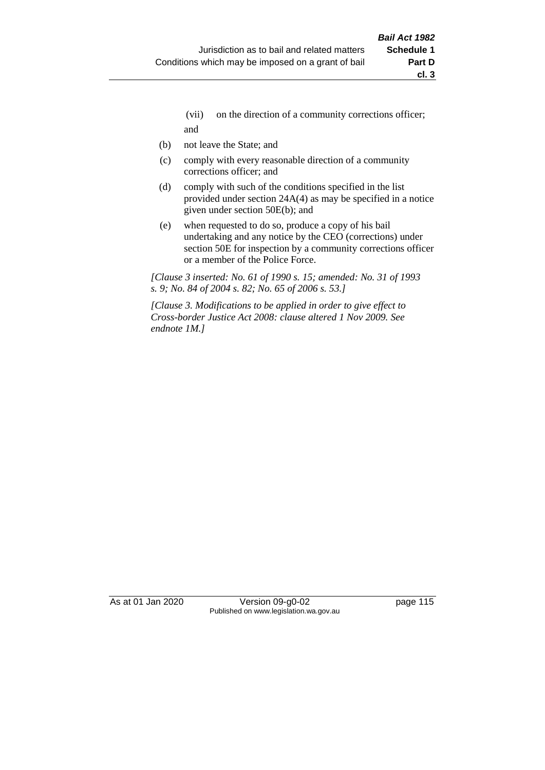- (vii) on the direction of a community corrections officer; and
- (b) not leave the State; and
- (c) comply with every reasonable direction of a community corrections officer; and
- (d) comply with such of the conditions specified in the list provided under section 24A(4) as may be specified in a notice given under section 50E(b); and
- (e) when requested to do so, produce a copy of his bail undertaking and any notice by the CEO (corrections) under section 50E for inspection by a community corrections officer or a member of the Police Force.

*[Clause 3 inserted: No. 61 of 1990 s. 15; amended: No. 31 of 1993 s. 9; No. 84 of 2004 s. 82; No. 65 of 2006 s. 53.]*

*[Clause 3. Modifications to be applied in order to give effect to Cross-border Justice Act 2008: clause altered 1 Nov 2009. See endnote 1M.]*

As at 01 Jan 2020 Version 09-g0-02 page 115 Published on www.legislation.wa.gov.au

**cl. 3**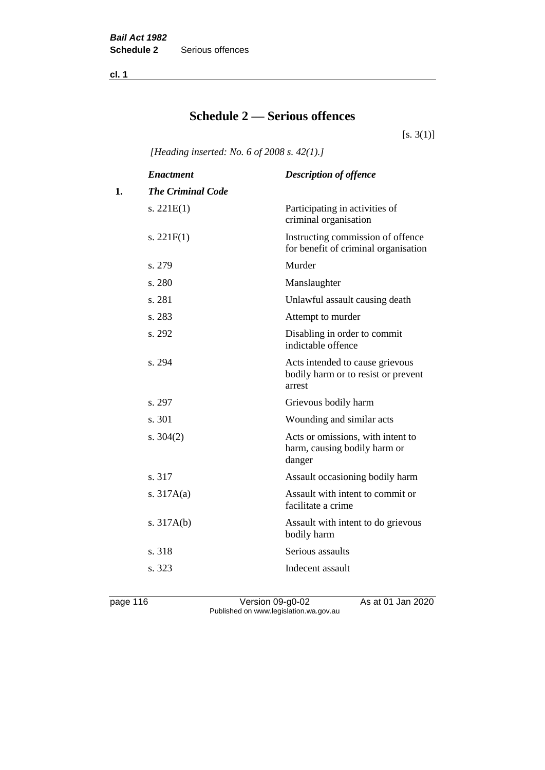**cl. 1**

## **Schedule 2 — Serious offences**

 $[s. 3(1)]$ 

*[Heading inserted: No. 6 of 2008 s. 42(1).]*

|    | <b>Enactment</b>         | <b>Description of offence</b>                                                    |
|----|--------------------------|----------------------------------------------------------------------------------|
| 1. | <b>The Criminal Code</b> |                                                                                  |
|    | s. $221E(1)$             | Participating in activities of<br>criminal organisation                          |
|    | s. $221F(1)$             | Instructing commission of offence<br>for benefit of criminal organisation        |
|    | s. 279                   | Murder                                                                           |
|    | s. 280                   | Manslaughter                                                                     |
|    | s. 281                   | Unlawful assault causing death                                                   |
|    | s. 283                   | Attempt to murder                                                                |
|    | s. 292                   | Disabling in order to commit<br>indictable offence                               |
|    | s. 294                   | Acts intended to cause grievous<br>bodily harm or to resist or prevent<br>arrest |
|    | s. 297                   | Grievous bodily harm                                                             |
|    | s. 301                   | Wounding and similar acts                                                        |
|    | s. $304(2)$              | Acts or omissions, with intent to<br>harm, causing bodily harm or<br>danger      |
|    | s. 317                   | Assault occasioning bodily harm                                                  |
|    | s. $317A(a)$             | Assault with intent to commit or<br>facilitate a crime                           |
|    | s. $317A(b)$             | Assault with intent to do grievous<br>bodily harm                                |
|    | s. 318                   | Serious assaults                                                                 |
|    | s. 323                   | Indecent assault                                                                 |
|    |                          |                                                                                  |

page 116 Version 09-g0-02 As at 01 Jan 2020 Published on www.legislation.wa.gov.au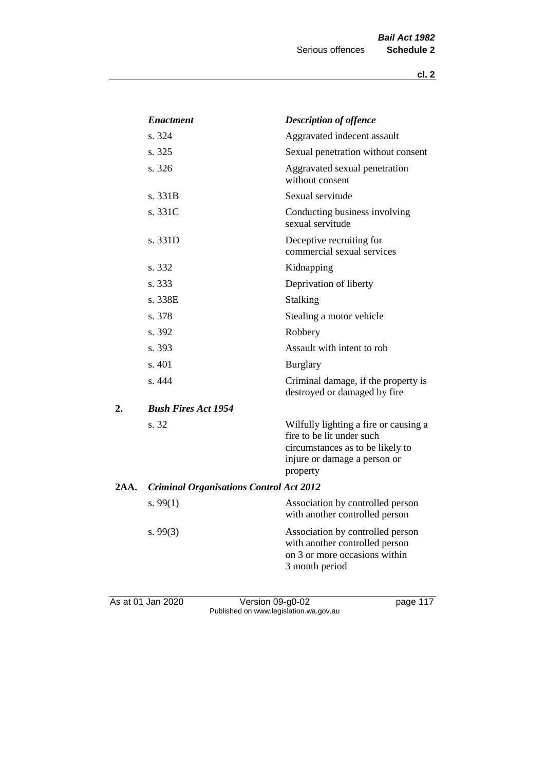|      | <b>Enactment</b>                               | <b>Description of offence</b>                                                                                                                      |
|------|------------------------------------------------|----------------------------------------------------------------------------------------------------------------------------------------------------|
|      | s. 324                                         | Aggravated indecent assault                                                                                                                        |
|      | s. 325                                         | Sexual penetration without consent                                                                                                                 |
|      | s. 326                                         | Aggravated sexual penetration<br>without consent                                                                                                   |
|      | s. 331B                                        | Sexual servitude                                                                                                                                   |
|      | s. 331C                                        | Conducting business involving<br>sexual servitude                                                                                                  |
|      | s. 331D                                        | Deceptive recruiting for<br>commercial sexual services                                                                                             |
|      | s. 332                                         | Kidnapping                                                                                                                                         |
|      | s. 333                                         | Deprivation of liberty                                                                                                                             |
|      | s. 338E                                        | Stalking                                                                                                                                           |
|      | s. 378                                         | Stealing a motor vehicle                                                                                                                           |
|      | s. 392                                         | Robbery                                                                                                                                            |
|      | s. 393                                         | Assault with intent to rob                                                                                                                         |
|      | s. 401                                         | <b>Burglary</b>                                                                                                                                    |
|      | s. 444                                         | Criminal damage, if the property is<br>destroyed or damaged by fire                                                                                |
| 2.   | <b>Bush Fires Act 1954</b>                     |                                                                                                                                                    |
|      | s. 32                                          | Wilfully lighting a fire or causing a<br>fire to be lit under such<br>circumstances as to be likely to<br>injure or damage a person or<br>property |
| 2AA. | <b>Criminal Organisations Control Act 2012</b> |                                                                                                                                                    |
|      | s. $99(1)$                                     | Association by controlled person<br>with another controlled person                                                                                 |
|      | s. $99(3)$                                     | Association by controlled person<br>with another controlled person<br>on 3 or more occasions within<br>3 month period                              |
|      |                                                |                                                                                                                                                    |

As at 01 Jan 2020 **Version 09-g0-02 Page 117** Published on www.legislation.wa.gov.au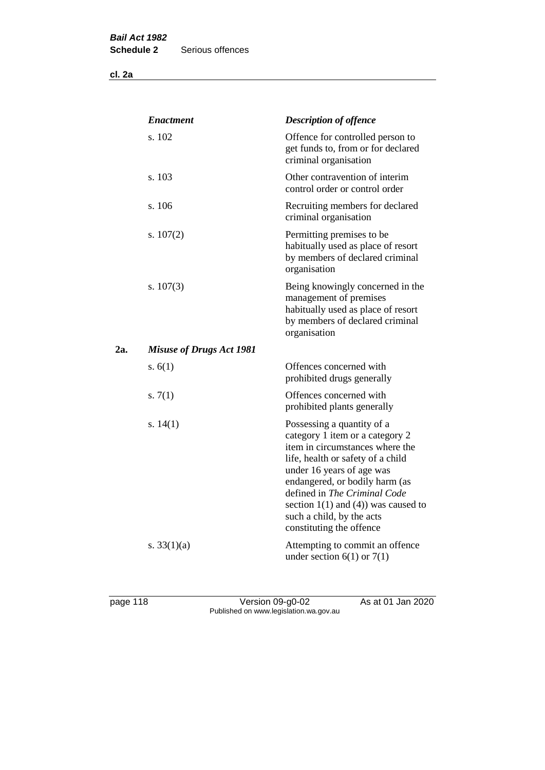**cl. 2a**

|     | <b>Enactment</b>                | <b>Description of offence</b>                                                                                                                                                                                                                                                                                                             |
|-----|---------------------------------|-------------------------------------------------------------------------------------------------------------------------------------------------------------------------------------------------------------------------------------------------------------------------------------------------------------------------------------------|
|     | s. 102                          | Offence for controlled person to<br>get funds to, from or for declared<br>criminal organisation                                                                                                                                                                                                                                           |
|     | s. 103                          | Other contravention of interim<br>control order or control order                                                                                                                                                                                                                                                                          |
|     | s. 106                          | Recruiting members for declared<br>criminal organisation                                                                                                                                                                                                                                                                                  |
|     | s. $107(2)$                     | Permitting premises to be<br>habitually used as place of resort<br>by members of declared criminal<br>organisation                                                                                                                                                                                                                        |
|     | s. $107(3)$                     | Being knowingly concerned in the<br>management of premises<br>habitually used as place of resort<br>by members of declared criminal<br>organisation                                                                                                                                                                                       |
| 2a. | <b>Misuse of Drugs Act 1981</b> |                                                                                                                                                                                                                                                                                                                                           |
|     | s. $6(1)$                       | Offences concerned with<br>prohibited drugs generally                                                                                                                                                                                                                                                                                     |
|     | s. $7(1)$                       | Offences concerned with<br>prohibited plants generally                                                                                                                                                                                                                                                                                    |
|     | s. $14(1)$                      | Possessing a quantity of a<br>category 1 item or a category 2<br>item in circumstances where the<br>life, health or safety of a child<br>under 16 years of age was<br>endangered, or bodily harm (as<br>defined in The Criminal Code<br>section $1(1)$ and $(4)$ ) was caused to<br>such a child, by the acts<br>constituting the offence |
|     | s. $33(1)(a)$                   | Attempting to commit an offence<br>under section $6(1)$ or $7(1)$                                                                                                                                                                                                                                                                         |

page 118 Version 09-g0-02 As at 01 Jan 2020 Published on www.legislation.wa.gov.au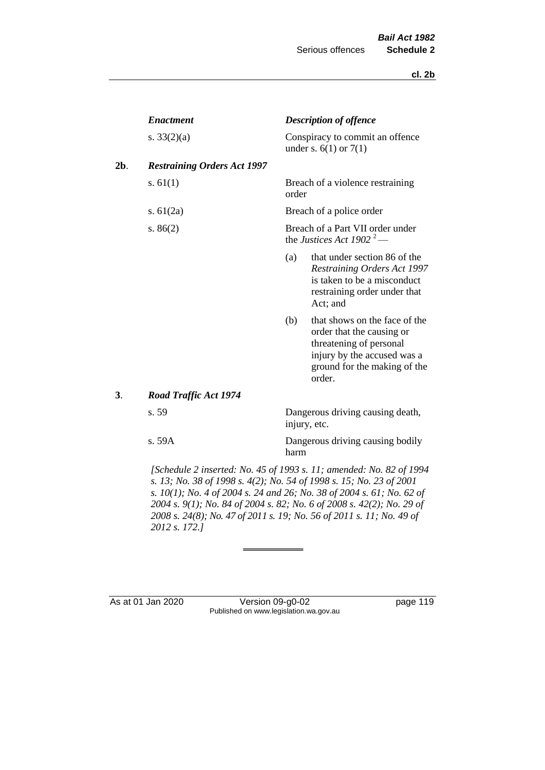|     | <b>Enactment</b>                   |                                                              | <b>Description of offence</b>                                                                                                                                  |
|-----|------------------------------------|--------------------------------------------------------------|----------------------------------------------------------------------------------------------------------------------------------------------------------------|
|     | s. $33(2)(a)$                      | Conspiracy to commit an offence<br>under s. $6(1)$ or $7(1)$ |                                                                                                                                                                |
| 2b. | <b>Restraining Orders Act 1997</b> |                                                              |                                                                                                                                                                |
|     | s. $61(1)$                         | order                                                        | Breach of a violence restraining                                                                                                                               |
|     | s. $61(2a)$                        | Breach of a police order                                     |                                                                                                                                                                |
|     | s. $86(2)$                         |                                                              | Breach of a Part VII order under<br>the Justices Act 1902 <sup>2</sup> —                                                                                       |
|     |                                    | (a)                                                          | that under section 86 of the<br><b>Restraining Orders Act 1997</b><br>is taken to be a misconduct<br>restraining order under that<br>Act; and                  |
|     |                                    | (b)                                                          | that shows on the face of the<br>order that the causing or<br>threatening of personal<br>injury by the accused was a<br>ground for the making of the<br>order. |
| 3.  | <b>Road Traffic Act 1974</b>       |                                                              |                                                                                                                                                                |
|     | s. 59                              | injury, etc.                                                 | Dangerous driving causing death,                                                                                                                               |
|     | s.59A                              | harm                                                         | Dangerous driving causing bodily                                                                                                                               |
|     |                                    |                                                              |                                                                                                                                                                |

*[Schedule 2 inserted: No. 45 of 1993 s. 11; amended: No. 82 of 1994 s. 13; No. 38 of 1998 s. 4(2); No. 54 of 1998 s. 15; No. 23 of 2001 s. 10(1); No. 4 of 2004 s. 24 and 26; No. 38 of 2004 s. 61; No. 62 of 2004 s. 9(1); No. 84 of 2004 s. 82; No. 6 of 2008 s. 42(2); No. 29 of 2008 s. 24(8); No. 47 of 2011 s. 19; No. 56 of 2011 s. 11; No. 49 of 2012 s. 172.]* 

As at 01 Jan 2020 Version 09-g0-02 page 119 Published on www.legislation.wa.gov.au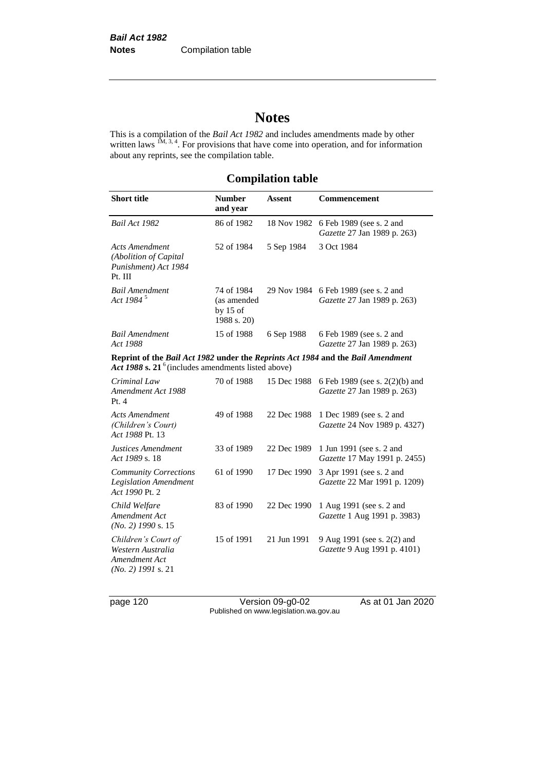# **Notes**

This is a compilation of the *Bail Act 1982* and includes amendments made by other written laws  $1M$ ,  $3, 4$ . For provisions that have come into operation, and for information about any reprints, see the compilation table.

## **Compilation table**

| <b>Short title</b>                                                                                                                       | <b>Number</b><br>and year                              | <b>Assent</b> | Commencement                                                        |
|------------------------------------------------------------------------------------------------------------------------------------------|--------------------------------------------------------|---------------|---------------------------------------------------------------------|
| Bail Act 1982                                                                                                                            | 86 of 1982                                             | 18 Nov 1982   | 6 Feb 1989 (see s. 2 and<br>Gazette 27 Jan 1989 p. 263)             |
| <b>Acts Amendment</b><br>(Abolition of Capital<br>Punishment) Act 1984<br>Pt. III                                                        | 52 of 1984                                             | 5 Sep 1984    | 3 Oct 1984                                                          |
| <b>Bail Amendment</b><br>Act 1984 <sup>5</sup>                                                                                           | 74 of 1984<br>(as amended<br>by $15$ of<br>1988 s. 20) |               | 29 Nov 1984 6 Feb 1989 (see s. 2 and<br>Gazette 27 Jan 1989 p. 263) |
| <b>Bail Amendment</b><br>Act 1988                                                                                                        | 15 of 1988                                             | 6 Sep 1988    | 6 Feb 1989 (see s. 2 and<br>Gazette 27 Jan 1989 p. 263)             |
| Reprint of the Bail Act 1982 under the Reprints Act 1984 and the Bail Amendment<br>Act 1988 s. $21^6$ (includes amendments listed above) |                                                        |               |                                                                     |
| Criminal Law<br>Amendment Act 1988<br>Pt. 4                                                                                              | 70 of 1988                                             | 15 Dec 1988   | 6 Feb 1989 (see s. 2(2)(b) and<br>Gazette 27 Jan 1989 p. 263)       |
| <b>Acts Amendment</b><br>(Children's Court)<br>Act 1988 Pt. 13                                                                           | 49 of 1988                                             | 22 Dec 1988   | 1 Dec 1989 (see s. 2 and<br>Gazette 24 Nov 1989 p. 4327)            |
| Justices Amendment<br>Act 1989 s. 18                                                                                                     | 33 of 1989                                             | 22 Dec 1989   | 1 Jun 1991 (see s. 2 and<br>Gazette 17 May 1991 p. 2455)            |
| <b>Community Corrections</b><br><b>Legislation Amendment</b><br>Act 1990 Pt. 2                                                           | 61 of 1990                                             | 17 Dec 1990   | 3 Apr 1991 (see s. 2 and<br>Gazette 22 Mar 1991 p. 1209)            |
| Child Welfare<br>Amendment Act<br>$(No. 2)$ 1990 s. 15                                                                                   | 83 of 1990                                             | 22 Dec 1990   | 1 Aug 1991 (see s. 2 and<br>Gazette 1 Aug 1991 p. 3983)             |
| Children's Court of<br>Western Australia<br>Amendment Act<br>$(No. 2)$ 1991 s. 21                                                        | 15 of 1991                                             | 21 Jun 1991   | 9 Aug 1991 (see s. 2(2) and<br>Gazette 9 Aug 1991 p. 4101)          |

page 120 Version 09-g0-02 As at 01 Jan 2020 Published on www.legislation.wa.gov.au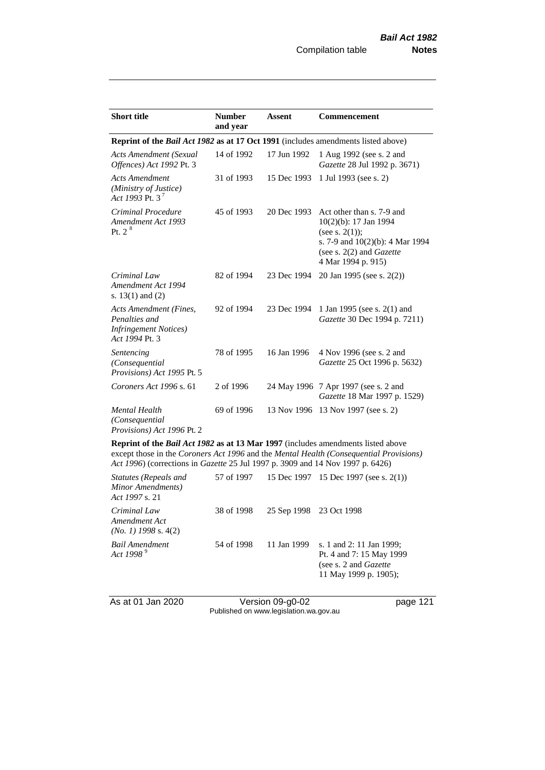| <b>Short title</b>                                                                         | <b>Number</b><br>and year | <b>Assent</b> | <b>Commencement</b>                                                                                                                                                      |  |
|--------------------------------------------------------------------------------------------|---------------------------|---------------|--------------------------------------------------------------------------------------------------------------------------------------------------------------------------|--|
| Reprint of the <i>Bail Act 1982</i> as at 17 Oct 1991 (includes amendments listed above)   |                           |               |                                                                                                                                                                          |  |
| <b>Acts Amendment (Sexual</b><br>Offences) Act 1992 Pt. 3                                  | 14 of 1992                | 17 Jun 1992   | 1 Aug 1992 (see s. 2 and<br>Gazette 28 Jul 1992 p. 3671)                                                                                                                 |  |
| <b>Acts Amendment</b><br>(Ministry of Justice)<br>Act 1993 Pt. 3 <sup>7</sup>              | 31 of 1993                | 15 Dec 1993   | 1 Jul 1993 (see s. 2)                                                                                                                                                    |  |
| Criminal Procedure<br>Amendment Act 1993<br>Pt. 2 <sup>8</sup>                             | 45 of 1993                | 20 Dec 1993   | Act other than s. 7-9 and<br>10(2)(b): 17 Jan 1994<br>(see s. $2(1)$ );<br>s. 7-9 and $10(2)(b)$ : 4 Mar 1994<br>(see s. $2(2)$ and <i>Gazette</i><br>4 Mar 1994 p. 915) |  |
| Criminal Law<br>Amendment Act 1994<br>s. $13(1)$ and $(2)$                                 | 82 of 1994                | 23 Dec 1994   | 20 Jan 1995 (see s. 2(2))                                                                                                                                                |  |
| Acts Amendment (Fines,<br>Penalties and<br><i>Infringement Notices</i> )<br>Act 1994 Pt. 3 | 92 of 1994                | 23 Dec 1994   | 1 Jan 1995 (see s. 2(1) and<br>Gazette 30 Dec 1994 p. 7211)                                                                                                              |  |
| Sentencing<br>(Consequential<br>Provisions) Act 1995 Pt. 5                                 | 78 of 1995                | 16 Jan 1996   | 4 Nov 1996 (see s. 2 and<br>Gazette 25 Oct 1996 p. 5632)                                                                                                                 |  |
| Coroners Act 1996 s. 61                                                                    | 2 of 1996                 |               | 24 May 1996 7 Apr 1997 (see s. 2 and<br>Gazette 18 Mar 1997 p. 1529)                                                                                                     |  |
| <b>Mental Health</b><br>(Consequential<br>Provisions) Act 1996 Pt. 2                       | 69 of 1996                |               | 13 Nov 1996 13 Nov 1997 (see s. 2)                                                                                                                                       |  |
| <b>Doprint of the Rail Act 1082 as at 13 Mar 1007</b> (includes emendments listed above    |                           |               |                                                                                                                                                                          |  |

**Reprint of the** *Bail Act 1982* **as at 13 Mar 1997** (includes amendments listed above except those in the *Coroners Act 1996* and the *Mental Health (Consequential Provisions) Act 1996*) (corrections in *Gazette* 25 Jul 1997 p. 3909 and 14 Nov 1997 p. 6426)

| Statutes (Repeals and<br>Minor Amendments)<br>Act 1997 s. 21 | 57 of 1997 |                         | 15 Dec 1997 15 Dec 1997 (see s. 2(1))                                                                           |
|--------------------------------------------------------------|------------|-------------------------|-----------------------------------------------------------------------------------------------------------------|
| Criminal Law<br>Amendment Act<br>$(No. 1)$ 1998 s. 4(2)      | 38 of 1998 | 25 Sep 1998 23 Oct 1998 |                                                                                                                 |
| Bail Amendment<br>Act 1998 <sup>9</sup>                      | 54 of 1998 | 11 Jan 1999             | s. 1 and 2: 11 Jan 1999;<br>Pt. 4 and 7: 15 May 1999<br>(see s. 2 and <i>Gazette</i> )<br>11 May 1999 p. 1905); |

As at 01 Jan 2020 Version 09-g0-02 page 121 Published on www.legislation.wa.gov.au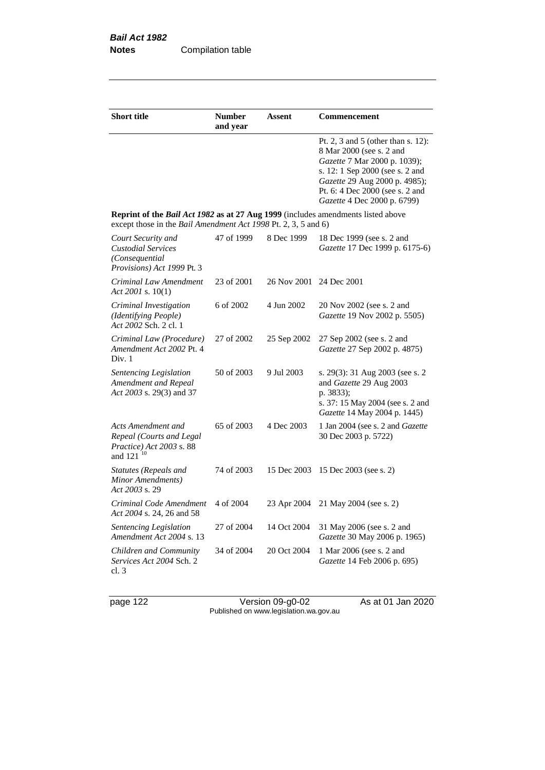| <b>Short title</b>                                                                                                                                        | <b>Number</b><br>and year | Assent      | Commencement                                                                                                                                                                                                                         |
|-----------------------------------------------------------------------------------------------------------------------------------------------------------|---------------------------|-------------|--------------------------------------------------------------------------------------------------------------------------------------------------------------------------------------------------------------------------------------|
|                                                                                                                                                           |                           |             | Pt. 2, 3 and 5 (other than s. 12):<br>8 Mar 2000 (see s. 2 and<br>Gazette 7 Mar 2000 p. 1039);<br>s. 12: 1 Sep 2000 (see s. 2 and<br>Gazette 29 Aug 2000 p. 4985);<br>Pt. 6: 4 Dec 2000 (see s. 2 and<br>Gazette 4 Dec 2000 p. 6799) |
| <b>Reprint of the Bail Act 1982 as at 27 Aug 1999</b> (includes amendments listed above<br>except those in the Bail Amendment Act 1998 Pt. 2, 3, 5 and 6) |                           |             |                                                                                                                                                                                                                                      |
| Court Security and<br><b>Custodial Services</b><br>(Consequential<br>Provisions) Act 1999 Pt. 3                                                           | 47 of 1999                | 8 Dec 1999  | 18 Dec 1999 (see s. 2 and<br>Gazette 17 Dec 1999 p. 6175-6)                                                                                                                                                                          |
| Criminal Law Amendment<br>Act 2001 s. $10(1)$                                                                                                             | 23 of 2001                | 26 Nov 2001 | 24 Dec 2001                                                                                                                                                                                                                          |
| Criminal Investigation<br>(Identifying People)<br>Act 2002 Sch. 2 cl. 1                                                                                   | 6 of 2002                 | 4 Jun 2002  | 20 Nov 2002 (see s. 2 and<br>Gazette 19 Nov 2002 p. 5505)                                                                                                                                                                            |
| Criminal Law (Procedure)<br>Amendment Act 2002 Pt. 4<br>Div. 1                                                                                            | 27 of 2002                | 25 Sep 2002 | 27 Sep 2002 (see s. 2 and<br>Gazette 27 Sep 2002 p. 4875)                                                                                                                                                                            |
| <b>Sentencing Legislation</b><br>Amendment and Repeal<br>Act 2003 s. 29(3) and 37                                                                         | 50 of 2003                | 9 Jul 2003  | s. 29(3): 31 Aug 2003 (see s. 2)<br>and Gazette 29 Aug 2003<br>p. 3833);<br>s. 37: 15 May 2004 (see s. 2 and<br>Gazette 14 May 2004 p. 1445)                                                                                         |
| Acts Amendment and<br>Repeal (Courts and Legal<br>Practice) Act 2003 s. 88<br>and 121 <sup>10</sup>                                                       | 65 of 2003                | 4 Dec 2003  | 1 Jan 2004 (see s. 2 and Gazette<br>30 Dec 2003 p. 5722)                                                                                                                                                                             |
| Statutes (Repeals and<br>Minor Amendments)<br>Act 2003 s. 29                                                                                              | 74 of 2003                | 15 Dec 2003 | 15 Dec 2003 (see s. 2)                                                                                                                                                                                                               |
| Criminal Code Amendment<br>Act 2004 s. 24, 26 and 58                                                                                                      | 4 of 2004                 | 23 Apr 2004 | 21 May 2004 (see s. 2)                                                                                                                                                                                                               |
| Sentencing Legislation<br>Amendment Act 2004 s. 13                                                                                                        | 27 of 2004                | 14 Oct 2004 | 31 May 2006 (see s. 2 and<br>Gazette 30 May 2006 p. 1965)                                                                                                                                                                            |
| Children and Community<br>Services Act 2004 Sch. 2<br>cl.3                                                                                                | 34 of 2004                | 20 Oct 2004 | 1 Mar 2006 (see s. 2 and<br>Gazette 14 Feb 2006 p. 695)                                                                                                                                                                              |

page 122 Version 09-g0-02 As at 01 Jan 2020 Published on www.legislation.wa.gov.au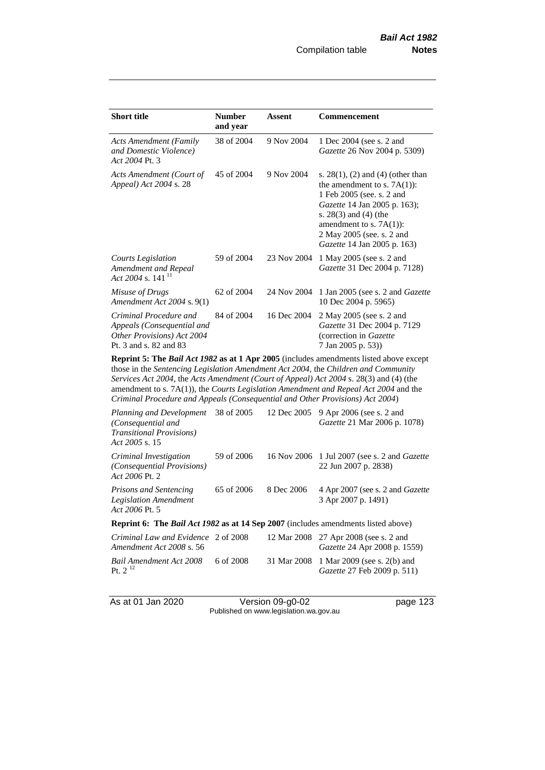| <b>Short title</b>                                                                                           | <b>Number</b><br>and year | Assent      | Commencement                                                                                                                                                                                                                                                |  |
|--------------------------------------------------------------------------------------------------------------|---------------------------|-------------|-------------------------------------------------------------------------------------------------------------------------------------------------------------------------------------------------------------------------------------------------------------|--|
| <b>Acts Amendment (Family</b><br>and Domestic Violence)<br>Act 2004 Pt. 3                                    | 38 of 2004                | 9 Nov 2004  | 1 Dec 2004 (see s. 2 and<br>Gazette 26 Nov 2004 p. 5309)                                                                                                                                                                                                    |  |
| Acts Amendment (Court of<br>Appeal) Act 2004 s. 28                                                           | 45 of 2004                | 9 Nov 2004  | s. $28(1)$ , (2) and (4) (other than<br>the amendment to s. $7A(1)$ :<br>1 Feb 2005 (see. s. 2 and<br><i>Gazette</i> 14 Jan 2005 p. 163);<br>s. 28(3) and (4) (the<br>amendment to s. $7A(1)$ :<br>2 May 2005 (see. s. 2 and<br>Gazette 14 Jan 2005 p. 163) |  |
| Courts Legislation<br>Amendment and Repeal<br>Act 2004 s. 141 <sup>11</sup>                                  | 59 of 2004                | 23 Nov 2004 | 1 May 2005 (see s. 2 and<br>Gazette 31 Dec 2004 p. 7128)                                                                                                                                                                                                    |  |
| Misuse of Drugs<br>Amendment Act 2004 s. 9(1)                                                                | 62 of 2004                | 24 Nov 2004 | 1 Jan 2005 (see s. 2 and <i>Gazette</i><br>10 Dec 2004 p. 5965)                                                                                                                                                                                             |  |
| Criminal Procedure and<br>Appeals (Consequential and<br>Other Provisions) Act 2004<br>Pt. 3 and s. 82 and 83 | 84 of 2004                | 16 Dec 2004 | 2 May 2005 (see s. 2 and<br>Gazette 31 Dec 2004 p. 7129<br>(correction in Gazette)<br>7 Jan 2005 p. 53))                                                                                                                                                    |  |
| <b>Doprint 5. The Dail Act 1082 as at 1 Apr 2005</b> (includes emendments listed above except                |                           |             |                                                                                                                                                                                                                                                             |  |

**Reprint 5: The** *Bail Act 1982* **as at 1 Apr 2005** (includes amendments listed above except those in the *Sentencing Legislation Amendment Act 2004*, the *Children and Community Services Act 2004*, the *Acts Amendment (Court of Appeal) Act 2004* s. 28(3) and (4) (the amendment to s. 7A(1)), the *Courts Legislation Amendment and Repeal Act 2004* and the *Criminal Procedure and Appeals (Consequential and Other Provisions) Act 2004*)

| Planning and Development<br>(Consequential and<br><b>Transitional Provisions</b> )<br>Act 2005 s. 15 | 38 of 2005 | 12 Dec 2005 | 9 Apr 2006 (see s. 2 and<br><i>Gazette</i> 21 Mar 2006 p. 1078)               |
|------------------------------------------------------------------------------------------------------|------------|-------------|-------------------------------------------------------------------------------|
| Criminal Investigation<br>(Consequential Provisions)<br>Act 2006 Pt. 2                               | 59 of 2006 |             | 16 Nov 2006 1 Jul 2007 (see s. 2 and <i>Gazette</i><br>22 Jun 2007 p. 2838)   |
| <b>Prisons and Sentencing</b><br><b>Legislation Amendment</b><br>Act 2006 Pt. 5                      | 65 of 2006 | 8 Dec 2006  | 4 Apr 2007 (see s. 2 and Gazette<br>3 Apr 2007 p. 1491)                       |
| <b>Reprint 6:</b> The <i>Bail Act 1982</i> as at 14 Sep 2007 (includes amendments listed above)      |            |             |                                                                               |
| Criminal Law and Evidence 2 of 2008<br>Amendment Act 2008 s. 56                                      |            |             | 12 Mar 2008 27 Apr 2008 (see s. 2 and<br><i>Gazette</i> 24 Apr 2008 p. 1559)  |
| Bail Amendment Act 2008<br>Pt. $2^{12}$                                                              | 6 of 2008  |             | 31 Mar 2008 1 Mar 2009 (see s. 2(b) and<br><i>Gazette</i> 27 Feb 2009 p. 511) |

As at 01 Jan 2020 Version 09-g0-02 page 123 Published on www.legislation.wa.gov.au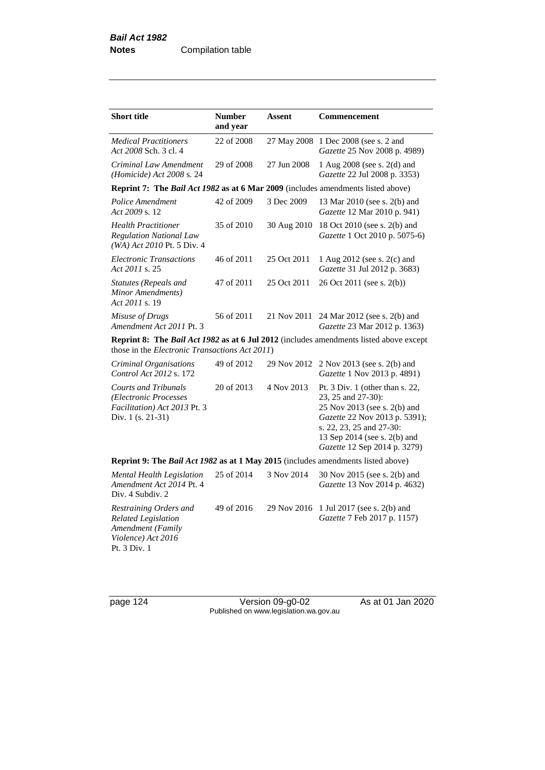| <b>Short title</b>                                                                                              | <b>Number</b><br>and year | <b>Assent</b> | Commencement                                                                                                                                                                                                       |
|-----------------------------------------------------------------------------------------------------------------|---------------------------|---------------|--------------------------------------------------------------------------------------------------------------------------------------------------------------------------------------------------------------------|
| <b>Medical Practitioners</b><br>Act 2008 Sch. 3 cl. 4                                                           | 22 of 2008                | 27 May 2008   | 1 Dec 2008 (see s. 2 and<br>Gazette 25 Nov 2008 p. 4989)                                                                                                                                                           |
| Criminal Law Amendment<br>(Homicide) Act $2008$ s. 24                                                           | 29 of 2008                | 27 Jun 2008   | 1 Aug 2008 (see s. 2(d) and<br>Gazette 22 Jul 2008 p. 3353)                                                                                                                                                        |
| Reprint 7: The Bail Act 1982 as at 6 Mar 2009 (includes amendments listed above)                                |                           |               |                                                                                                                                                                                                                    |
| Police Amendment<br>Act 2009 s. 12                                                                              | 42 of 2009                | 3 Dec 2009    | 13 Mar 2010 (see s. 2(b) and<br>Gazette 12 Mar 2010 p. 941)                                                                                                                                                        |
| <b>Health Practitioner</b><br><b>Regulation National Law</b><br>(WA) Act 2010 Pt. 5 Div. 4                      | 35 of 2010                | 30 Aug 2010   | 18 Oct 2010 (see s. 2(b) and<br>Gazette 1 Oct 2010 p. 5075-6)                                                                                                                                                      |
| <b>Electronic Transactions</b><br>Act 2011 s. 25                                                                | 46 of 2011                | 25 Oct 2011   | 1 Aug 2012 (see s. 2(c) and<br>Gazette 31 Jul 2012 p. 3683)                                                                                                                                                        |
| Statutes (Repeals and<br>Minor Amendments)<br>Act 2011 s. 19                                                    | 47 of 2011                | 25 Oct 2011   | 26 Oct 2011 (see s. 2(b))                                                                                                                                                                                          |
| Misuse of Drugs<br>Amendment Act 2011 Pt. 3                                                                     | 56 of 2011                | 21 Nov 2011   | 24 Mar 2012 (see s. 2(b) and<br>Gazette 23 Mar 2012 p. 1363)                                                                                                                                                       |
| those in the <i>Electronic Transactions Act 2011</i> )                                                          |                           |               | Reprint 8: The Bail Act 1982 as at 6 Jul 2012 (includes amendments listed above except                                                                                                                             |
| Criminal Organisations<br>Control Act 2012 s. 172                                                               | 49 of 2012                | 29 Nov 2012   | 2 Nov 2013 (see s. 2(b) and<br>Gazette 1 Nov 2013 p. 4891)                                                                                                                                                         |
| <b>Courts and Tribunals</b><br>(Electronic Processes<br>Facilitation) Act 2013 Pt. 3<br>Div. $1$ (s. 21-31)     | 20 of 2013                | 4 Nov 2013    | Pt. 3 Div. 1 (other than s. 22,<br>23, 25 and 27-30):<br>25 Nov 2013 (see s. 2(b) and<br>Gazette 22 Nov 2013 p. 5391);<br>s. 22, 23, 25 and 27-30:<br>13 Sep 2014 (see s. 2(b) and<br>Gazette 12 Sep 2014 p. 3279) |
| Reprint 9: The Bail Act 1982 as at 1 May 2015 (includes amendments listed above)                                |                           |               |                                                                                                                                                                                                                    |
| Mental Health Legislation<br>Amendment Act 2014 Pt. 4<br>Div. 4 Subdiv. 2                                       | 25 of 2014                | 3 Nov 2014    | 30 Nov 2015 (see s. 2(b) and<br>Gazette 13 Nov 2014 p. 4632)                                                                                                                                                       |
| Restraining Orders and<br><b>Related Legislation</b><br>Amendment (Family<br>Violence) Act 2016<br>Pt. 3 Div. 1 | 49 of 2016                | 29 Nov 2016   | 1 Jul 2017 (see s. 2(b) and<br>Gazette 7 Feb 2017 p. 1157)                                                                                                                                                         |

page 124 Version 09-g0-02 As at 01 Jan 2020 Published on www.legislation.wa.gov.au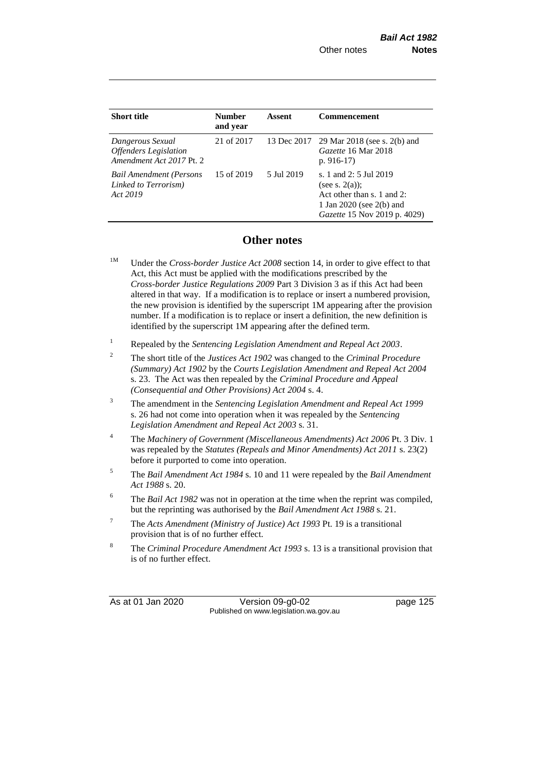| <b>Short title</b>                                                           | <b>Number</b><br>and year | Assent     | <b>Commencement</b>                                                                                                                   |
|------------------------------------------------------------------------------|---------------------------|------------|---------------------------------------------------------------------------------------------------------------------------------------|
| Dangerous Sexual<br><b>Offenders</b> Legislation<br>Amendment Act 2017 Pt. 2 | 21 of 2017                |            | 13 Dec 2017 29 Mar 2018 (see s. 2(b) and<br>Gazette 16 Mar 2018<br>p. $916-17$                                                        |
| <b>Bail Amendment (Persons</b><br>Linked to Terrorism)<br>Act 2019           | 15 of 2019                | 5 Jul 2019 | s. 1 and 2: 5 Jul 2019<br>(see s. $2(a)$ );<br>Act other than s. 1 and 2:<br>1 Jan 2020 (see 2(b) and<br>Gazette 15 Nov 2019 p. 4029) |

## **Other notes**

- <sup>1M</sup> Under the *Cross-border Justice Act 2008* section 14, in order to give effect to that Act, this Act must be applied with the modifications prescribed by the *Cross-border Justice Regulations 2009* Part 3 Division 3 as if this Act had been altered in that way. If a modification is to replace or insert a numbered provision, the new provision is identified by the superscript 1M appearing after the provision number. If a modification is to replace or insert a definition, the new definition is identified by the superscript 1M appearing after the defined term.
- <sup>1</sup> Repealed by the *Sentencing Legislation Amendment and Repeal Act 2003*.
- <sup>2</sup> The short title of the *Justices Act 1902* was changed to the *Criminal Procedure (Summary) Act 1902* by the *Courts Legislation Amendment and Repeal Act 2004*  s. 23. The Act was then repealed by the *Criminal Procedure and Appeal (Consequential and Other Provisions) Act 2004* s. 4.
- <sup>3</sup> The amendment in the *Sentencing Legislation Amendment and Repeal Act 1999* s. 26 had not come into operation when it was repealed by the *Sentencing Legislation Amendment and Repeal Act 2003* s. 31.
- <sup>4</sup> The *Machinery of Government (Miscellaneous Amendments) Act 2006* Pt. 3 Div. 1 was repealed by the *Statutes (Repeals and Minor Amendments) Act 2011* s. 23(2) before it purported to come into operation.
- <sup>5</sup> The *Bail Amendment Act 1984* s. 10 and 11 were repealed by the *Bail Amendment Act 1988* s. 20.
- <sup>6</sup> The *Bail Act 1982* was not in operation at the time when the reprint was compiled, but the reprinting was authorised by the *Bail Amendment Act 1988* s. 21.
- <sup>7</sup> The *Acts Amendment (Ministry of Justice) Act 1993* Pt. 19 is a transitional provision that is of no further effect.
- <sup>8</sup> The *Criminal Procedure Amendment Act 1993* s. 13 is a transitional provision that is of no further effect.

As at 01 Jan 2020 Version 09-g0-02 page 125 Published on www.legislation.wa.gov.au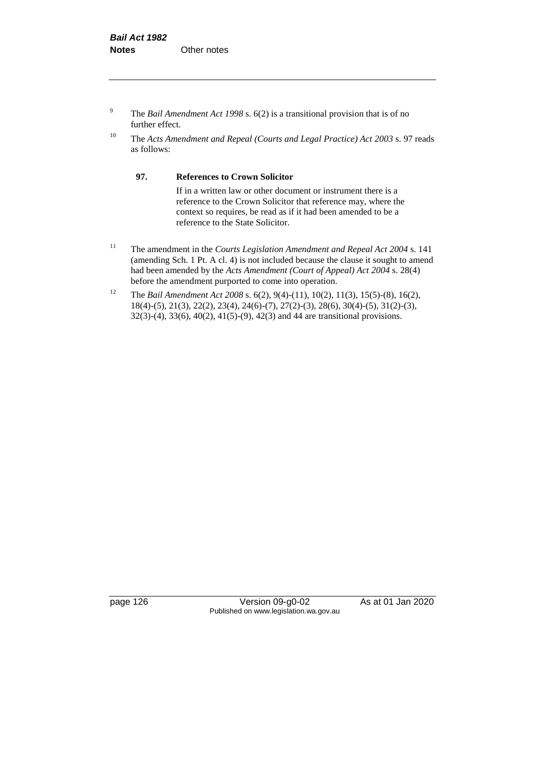- <sup>9</sup> The *Bail Amendment Act 1998* s. 6(2) is a transitional provision that is of no further effect.
- <sup>10</sup> The *Acts Amendment and Repeal (Courts and Legal Practice) Act 2003* s. 97 reads as follows:

#### **97. References to Crown Solicitor**

If in a written law or other document or instrument there is a reference to the Crown Solicitor that reference may, where the context so requires, be read as if it had been amended to be a reference to the State Solicitor.

- <sup>11</sup> The amendment in the *Courts Legislation Amendment and Repeal Act 2004* s. 141 (amending Sch. 1 Pt. A cl. 4) is not included because the clause it sought to amend had been amended by the *Acts Amendment (Court of Appeal) Act 2004* s. 28(4) before the amendment purported to come into operation.
- <sup>12</sup> The *Bail Amendment Act 2008* s. 6(2), 9(4)-(11), 10(2), 11(3), 15(5)-(8), 16(2), 18(4)-(5), 21(3), 22(2), 23(4), 24(6)-(7), 27(2)-(3), 28(6), 30(4)-(5), 31(2)-(3), 32(3)-(4), 33(6), 40(2), 41(5)-(9), 42(3) and 44 are transitional provisions.

page 126 Version 09-g0-02 As at 01 Jan 2020 Published on www.legislation.wa.gov.au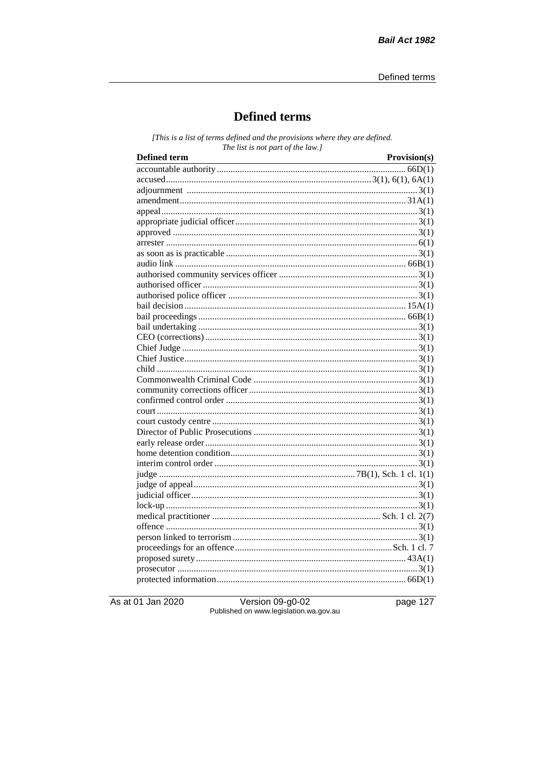# **Defined terms**

[This is a list of terms defined and the provisions where they are defined. The list is not part of the law.]

| <b>Defined term</b> | Provision(s) |
|---------------------|--------------|
|                     |              |
|                     |              |
|                     |              |
|                     |              |
|                     |              |
|                     |              |
|                     |              |
|                     |              |
|                     |              |
|                     |              |
|                     |              |
|                     |              |
|                     |              |
|                     |              |
|                     |              |
|                     |              |
|                     |              |
|                     |              |
|                     |              |
|                     |              |
|                     |              |
|                     |              |
|                     |              |
|                     |              |
|                     |              |
|                     |              |
|                     |              |
|                     |              |
|                     |              |
|                     |              |
|                     |              |
|                     |              |
|                     |              |
|                     |              |
|                     |              |
|                     |              |
|                     |              |
|                     |              |
|                     |              |
|                     |              |
|                     |              |

As at 01 Jan 2020

Version 09-g0-02 Published on www.legislation.wa.gov.au page 127